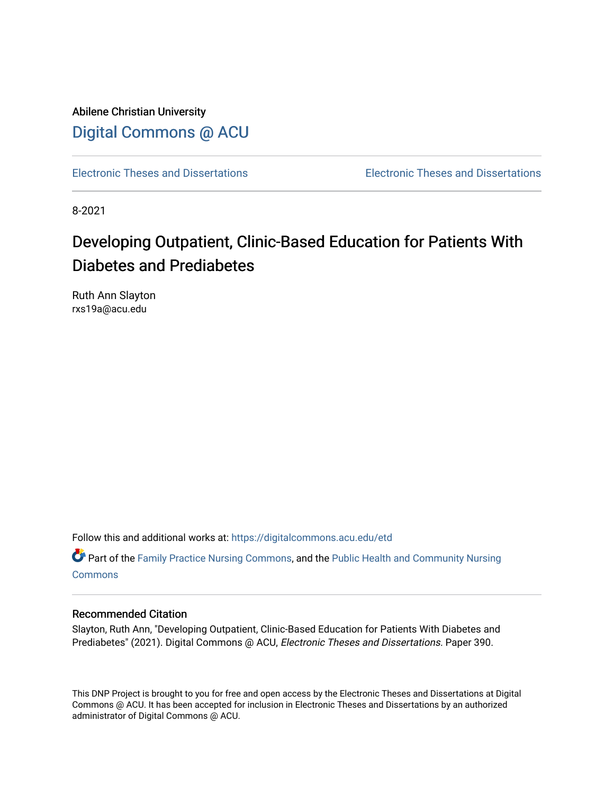Abilene Christian University [Digital Commons @ ACU](https://digitalcommons.acu.edu/)

[Electronic Theses and Dissertations](https://digitalcommons.acu.edu/etd) [Electronic Theses and Dissertations](https://digitalcommons.acu.edu/graduate_works) 

8-2021

# Developing Outpatient, Clinic-Based Education for Patients With Diabetes and Prediabetes

Ruth Ann Slayton rxs19a@acu.edu

Follow this and additional works at: [https://digitalcommons.acu.edu/etd](https://digitalcommons.acu.edu/etd?utm_source=digitalcommons.acu.edu%2Fetd%2F390&utm_medium=PDF&utm_campaign=PDFCoverPages) 

Part of the [Family Practice Nursing Commons](http://network.bepress.com/hgg/discipline/720?utm_source=digitalcommons.acu.edu%2Fetd%2F390&utm_medium=PDF&utm_campaign=PDFCoverPages), and the [Public Health and Community Nursing](http://network.bepress.com/hgg/discipline/725?utm_source=digitalcommons.acu.edu%2Fetd%2F390&utm_medium=PDF&utm_campaign=PDFCoverPages) **[Commons](http://network.bepress.com/hgg/discipline/725?utm_source=digitalcommons.acu.edu%2Fetd%2F390&utm_medium=PDF&utm_campaign=PDFCoverPages)** 

# Recommended Citation

Slayton, Ruth Ann, "Developing Outpatient, Clinic-Based Education for Patients With Diabetes and Prediabetes" (2021). Digital Commons @ ACU, Electronic Theses and Dissertations. Paper 390.

This DNP Project is brought to you for free and open access by the Electronic Theses and Dissertations at Digital Commons @ ACU. It has been accepted for inclusion in Electronic Theses and Dissertations by an authorized administrator of Digital Commons @ ACU.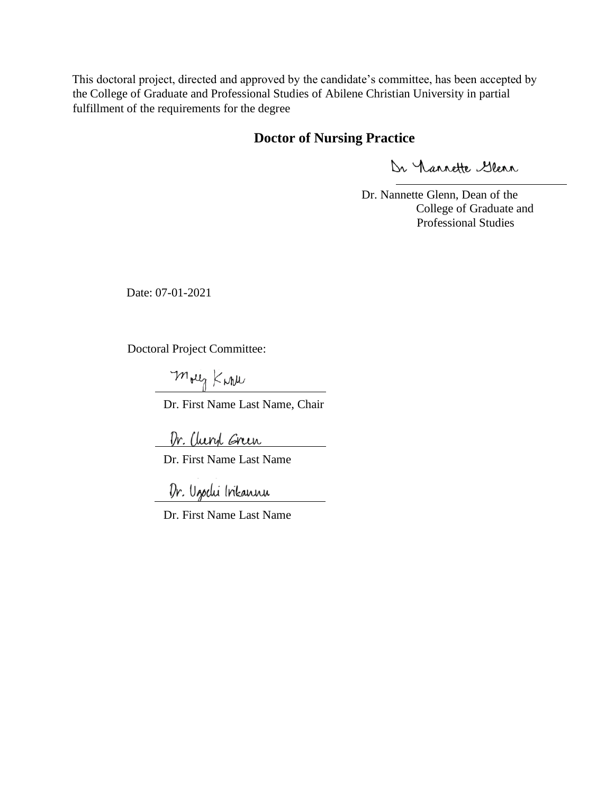This doctoral project, directed and approved by the candidate's committee, has been accepted by the College of Graduate and Professional Studies of Abilene Christian University in partial fulfillment of the requirements for the degree

# **Doctor of Nursing Practice**

Dr Nannette Glenn

Dr. Nannette Glenn, Dean of the College of Graduate and Professional Studies

Date: 07-01-2021

Doctoral Project Committee:

mong Kark

Dr. First Name Last Name, Chair

Dr. Cluryl Grun

Dr. First Name Last Name

Dr. Ugodu Inkannu

Dr. First Name Last Name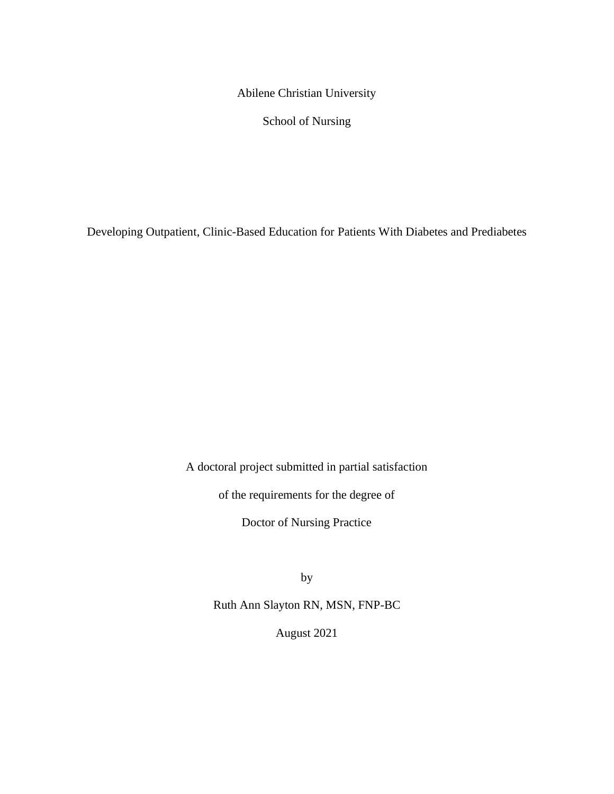Abilene Christian University

School of Nursing

Developing Outpatient, Clinic-Based Education for Patients With Diabetes and Prediabetes

A doctoral project submitted in partial satisfaction

of the requirements for the degree of

Doctor of Nursing Practice

by

Ruth Ann Slayton RN, MSN, FNP-BC

August 2021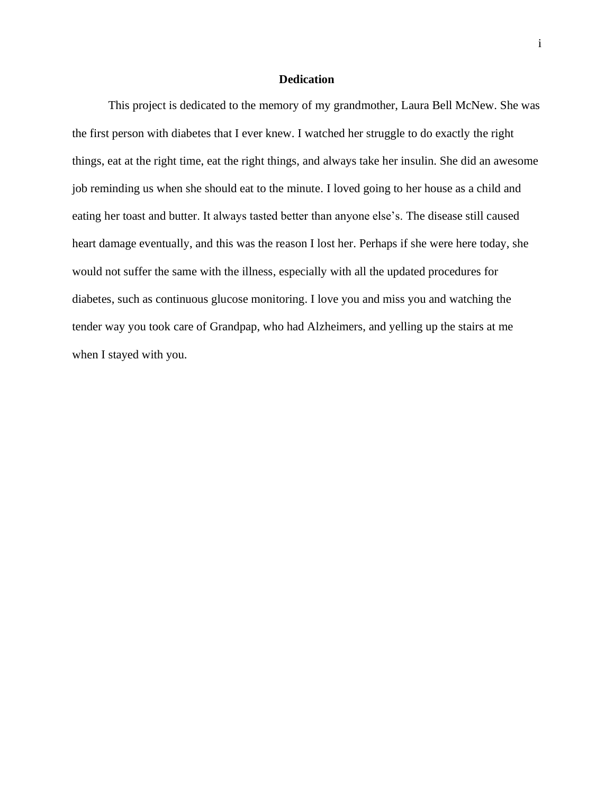# **Dedication**

This project is dedicated to the memory of my grandmother, Laura Bell McNew. She was the first person with diabetes that I ever knew. I watched her struggle to do exactly the right things, eat at the right time, eat the right things, and always take her insulin. She did an awesome job reminding us when she should eat to the minute. I loved going to her house as a child and eating her toast and butter. It always tasted better than anyone else's. The disease still caused heart damage eventually, and this was the reason I lost her. Perhaps if she were here today, she would not suffer the same with the illness, especially with all the updated procedures for diabetes, such as continuous glucose monitoring. I love you and miss you and watching the tender way you took care of Grandpap, who had Alzheimers, and yelling up the stairs at me when I stayed with you.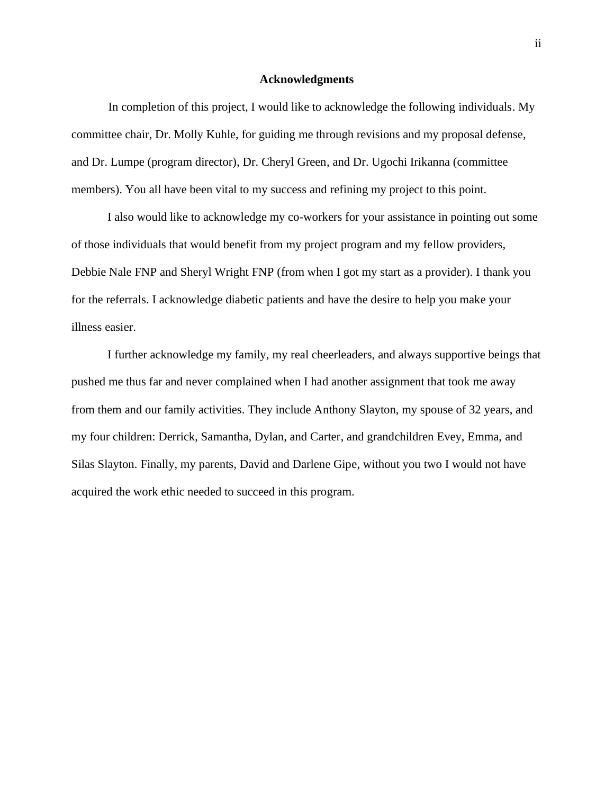#### **Acknowledgments**

In completion of this project, I would like to acknowledge the following individuals. My committee chair, Dr. Molly Kuhle, for guiding me through revisions and my proposal defense, and Dr. Lumpe (program director), Dr. Cheryl Green, and Dr. Ugochi Irikanna (committee members). You all have been vital to my success and refining my project to this point.

I also would like to acknowledge my co-workers for your assistance in pointing out some of those individuals that would benefit from my project program and my fellow providers, Debbie Nale FNP and Sheryl Wright FNP (from when I got my start as a provider). I thank you for the referrals. I acknowledge diabetic patients and have the desire to help you make your illness easier.

I further acknowledge my family, my real cheerleaders, and always supportive beings that pushed me thus far and never complained when I had another assignment that took me away from them and our family activities. They include Anthony Slayton, my spouse of 32 years, and my four children: Derrick, Samantha, Dylan, and Carter, and grandchildren Evey, Emma, and Silas Slayton. Finally, my parents, David and Darlene Gipe, without you two I would not have acquired the work ethic needed to succeed in this program.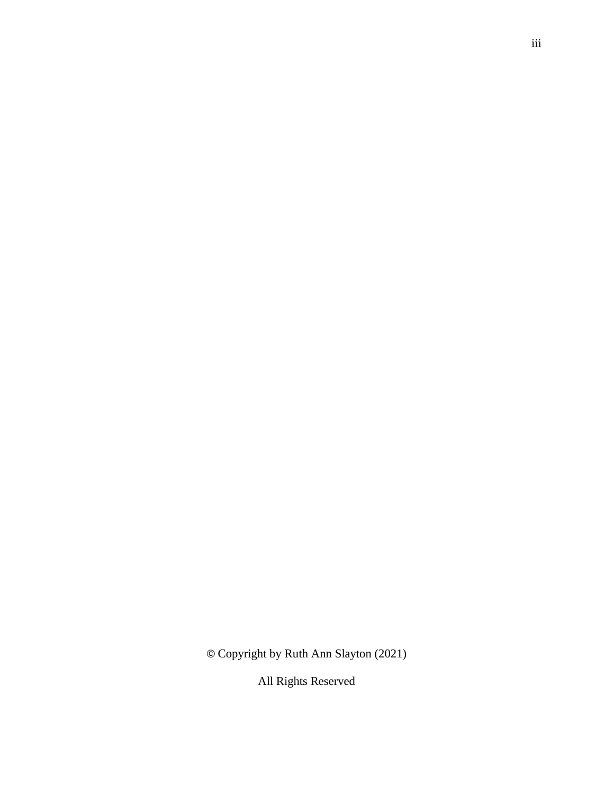© Copyright by Ruth Ann Slayton (2021)

All Rights Reserved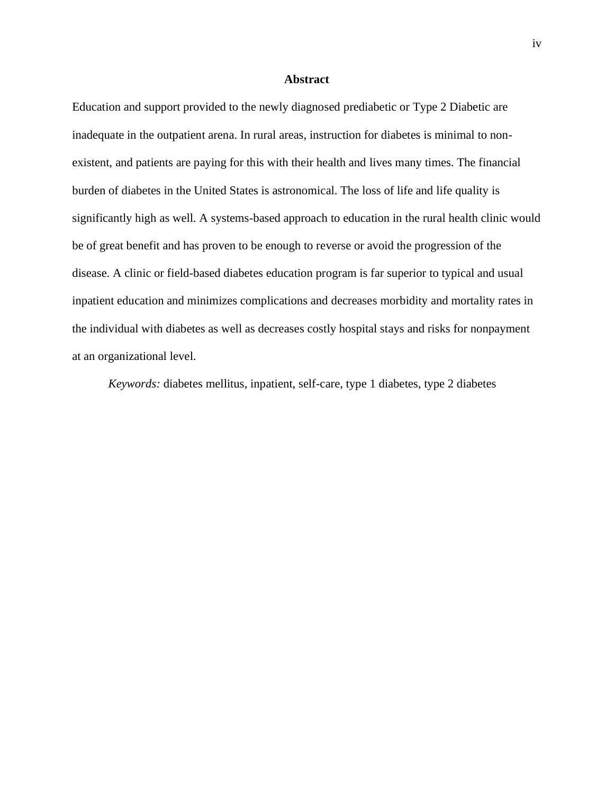#### **Abstract**

Education and support provided to the newly diagnosed prediabetic or Type 2 Diabetic are inadequate in the outpatient arena. In rural areas, instruction for diabetes is minimal to nonexistent, and patients are paying for this with their health and lives many times. The financial burden of diabetes in the United States is astronomical. The loss of life and life quality is significantly high as well. A systems-based approach to education in the rural health clinic would be of great benefit and has proven to be enough to reverse or avoid the progression of the disease. A clinic or field-based diabetes education program is far superior to typical and usual inpatient education and minimizes complications and decreases morbidity and mortality rates in the individual with diabetes as well as decreases costly hospital stays and risks for nonpayment at an organizational level.

*Keywords:* diabetes mellitus, inpatient, self-care, type 1 diabetes, type 2 diabetes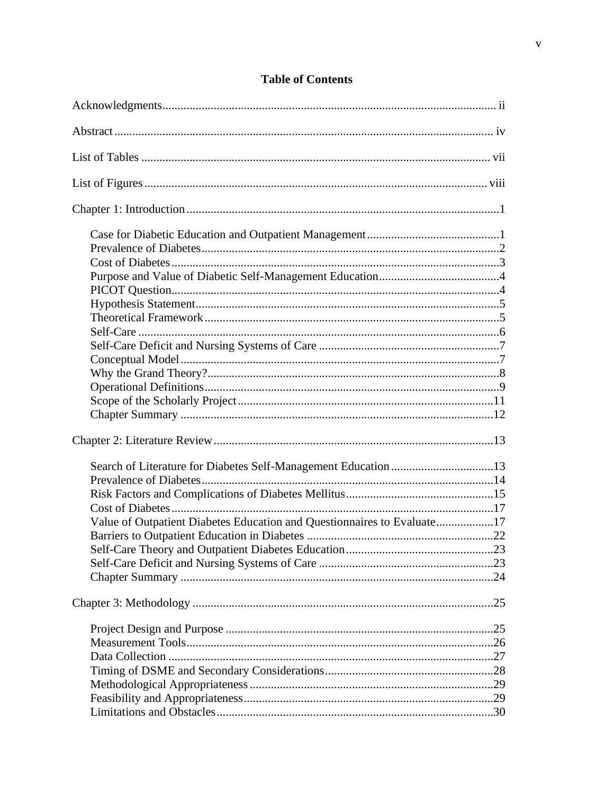| Value of Outpatient Diabetes Education and Questionnaires to Evaluate17 |  |
|-------------------------------------------------------------------------|--|
|                                                                         |  |
|                                                                         |  |
|                                                                         |  |
|                                                                         |  |
|                                                                         |  |
|                                                                         |  |
|                                                                         |  |
|                                                                         |  |
|                                                                         |  |
|                                                                         |  |
|                                                                         |  |
|                                                                         |  |

# **Table of Contents**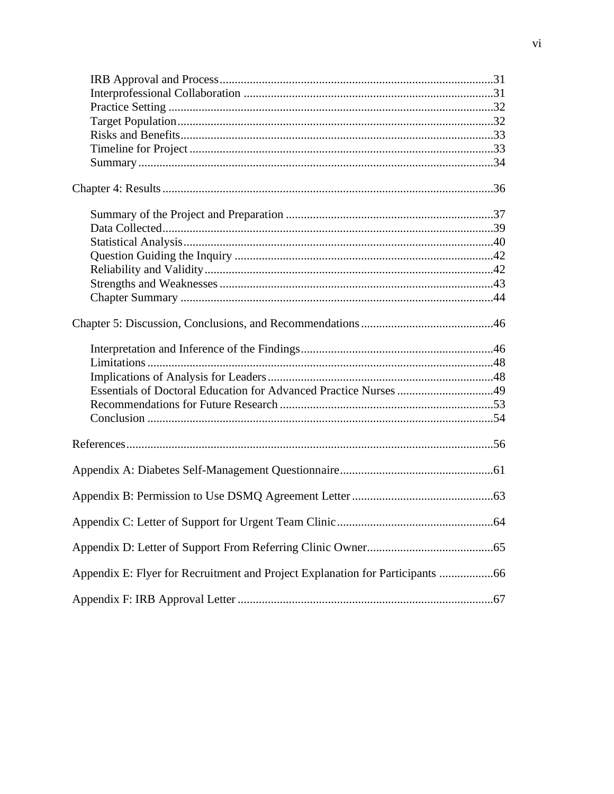| Appendix E: Flyer for Recruitment and Project Explanation for Participants 66 |  |
|-------------------------------------------------------------------------------|--|
|                                                                               |  |
|                                                                               |  |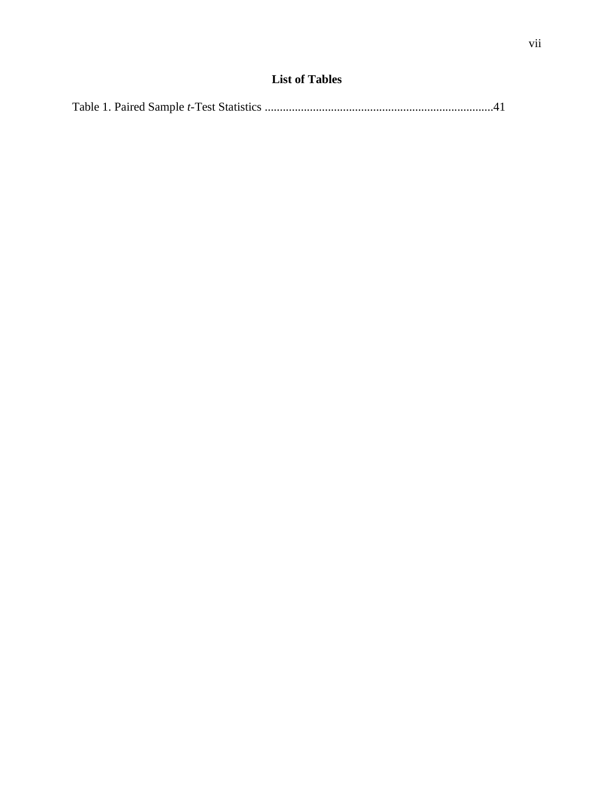|--|--|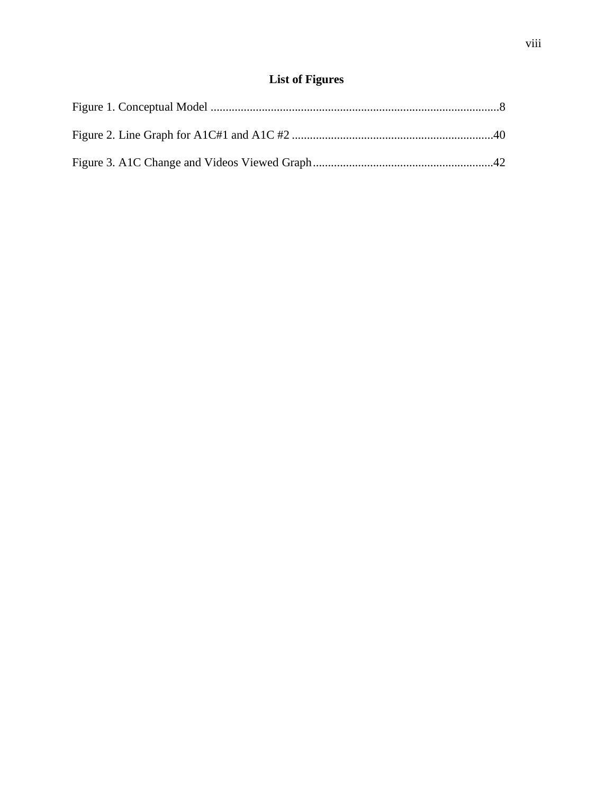# **List of Figures**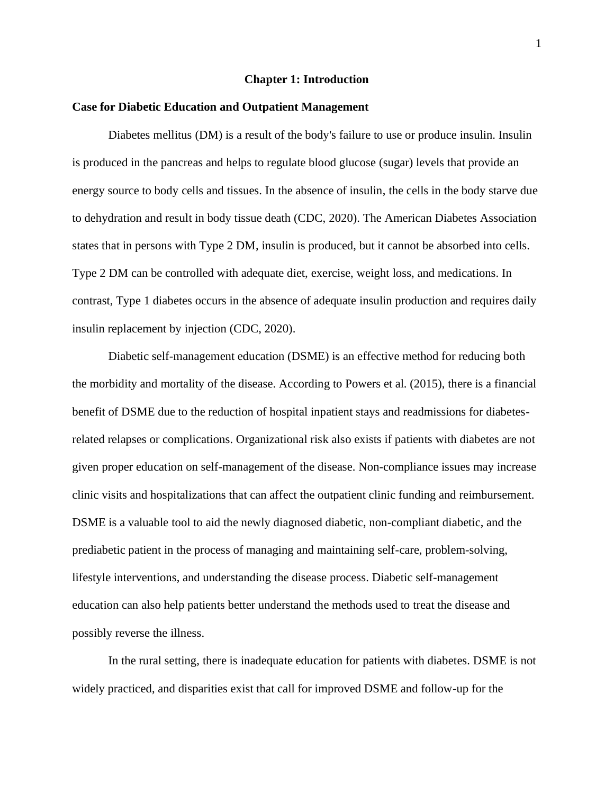#### **Chapter 1: Introduction**

#### **Case for Diabetic Education and Outpatient Management**

Diabetes mellitus (DM) is a result of the body's failure to use or produce insulin. Insulin is produced in the pancreas and helps to regulate blood glucose (sugar) levels that provide an energy source to body cells and tissues. In the absence of insulin, the cells in the body starve due to dehydration and result in body tissue death (CDC, 2020). The American Diabetes Association states that in persons with Type 2 DM, insulin is produced, but it cannot be absorbed into cells. Type 2 DM can be controlled with adequate diet, exercise, weight loss, and medications. In contrast, Type 1 diabetes occurs in the absence of adequate insulin production and requires daily insulin replacement by injection (CDC, 2020).

Diabetic self-management education (DSME) is an effective method for reducing both the morbidity and mortality of the disease. According to Powers et al. (2015), there is a financial benefit of DSME due to the reduction of hospital inpatient stays and readmissions for diabetesrelated relapses or complications. Organizational risk also exists if patients with diabetes are not given proper education on self-management of the disease. Non-compliance issues may increase clinic visits and hospitalizations that can affect the outpatient clinic funding and reimbursement. DSME is a valuable tool to aid the newly diagnosed diabetic, non-compliant diabetic, and the prediabetic patient in the process of managing and maintaining self-care, problem-solving, lifestyle interventions, and understanding the disease process. Diabetic self-management education can also help patients better understand the methods used to treat the disease and possibly reverse the illness.

In the rural setting, there is inadequate education for patients with diabetes. DSME is not widely practiced, and disparities exist that call for improved DSME and follow-up for the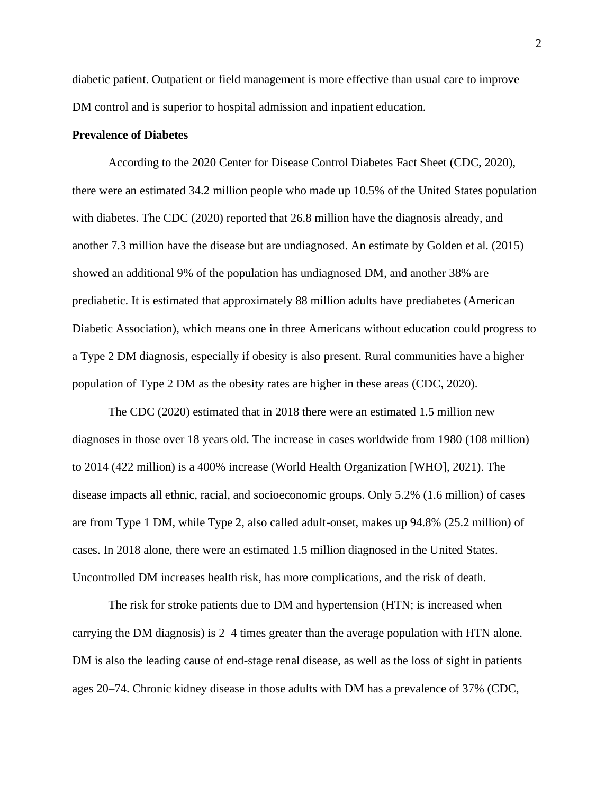diabetic patient. Outpatient or field management is more effective than usual care to improve DM control and is superior to hospital admission and inpatient education.

## **Prevalence of Diabetes**

According to the 2020 Center for Disease Control Diabetes Fact Sheet (CDC, 2020), there were an estimated 34.2 million people who made up 10.5% of the United States population with diabetes. The CDC (2020) reported that 26.8 million have the diagnosis already, and another 7.3 million have the disease but are undiagnosed. An estimate by Golden et al. (2015) showed an additional 9% of the population has undiagnosed DM, and another 38% are prediabetic. It is estimated that approximately 88 million adults have prediabetes (American Diabetic Association), which means one in three Americans without education could progress to a Type 2 DM diagnosis, especially if obesity is also present. Rural communities have a higher population of Type 2 DM as the obesity rates are higher in these areas (CDC, 2020).

The CDC (2020) estimated that in 2018 there were an estimated 1.5 million new diagnoses in those over 18 years old. The increase in cases worldwide from 1980 (108 million) to 2014 (422 million) is a 400% increase (World Health Organization [WHO], 2021). The disease impacts all ethnic, racial, and socioeconomic groups. Only 5.2% (1.6 million) of cases are from Type 1 DM, while Type 2, also called adult-onset, makes up 94.8% (25.2 million) of cases. In 2018 alone, there were an estimated 1.5 million diagnosed in the United States. Uncontrolled DM increases health risk, has more complications, and the risk of death.

The risk for stroke patients due to DM and hypertension (HTN; is increased when carrying the DM diagnosis) is 2–4 times greater than the average population with HTN alone. DM is also the leading cause of end-stage renal disease, as well as the loss of sight in patients ages 20–74. Chronic kidney disease in those adults with DM has a prevalence of 37% (CDC,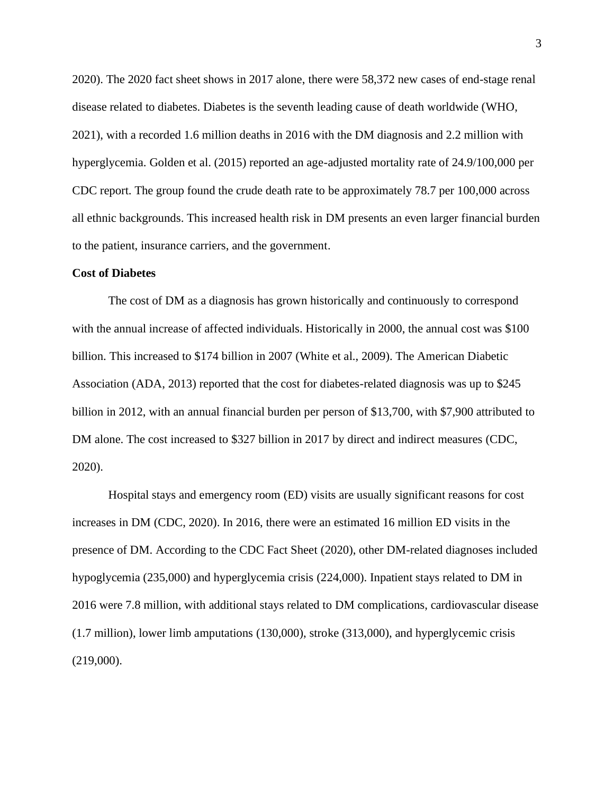2020). The 2020 fact sheet shows in 2017 alone, there were 58,372 new cases of end-stage renal disease related to diabetes. Diabetes is the seventh leading cause of death worldwide (WHO, 2021), with a recorded 1.6 million deaths in 2016 with the DM diagnosis and 2.2 million with hyperglycemia. Golden et al. (2015) reported an age-adjusted mortality rate of 24.9/100,000 per CDC report. The group found the crude death rate to be approximately 78.7 per 100,000 across all ethnic backgrounds. This increased health risk in DM presents an even larger financial burden to the patient, insurance carriers, and the government.

#### **Cost of Diabetes**

The cost of DM as a diagnosis has grown historically and continuously to correspond with the annual increase of affected individuals. Historically in 2000, the annual cost was \$100 billion. This increased to \$174 billion in 2007 (White et al., 2009). The American Diabetic Association (ADA, 2013) reported that the cost for diabetes-related diagnosis was up to \$245 billion in 2012, with an annual financial burden per person of \$13,700, with \$7,900 attributed to DM alone. The cost increased to \$327 billion in 2017 by direct and indirect measures (CDC, 2020).

Hospital stays and emergency room (ED) visits are usually significant reasons for cost increases in DM (CDC, 2020). In 2016, there were an estimated 16 million ED visits in the presence of DM. According to the CDC Fact Sheet (2020), other DM-related diagnoses included hypoglycemia (235,000) and hyperglycemia crisis (224,000). Inpatient stays related to DM in 2016 were 7.8 million, with additional stays related to DM complications, cardiovascular disease (1.7 million), lower limb amputations (130,000), stroke (313,000), and hyperglycemic crisis (219,000).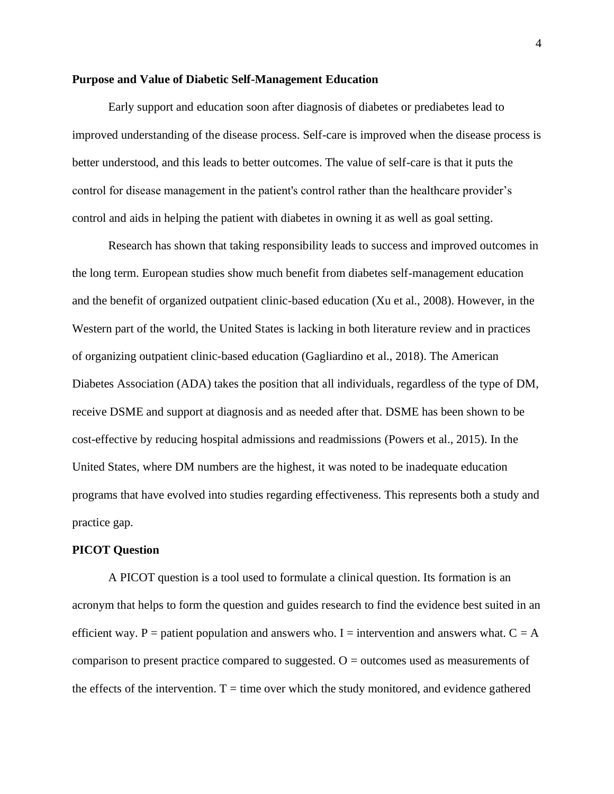#### **Purpose and Value of Diabetic Self-Management Education**

Early support and education soon after diagnosis of diabetes or prediabetes lead to improved understanding of the disease process. Self-care is improved when the disease process is better understood, and this leads to better outcomes. The value of self-care is that it puts the control for disease management in the patient's control rather than the healthcare provider's control and aids in helping the patient with diabetes in owning it as well as goal setting.

Research has shown that taking responsibility leads to success and improved outcomes in the long term. European studies show much benefit from diabetes self-management education and the benefit of organized outpatient clinic-based education (Xu et al., 2008). However, in the Western part of the world, the United States is lacking in both literature review and in practices of organizing outpatient clinic-based education (Gagliardino et al., 2018). The American Diabetes Association (ADA) takes the position that all individuals, regardless of the type of DM, receive DSME and support at diagnosis and as needed after that. DSME has been shown to be cost-effective by reducing hospital admissions and readmissions (Powers et al., 2015). In the United States, where DM numbers are the highest, it was noted to be inadequate education programs that have evolved into studies regarding effectiveness. This represents both a study and practice gap.

## **PICOT Question**

A PICOT question is a tool used to formulate a clinical question. Its formation is an acronym that helps to form the question and guides research to find the evidence best suited in an efficient way. P = patient population and answers who. I = intervention and answers what.  $C = A$ comparison to present practice compared to suggested.  $O =$  outcomes used as measurements of the effects of the intervention.  $T =$  time over which the study monitored, and evidence gathered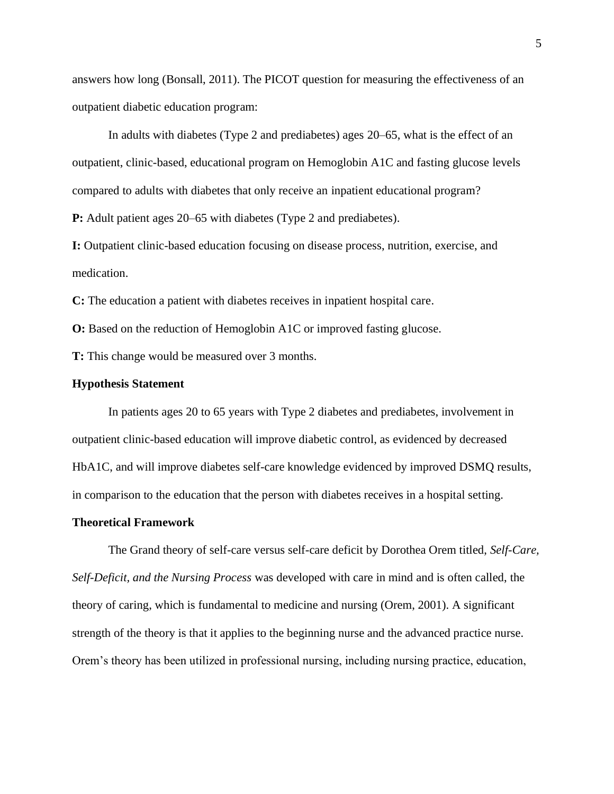answers how long (Bonsall, 2011). The PICOT question for measuring the effectiveness of an outpatient diabetic education program:

In adults with diabetes (Type 2 and prediabetes) ages 20–65, what is the effect of an outpatient, clinic-based, educational program on Hemoglobin A1C and fasting glucose levels compared to adults with diabetes that only receive an inpatient educational program? **P:** Adult patient ages 20–65 with diabetes (Type 2 and prediabetes).

**I:** Outpatient clinic-based education focusing on disease process, nutrition, exercise, and medication.

**C:** The education a patient with diabetes receives in inpatient hospital care.

**O:** Based on the reduction of Hemoglobin A1C or improved fasting glucose.

**T:** This change would be measured over 3 months.

# **Hypothesis Statement**

In patients ages 20 to 65 years with Type 2 diabetes and prediabetes, involvement in outpatient clinic-based education will improve diabetic control, as evidenced by decreased HbA1C, and will improve diabetes self-care knowledge evidenced by improved DSMQ results, in comparison to the education that the person with diabetes receives in a hospital setting.

#### **Theoretical Framework**

The Grand theory of self-care versus self-care deficit by Dorothea Orem titled, *Self-Care, Self-Deficit, and the Nursing Process* was developed with care in mind and is often called, the theory of caring, which is fundamental to medicine and nursing (Orem, 2001). A significant strength of the theory is that it applies to the beginning nurse and the advanced practice nurse. Orem's theory has been utilized in professional nursing, including nursing practice, education,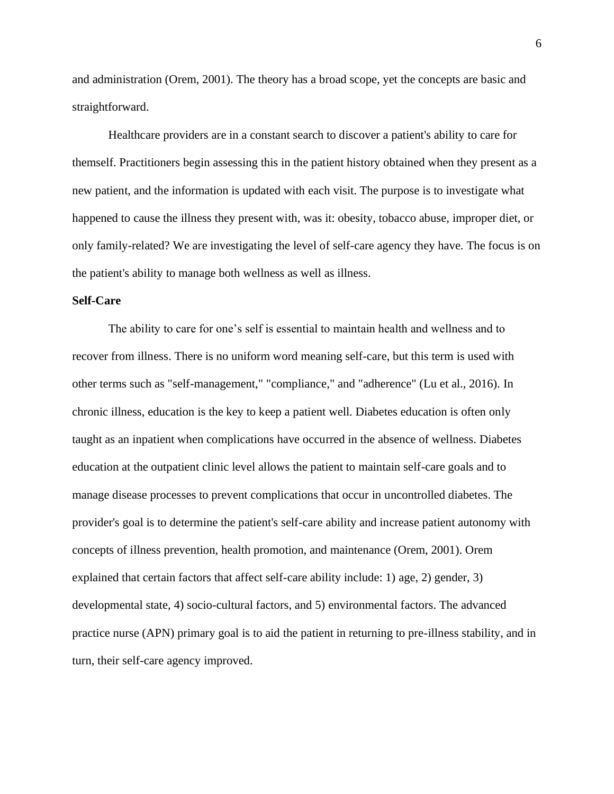and administration (Orem, 2001). The theory has a broad scope, yet the concepts are basic and straightforward.

Healthcare providers are in a constant search to discover a patient's ability to care for themself. Practitioners begin assessing this in the patient history obtained when they present as a new patient, and the information is updated with each visit. The purpose is to investigate what happened to cause the illness they present with, was it: obesity, tobacco abuse, improper diet, or only family-related? We are investigating the level of self-care agency they have. The focus is on the patient's ability to manage both wellness as well as illness.

### **Self-Care**

The ability to care for one's self is essential to maintain health and wellness and to recover from illness. There is no uniform word meaning self-care, but this term is used with other terms such as "self-management," "compliance," and "adherence" (Lu et al., 2016). In chronic illness, education is the key to keep a patient well. Diabetes education is often only taught as an inpatient when complications have occurred in the absence of wellness. Diabetes education at the outpatient clinic level allows the patient to maintain self-care goals and to manage disease processes to prevent complications that occur in uncontrolled diabetes. The provider's goal is to determine the patient's self-care ability and increase patient autonomy with concepts of illness prevention, health promotion, and maintenance (Orem, 2001). Orem explained that certain factors that affect self-care ability include: 1) age, 2) gender, 3) developmental state, 4) socio-cultural factors, and 5) environmental factors. The advanced practice nurse (APN) primary goal is to aid the patient in returning to pre-illness stability, and in turn, their self-care agency improved.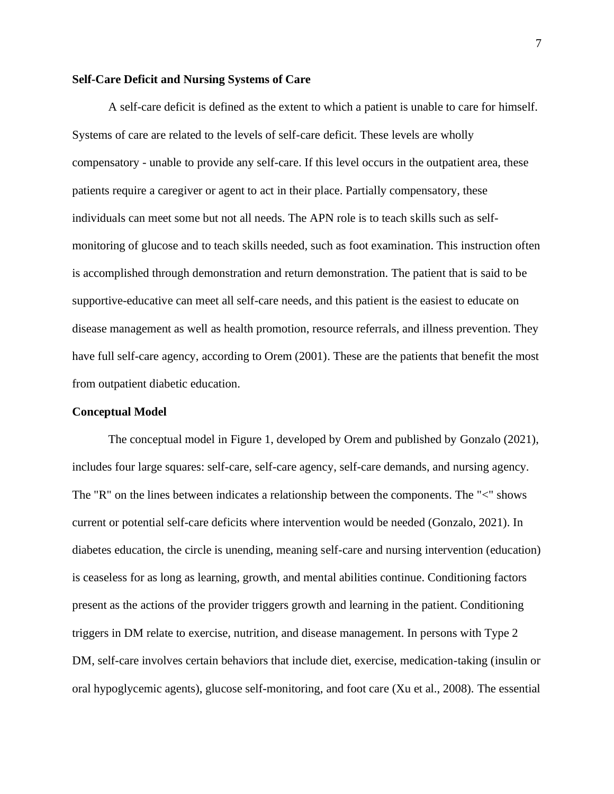#### **Self-Care Deficit and Nursing Systems of Care**

A self-care deficit is defined as the extent to which a patient is unable to care for himself. Systems of care are related to the levels of self-care deficit. These levels are wholly compensatory - unable to provide any self-care. If this level occurs in the outpatient area, these patients require a caregiver or agent to act in their place. Partially compensatory, these individuals can meet some but not all needs. The APN role is to teach skills such as selfmonitoring of glucose and to teach skills needed, such as foot examination. This instruction often is accomplished through demonstration and return demonstration. The patient that is said to be supportive-educative can meet all self-care needs, and this patient is the easiest to educate on disease management as well as health promotion, resource referrals, and illness prevention. They have full self-care agency, according to Orem (2001). These are the patients that benefit the most from outpatient diabetic education.

#### **Conceptual Model**

The conceptual model in Figure 1, developed by Orem and published by Gonzalo (2021), includes four large squares: self-care, self-care agency, self-care demands, and nursing agency. The "R" on the lines between indicates a relationship between the components. The "<" shows current or potential self-care deficits where intervention would be needed (Gonzalo, 2021). In diabetes education, the circle is unending, meaning self-care and nursing intervention (education) is ceaseless for as long as learning, growth, and mental abilities continue. Conditioning factors present as the actions of the provider triggers growth and learning in the patient. Conditioning triggers in DM relate to exercise, nutrition, and disease management. In persons with Type 2 DM, self-care involves certain behaviors that include diet, exercise, medication-taking (insulin or oral hypoglycemic agents), glucose self-monitoring, and foot care (Xu et al., 2008). The essential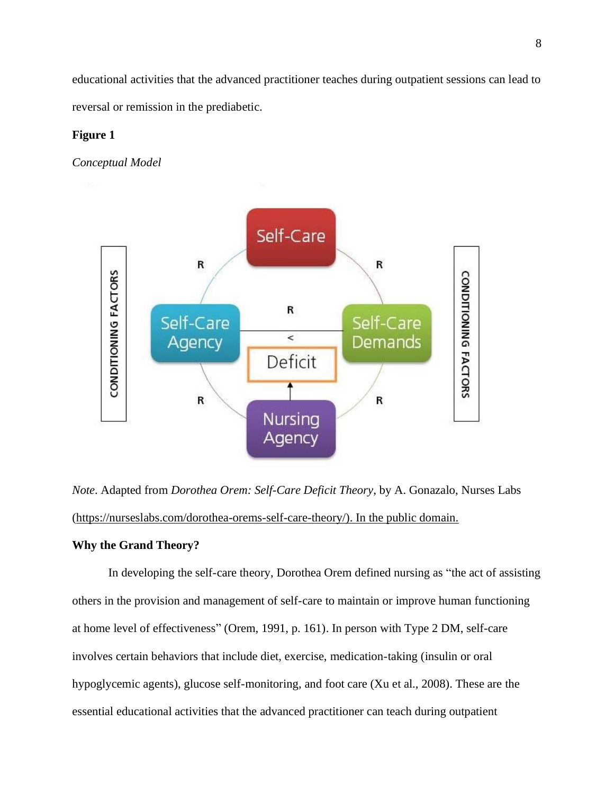educational activities that the advanced practitioner teaches during outpatient sessions can lead to reversal or remission in the prediabetic.

# **Figure 1**

*Conceptual Model*



*Note*. Adapted from *Dorothea Orem: Self-Care Deficit Theory*, by A. Gonazalo, Nurses Labs [\(https://nurseslabs.com/dorothea-orems-self-care-theory/\)](https://nurseslabs.com/dorothea-orems-self-care-theory/). In the public domain.

# **Why the Grand Theory?**

In developing the self-care theory, [Dorothea Orem](https://nurseslabs.com/dorothea-orem/) defined nursing as "the act of assisting others in the provision and management of self-care to maintain or improve human functioning at home level of effectiveness" (Orem, 1991, p. 161). In person with Type 2 DM, self-care involves certain behaviors that include diet, exercise, medication-taking (insulin or oral hypoglycemic agents), glucose self-monitoring, and foot care (Xu [et al., 2008\)](https://www.ncbi.nlm.nih.gov/pmc/articles/PMC4792777/#R92). These are the essential educational activities that the advanced practitioner can teach during outpatient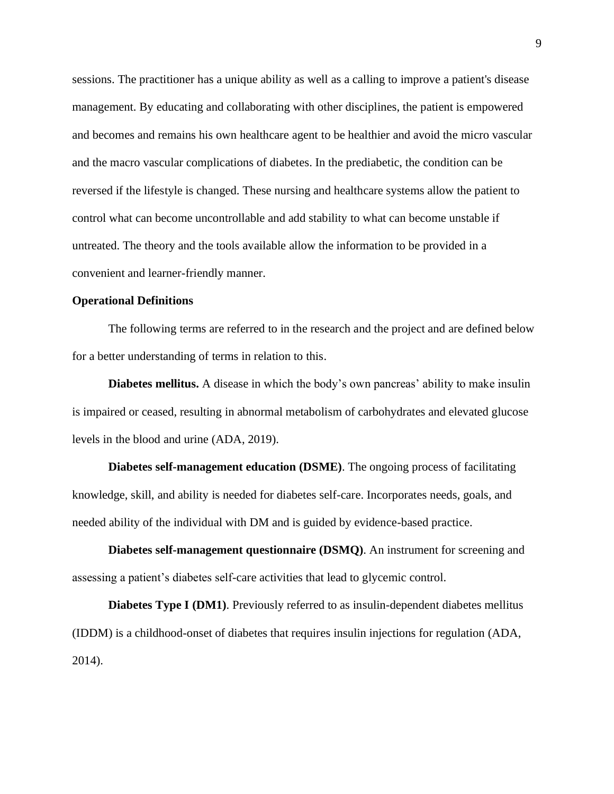sessions. The practitioner has a unique ability as well as a calling to improve a patient's disease management. By educating and collaborating with other disciplines, the patient is empowered and becomes and remains his own healthcare agent to be healthier and avoid the micro vascular and the macro vascular complications of diabetes. In the prediabetic, the condition can be reversed if the lifestyle is changed. These nursing and healthcare systems allow the patient to control what can become uncontrollable and add stability to what can become unstable if untreated. The theory and the tools available allow the information to be provided in a convenient and learner-friendly manner.

# **Operational Definitions**

The following terms are referred to in the research and the project and are defined below for a better understanding of terms in relation to this.

**Diabetes mellitus.** A disease in which the body's own pancreas' ability to make insulin is impaired or ceased, resulting in abnormal metabolism of carbohydrates and elevated glucose levels in the blood and urine (ADA, 2019).

**Diabetes self-management education (DSME)**. The ongoing process of facilitating knowledge, skill, and ability is needed for diabetes self-care. Incorporates needs, goals, and needed ability of the individual with DM and is guided by evidence-based practice.

**Diabetes self-management questionnaire (DSMQ)**. An instrument for screening and assessing a patient's diabetes self-care activities that lead to glycemic control.

**Diabetes Type I (DM1)**. Previously referred to as insulin-dependent diabetes mellitus (IDDM) is a childhood-onset of diabetes that requires insulin injections for regulation (ADA, 2014).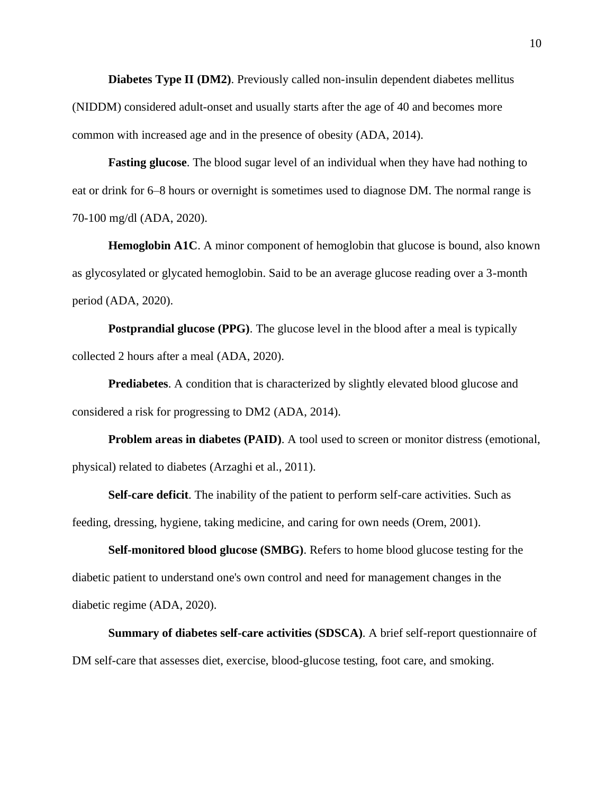**Diabetes Type II (DM2)**. Previously called non-insulin dependent diabetes mellitus (NIDDM) considered adult-onset and usually starts after the age of 40 and becomes more common with increased age and in the presence of obesity (ADA, 2014).

**Fasting glucose**. The blood sugar level of an individual when they have had nothing to eat or drink for 6–8 hours or overnight is sometimes used to diagnose DM. The normal range is 70-100 mg/dl (ADA, 2020).

**Hemoglobin A1C.** A minor component of hemoglobin that glucose is bound, also known as glycosylated or glycated hemoglobin. Said to be an average glucose reading over a 3-month period (ADA, 2020).

**Postprandial glucose (PPG).** The glucose level in the blood after a meal is typically collected 2 hours after a meal (ADA, 2020).

**Prediabetes**. A condition that is characterized by slightly elevated blood glucose and considered a risk for progressing to DM2 (ADA, 2014).

**Problem areas in diabetes (PAID)**. A tool used to screen or monitor distress (emotional, physical) related to diabetes (Arzaghi et al., 2011).

**Self-care deficit**. The inability of the patient to perform self-care activities. Such as feeding, dressing, hygiene, taking medicine, and caring for own needs (Orem, 2001).

**Self-monitored blood glucose (SMBG)**. Refers to home blood glucose testing for the diabetic patient to understand one's own control and need for management changes in the diabetic regime (ADA, 2020).

**Summary of diabetes self-care activities (SDSCA)**. A brief self-report questionnaire of DM self-care that assesses diet, exercise, blood-glucose testing, foot care, and smoking.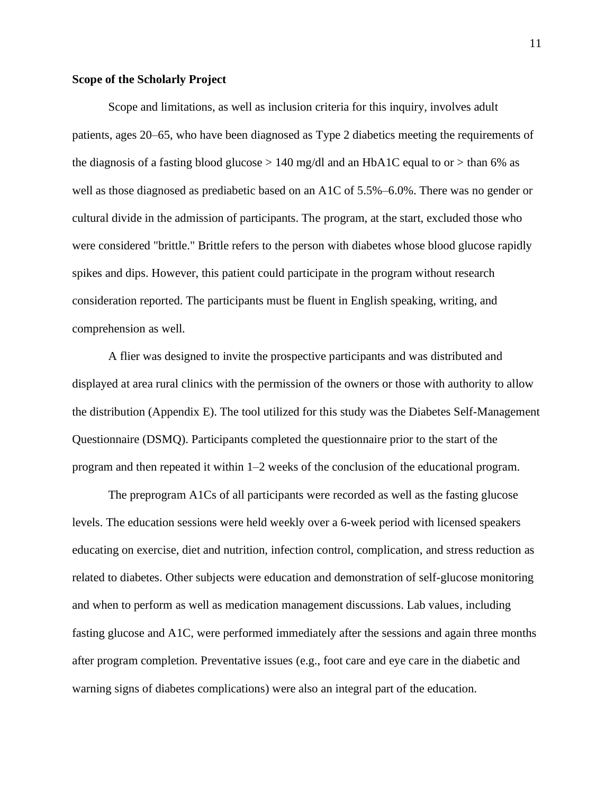#### **Scope of the Scholarly Project**

Scope and limitations, as well as inclusion criteria for this inquiry, involves adult patients, ages 20–65, who have been diagnosed as Type 2 diabetics meeting the requirements of the diagnosis of a fasting blood glucose  $> 140$  mg/dl and an HbA1C equal to or  $>$  than 6% as well as those diagnosed as prediabetic based on an A1C of 5.5%–6.0%. There was no gender or cultural divide in the admission of participants. The program, at the start, excluded those who were considered "brittle." Brittle refers to the person with diabetes whose blood glucose rapidly spikes and dips. However, this patient could participate in the program without research consideration reported. The participants must be fluent in English speaking, writing, and comprehension as well.

A flier was designed to invite the prospective participants and was distributed and displayed at area rural clinics with the permission of the owners or those with authority to allow the distribution (Appendix E). The tool utilized for this study was the Diabetes Self-Management Questionnaire (DSMQ). Participants completed the questionnaire prior to the start of the program and then repeated it within 1–2 weeks of the conclusion of the educational program.

The preprogram A1Cs of all participants were recorded as well as the fasting glucose levels. The education sessions were held weekly over a 6-week period with licensed speakers educating on exercise, diet and nutrition, infection control, complication, and stress reduction as related to diabetes. Other subjects were education and demonstration of self-glucose monitoring and when to perform as well as medication management discussions. Lab values, including fasting glucose and A1C, were performed immediately after the sessions and again three months after program completion. Preventative issues (e.g., foot care and eye care in the diabetic and warning signs of diabetes complications) were also an integral part of the education.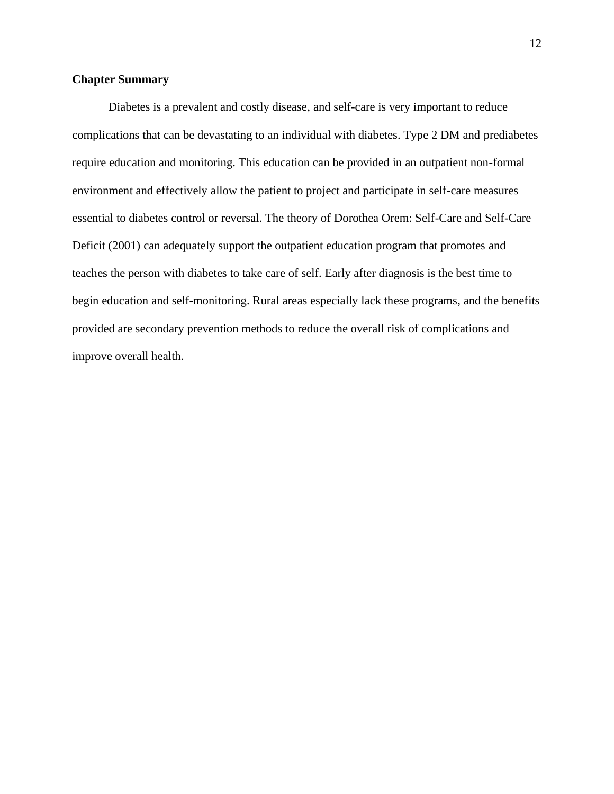# **Chapter Summary**

Diabetes is a prevalent and costly disease, and self-care is very important to reduce complications that can be devastating to an individual with diabetes. Type 2 DM and prediabetes require education and monitoring. This education can be provided in an outpatient non-formal environment and effectively allow the patient to project and participate in self-care measures essential to diabetes control or reversal. The theory of Dorothea Orem: Self-Care and Self-Care Deficit (2001) can adequately support the outpatient education program that promotes and teaches the person with diabetes to take care of self. Early after diagnosis is the best time to begin education and self-monitoring. Rural areas especially lack these programs, and the benefits provided are secondary prevention methods to reduce the overall risk of complications and improve overall health.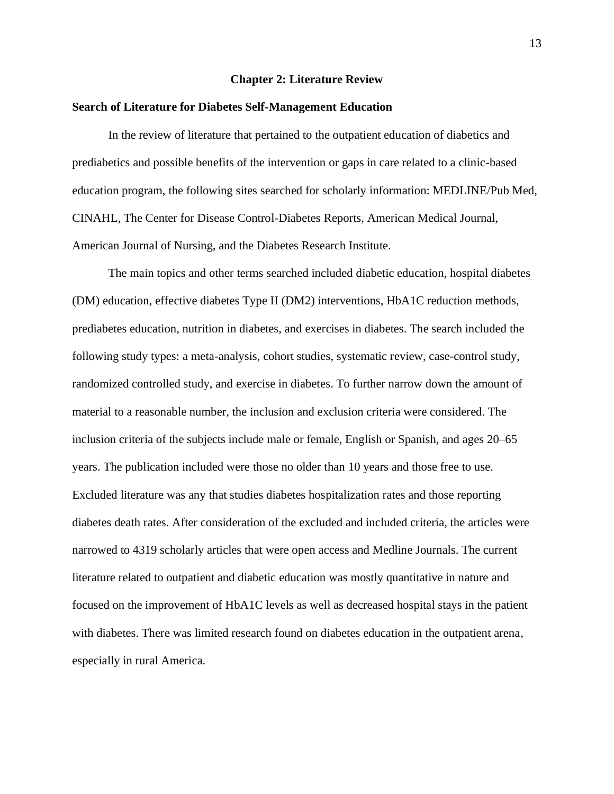#### **Chapter 2: Literature Review**

#### **Search of Literature for Diabetes Self-Management Education**

In the review of literature that pertained to the outpatient education of diabetics and prediabetics and possible benefits of the intervention or gaps in care related to a clinic-based education program, the following sites searched for scholarly information: MEDLINE/Pub Med, CINAHL, The Center for Disease Control-Diabetes Reports, American Medical Journal, American Journal of Nursing, and the Diabetes Research Institute.

The main topics and other terms searched included diabetic education, hospital diabetes (DM) education, effective diabetes Type II (DM2) interventions, HbA1C reduction methods, prediabetes education, nutrition in diabetes, and exercises in diabetes. The search included the following study types: a meta-analysis, cohort studies, systematic review, case-control study, randomized controlled study, and exercise in diabetes. To further narrow down the amount of material to a reasonable number, the inclusion and exclusion criteria were considered. The inclusion criteria of the subjects include male or female, English or Spanish, and ages 20–65 years. The publication included were those no older than 10 years and those free to use. Excluded literature was any that studies diabetes hospitalization rates and those reporting diabetes death rates. After consideration of the excluded and included criteria, the articles were narrowed to 4319 scholarly articles that were open access and Medline Journals. The current literature related to outpatient and diabetic education was mostly quantitative in nature and focused on the improvement of HbA1C levels as well as decreased hospital stays in the patient with diabetes. There was limited research found on diabetes education in the outpatient arena, especially in rural America.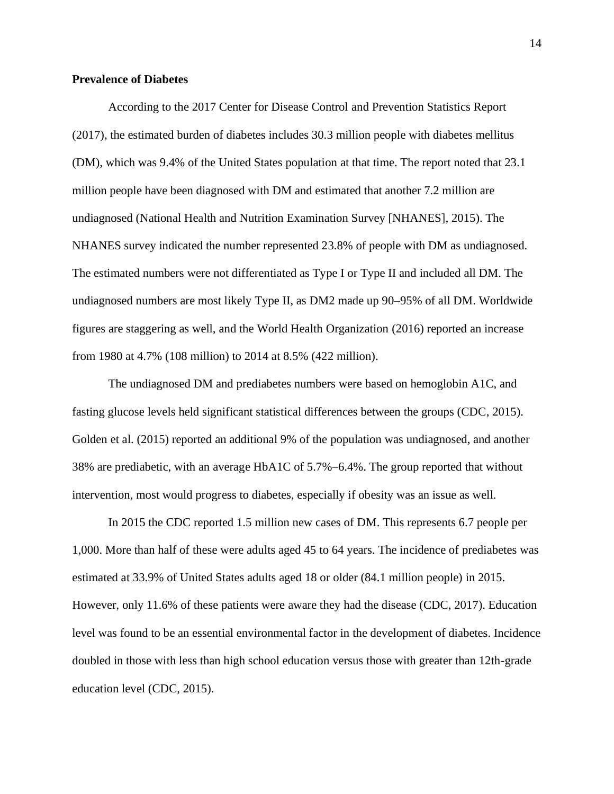# **Prevalence of Diabetes**

According to the 2017 Center for Disease Control and Prevention Statistics Report (2017), the estimated burden of diabetes includes 30.3 million people with diabetes mellitus (DM), which was 9.4% of the United States population at that time. The report noted that 23.1 million people have been diagnosed with DM and estimated that another 7.2 million are undiagnosed (National Health and Nutrition Examination Survey [NHANES], 2015). The NHANES survey indicated the number represented 23.8% of people with DM as undiagnosed. The estimated numbers were not differentiated as Type I or Type II and included all DM. The undiagnosed numbers are most likely Type II, as DM2 made up 90–95% of all DM. Worldwide figures are staggering as well, and the World Health Organization (2016) reported an increase from 1980 at 4.7% (108 million) to 2014 at 8.5% (422 million).

The undiagnosed DM and prediabetes numbers were based on hemoglobin A1C, and fasting glucose levels held significant statistical differences between the groups (CDC, 2015). Golden et al. (2015) reported an additional 9% of the population was undiagnosed, and another 38% are prediabetic, with an average HbA1C of 5.7%–6.4%. The group reported that without intervention, most would progress to diabetes, especially if obesity was an issue as well.

In 2015 the CDC reported 1.5 million new cases of DM. This represents 6.7 people per 1,000. More than half of these were adults aged 45 to 64 years. The incidence of prediabetes was estimated at 33.9% of United States adults aged 18 or older (84.1 million people) in 2015. However, only 11.6% of these patients were aware they had the disease (CDC, 2017). Education level was found to be an essential environmental factor in the development of diabetes. Incidence doubled in those with less than high school education versus those with greater than 12th-grade education level (CDC, 2015).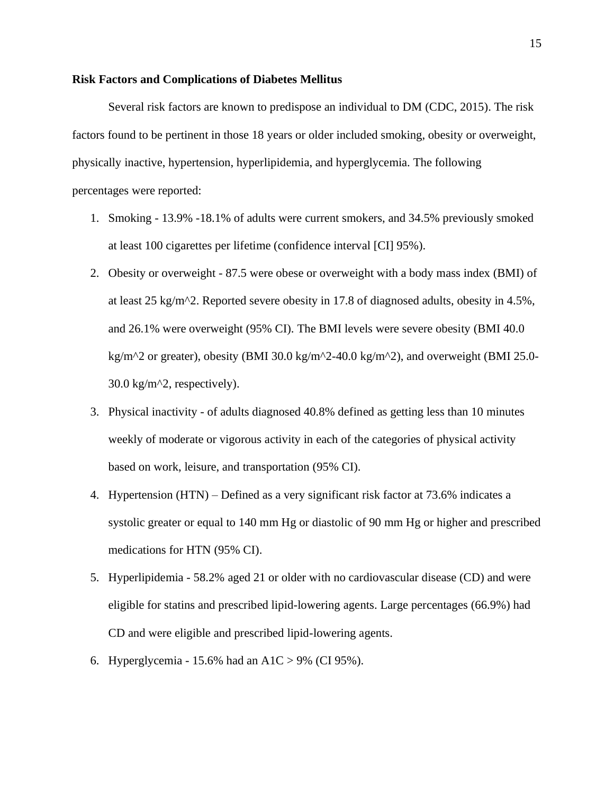#### **Risk Factors and Complications of Diabetes Mellitus**

Several risk factors are known to predispose an individual to DM (CDC, 2015). The risk factors found to be pertinent in those 18 years or older included smoking, obesity or overweight, physically inactive, hypertension, hyperlipidemia, and hyperglycemia. The following percentages were reported:

- 1. Smoking 13.9% -18.1% of adults were current smokers, and 34.5% previously smoked at least 100 cigarettes per lifetime (confidence interval [CI] 95%).
- 2. Obesity or overweight 87.5 were obese or overweight with a body mass index (BMI) of at least 25 kg/m<sup> $\gamma$ </sup>2. Reported severe obesity in 17.8 of diagnosed adults, obesity in 4.5%, and 26.1% were overweight (95% CI). The BMI levels were severe obesity (BMI 40.0 kg/m<sup> $\text{A}$ 2 or greater), obesity (BMI 30.0 kg/m $\text{A}$ 2-40.0 kg/m $\text{A}$ 2), and overweight (BMI 25.0-</sup>  $30.0 \text{ kg/m}^2$ , respectively).
- 3. Physical inactivity of adults diagnosed 40.8% defined as getting less than 10 minutes weekly of moderate or vigorous activity in each of the categories of physical activity based on work, leisure, and transportation (95% CI).
- 4. Hypertension (HTN) Defined as a very significant risk factor at 73.6% indicates a systolic greater or equal to 140 mm Hg or diastolic of 90 mm Hg or higher and prescribed medications for HTN (95% CI).
- 5. Hyperlipidemia 58.2% aged 21 or older with no cardiovascular disease (CD) and were eligible for statins and prescribed lipid-lowering agents. Large percentages (66.9%) had CD and were eligible and prescribed lipid-lowering agents.
- 6. Hyperglycemia 15.6% had an  $A1C > 9%$  (CI 95%).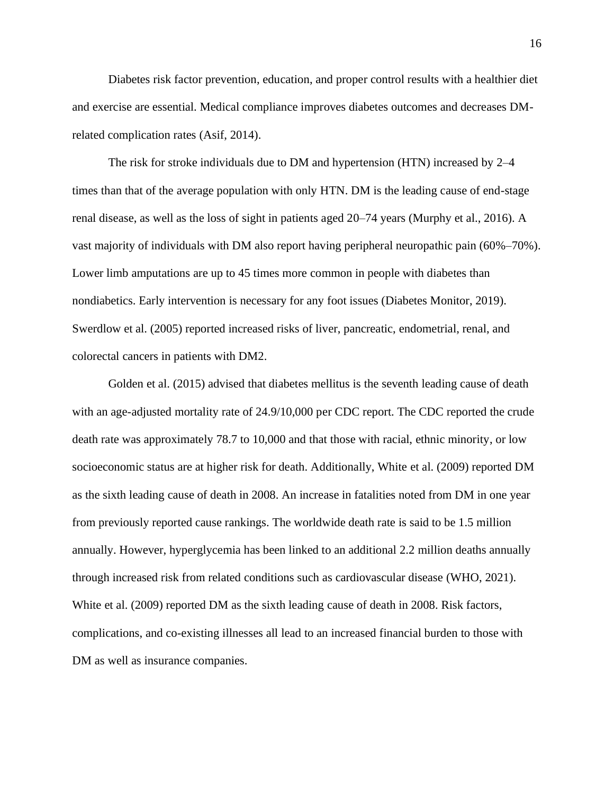Diabetes risk factor prevention, education, and proper control results with a healthier diet and exercise are essential. Medical compliance improves diabetes outcomes and decreases DMrelated complication rates (Asif, 2014).

The risk for stroke individuals due to DM and hypertension (HTN) increased by 2–4 times than that of the average population with only HTN. DM is the leading cause of end-stage renal disease, as well as the loss of sight in patients aged 20–74 years (Murphy et al., 2016). A vast majority of individuals with DM also report having peripheral neuropathic pain (60%–70%). Lower limb amputations are up to 45 times more common in people with diabetes than nondiabetics. Early intervention is necessary for any foot issues (Diabetes Monitor, 2019). Swerdlow et al. (2005) reported increased risks of liver, pancreatic, endometrial, renal, and colorectal cancers in patients with DM2.

Golden et al. (2015) advised that diabetes mellitus is the seventh leading cause of death with an age-adjusted mortality rate of 24.9/10,000 per CDC report. The CDC reported the crude death rate was approximately 78.7 to 10,000 and that those with racial, ethnic minority, or low socioeconomic status are at higher risk for death. Additionally, White et al. (2009) reported DM as the sixth leading cause of death in 2008. An increase in fatalities noted from DM in one year from previously reported cause rankings. The worldwide death rate is said to be 1.5 million annually. However, hyperglycemia has been linked to an additional 2.2 million deaths annually through increased risk from related conditions such as cardiovascular disease (WHO, 2021). White et al. (2009) reported DM as the sixth leading cause of death in 2008. Risk factors, complications, and co-existing illnesses all lead to an increased financial burden to those with DM as well as insurance companies.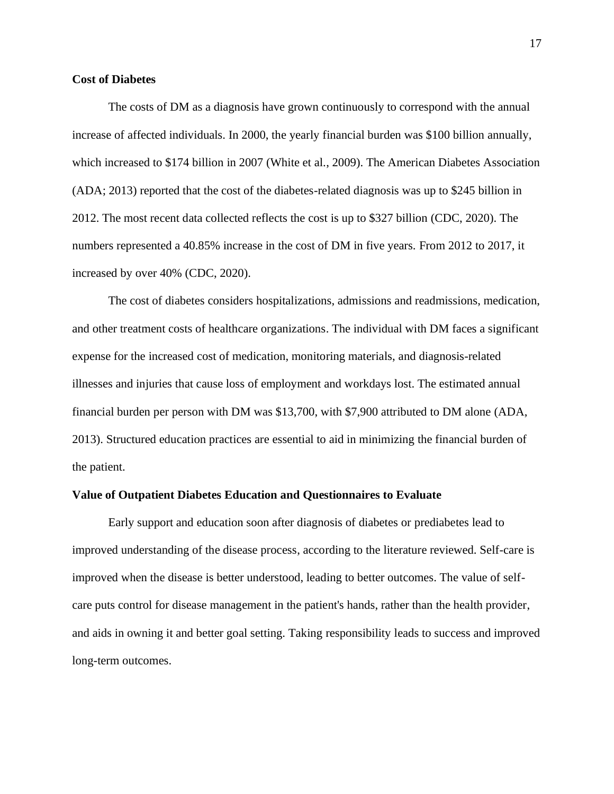## **Cost of Diabetes**

The costs of DM as a diagnosis have grown continuously to correspond with the annual increase of affected individuals. In 2000, the yearly financial burden was \$100 billion annually, which increased to \$174 billion in 2007 (White et al., 2009). The American Diabetes Association (ADA; 2013) reported that the cost of the diabetes-related diagnosis was up to \$245 billion in 2012. The most recent data collected reflects the cost is up to \$327 billion (CDC, 2020). The numbers represented a 40.85% increase in the cost of DM in five years. From 2012 to 2017, it increased by over 40% (CDC, 2020).

The cost of diabetes considers hospitalizations, admissions and readmissions, medication, and other treatment costs of healthcare organizations. The individual with DM faces a significant expense for the increased cost of medication, monitoring materials, and diagnosis-related illnesses and injuries that cause loss of employment and workdays lost. The estimated annual financial burden per person with DM was \$13,700, with \$7,900 attributed to DM alone (ADA, 2013). Structured education practices are essential to aid in minimizing the financial burden of the patient.

#### **Value of Outpatient Diabetes Education and Questionnaires to Evaluate**

Early support and education soon after diagnosis of diabetes or prediabetes lead to improved understanding of the disease process, according to the literature reviewed. Self-care is improved when the disease is better understood, leading to better outcomes. The value of selfcare puts control for disease management in the patient's hands, rather than the health provider, and aids in owning it and better goal setting. Taking responsibility leads to success and improved long-term outcomes.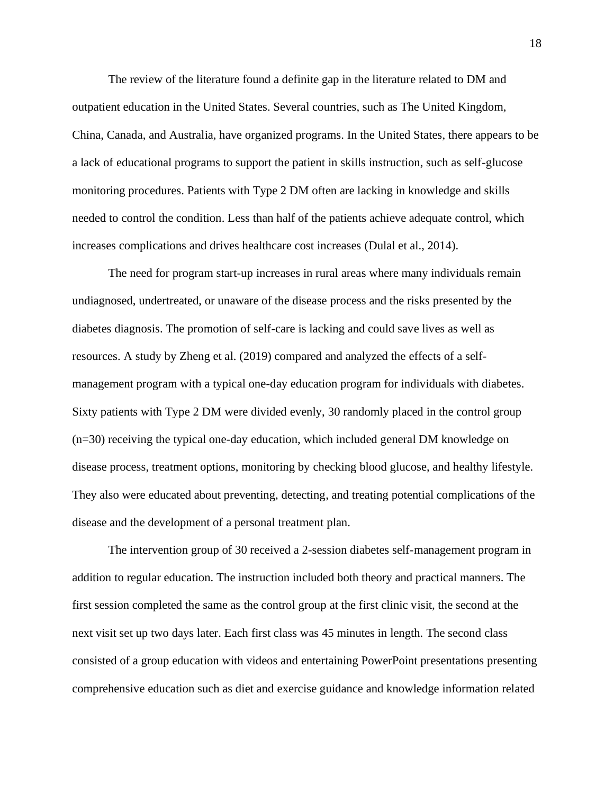The review of the literature found a definite gap in the literature related to DM and outpatient education in the United States. Several countries, such as The United Kingdom, China, Canada, and Australia, have organized programs. In the United States, there appears to be a lack of educational programs to support the patient in skills instruction, such as self-glucose monitoring procedures. Patients with Type 2 DM often are lacking in knowledge and skills needed to control the condition. Less than half of the patients achieve adequate control, which increases complications and drives healthcare cost increases (Dulal et al., 2014).

The need for program start-up increases in rural areas where many individuals remain undiagnosed, undertreated, or unaware of the disease process and the risks presented by the diabetes diagnosis. The promotion of self-care is lacking and could save lives as well as resources. A study by Zheng et al. (2019) compared and analyzed the effects of a selfmanagement program with a typical one-day education program for individuals with diabetes. Sixty patients with Type 2 DM were divided evenly, 30 randomly placed in the control group (n=30) receiving the typical one-day education, which included general DM knowledge on disease process, treatment options, monitoring by checking blood glucose, and healthy lifestyle. They also were educated about preventing, detecting, and treating potential complications of the disease and the development of a personal treatment plan.

The intervention group of 30 received a 2-session diabetes self-management program in addition to regular education. The instruction included both theory and practical manners. The first session completed the same as the control group at the first clinic visit, the second at the next visit set up two days later. Each first class was 45 minutes in length. The second class consisted of a group education with videos and entertaining PowerPoint presentations presenting comprehensive education such as diet and exercise guidance and knowledge information related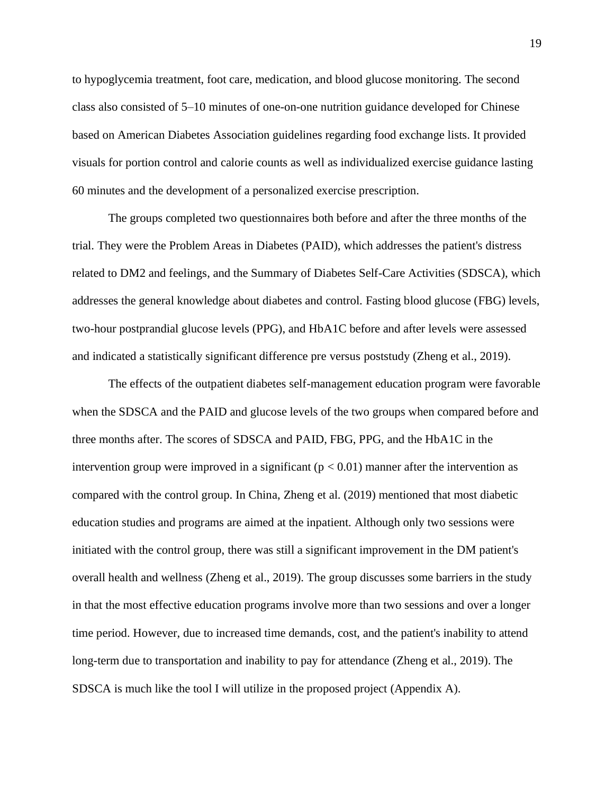to hypoglycemia treatment, foot care, medication, and blood glucose monitoring. The second class also consisted of 5–10 minutes of one-on-one nutrition guidance developed for Chinese based on American Diabetes Association guidelines regarding food exchange lists. It provided visuals for portion control and calorie counts as well as individualized exercise guidance lasting 60 minutes and the development of a personalized exercise prescription.

The groups completed two questionnaires both before and after the three months of the trial. They were the Problem Areas in Diabetes (PAID), which addresses the patient's distress related to DM2 and feelings, and the Summary of Diabetes Self-Care Activities (SDSCA), which addresses the general knowledge about diabetes and control. Fasting blood glucose (FBG) levels, two-hour postprandial glucose levels (PPG), and HbA1C before and after levels were assessed and indicated a statistically significant difference pre versus poststudy (Zheng et al., 2019).

The effects of the outpatient diabetes self-management education program were favorable when the SDSCA and the PAID and glucose levels of the two groups when compared before and three months after. The scores of SDSCA and PAID, FBG, PPG, and the HbA1C in the intervention group were improved in a significant ( $p < 0.01$ ) manner after the intervention as compared with the control group. In China, Zheng et al. (2019) mentioned that most diabetic education studies and programs are aimed at the inpatient. Although only two sessions were initiated with the control group, there was still a significant improvement in the DM patient's overall health and wellness (Zheng et al., 2019). The group discusses some barriers in the study in that the most effective education programs involve more than two sessions and over a longer time period. However, due to increased time demands, cost, and the patient's inability to attend long-term due to transportation and inability to pay for attendance (Zheng et al., 2019). The SDSCA is much like the tool I will utilize in the proposed project (Appendix A).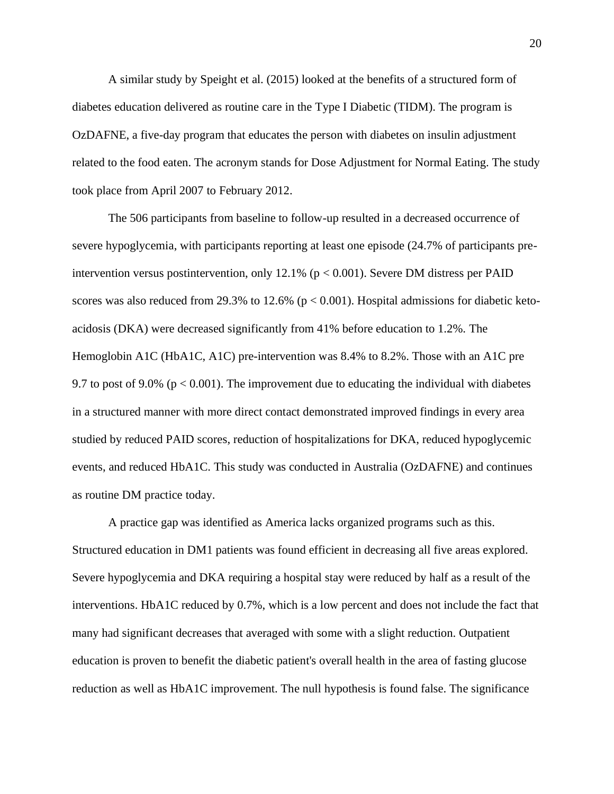A similar study by Speight et al. (2015) looked at the benefits of a structured form of diabetes education delivered as routine care in the Type I Diabetic (TIDM). The program is OzDAFNE, a five-day program that educates the person with diabetes on insulin adjustment related to the food eaten. The acronym stands for Dose Adjustment for Normal Eating. The study took place from April 2007 to February 2012.

The 506 participants from baseline to follow-up resulted in a decreased occurrence of severe hypoglycemia, with participants reporting at least one episode (24.7% of participants preintervention versus postintervention, only 12.1% ( $p < 0.001$ ). Severe DM distress per PAID scores was also reduced from 29.3% to 12.6% ( $p < 0.001$ ). Hospital admissions for diabetic ketoacidosis (DKA) were decreased significantly from 41% before education to 1.2%. The Hemoglobin A1C (HbA1C, A1C) pre-intervention was 8.4% to 8.2%. Those with an A1C pre 9.7 to post of 9.0% ( $p < 0.001$ ). The improvement due to educating the individual with diabetes in a structured manner with more direct contact demonstrated improved findings in every area studied by reduced PAID scores, reduction of hospitalizations for DKA, reduced hypoglycemic events, and reduced HbA1C. This study was conducted in Australia (OzDAFNE) and continues as routine DM practice today.

A practice gap was identified as America lacks organized programs such as this. Structured education in DM1 patients was found efficient in decreasing all five areas explored. Severe hypoglycemia and DKA requiring a hospital stay were reduced by half as a result of the interventions. HbA1C reduced by 0.7%, which is a low percent and does not include the fact that many had significant decreases that averaged with some with a slight reduction. Outpatient education is proven to benefit the diabetic patient's overall health in the area of fasting glucose reduction as well as HbA1C improvement. The null hypothesis is found false. The significance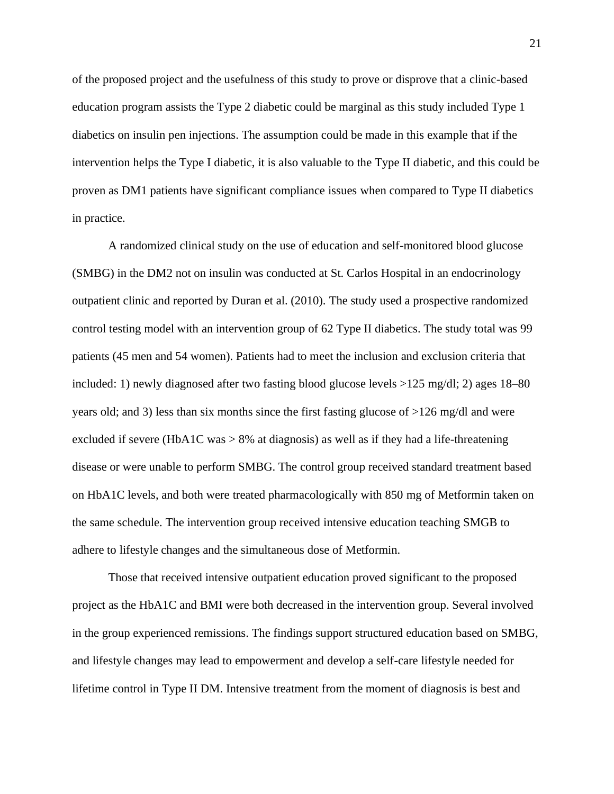of the proposed project and the usefulness of this study to prove or disprove that a clinic-based education program assists the Type 2 diabetic could be marginal as this study included Type 1 diabetics on insulin pen injections. The assumption could be made in this example that if the intervention helps the Type I diabetic, it is also valuable to the Type II diabetic, and this could be proven as DM1 patients have significant compliance issues when compared to Type II diabetics in practice.

A randomized clinical study on the use of education and self-monitored blood glucose (SMBG) in the DM2 not on insulin was conducted at St. Carlos Hospital in an endocrinology outpatient clinic and reported by Duran et al. (2010). The study used a prospective randomized control testing model with an intervention group of 62 Type II diabetics. The study total was 99 patients (45 men and 54 women). Patients had to meet the inclusion and exclusion criteria that included: 1) newly diagnosed after two fasting blood glucose levels >125 mg/dl; 2) ages 18–80 years old; and 3) less than six months since the first fasting glucose of >126 mg/dl and were excluded if severe (HbA1C was  $> 8\%$  at diagnosis) as well as if they had a life-threatening disease or were unable to perform SMBG. The control group received standard treatment based on HbA1C levels, and both were treated pharmacologically with 850 mg of Metformin taken on the same schedule. The intervention group received intensive education teaching SMGB to adhere to lifestyle changes and the simultaneous dose of Metformin.

Those that received intensive outpatient education proved significant to the proposed project as the HbA1C and BMI were both decreased in the intervention group. Several involved in the group experienced remissions. The findings support structured education based on SMBG, and lifestyle changes may lead to empowerment and develop a self-care lifestyle needed for lifetime control in Type II DM. Intensive treatment from the moment of diagnosis is best and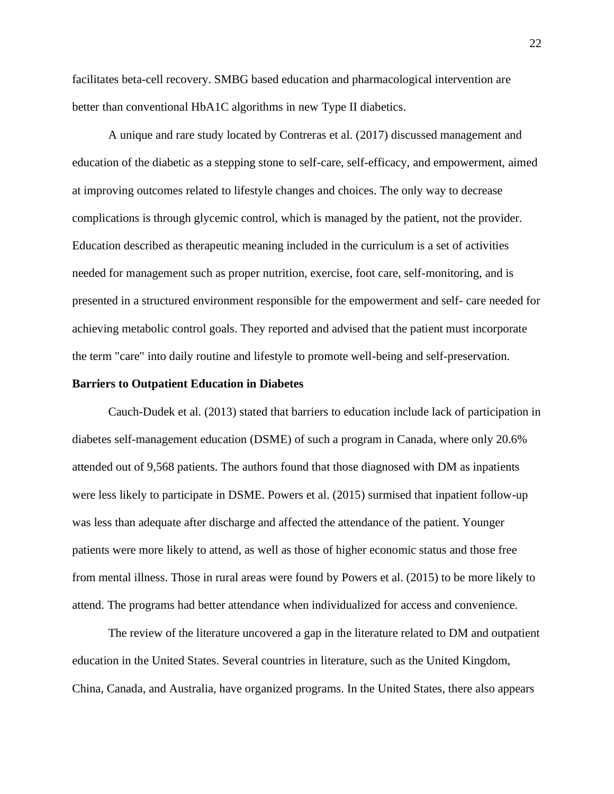facilitates beta-cell recovery. SMBG based education and pharmacological intervention are better than conventional HbA1C algorithms in new Type II diabetics.

A unique and rare study located by Contreras et al. (2017) discussed management and education of the diabetic as a stepping stone to self-care, self-efficacy, and empowerment, aimed at improving outcomes related to lifestyle changes and choices. The only way to decrease complications is through glycemic control, which is managed by the patient, not the provider. Education described as therapeutic meaning included in the curriculum is a set of activities needed for management such as proper nutrition, exercise, foot care, self-monitoring, and is presented in a structured environment responsible for the empowerment and self- care needed for achieving metabolic control goals. They reported and advised that the patient must incorporate the term "care" into daily routine and lifestyle to promote well-being and self-preservation.

#### **Barriers to Outpatient Education in Diabetes**

Cauch-Dudek et al. (2013) stated that barriers to education include lack of participation in diabetes self-management education (DSME) of such a program in Canada, where only 20.6% attended out of 9,568 patients. The authors found that those diagnosed with DM as inpatients were less likely to participate in DSME. Powers et al. (2015) surmised that inpatient follow-up was less than adequate after discharge and affected the attendance of the patient. Younger patients were more likely to attend, as well as those of higher economic status and those free from mental illness. Those in rural areas were found by Powers et al. (2015) to be more likely to attend. The programs had better attendance when individualized for access and convenience.

The review of the literature uncovered a gap in the literature related to DM and outpatient education in the United States. Several countries in literature, such as the United Kingdom, China, Canada, and Australia, have organized programs. In the United States, there also appears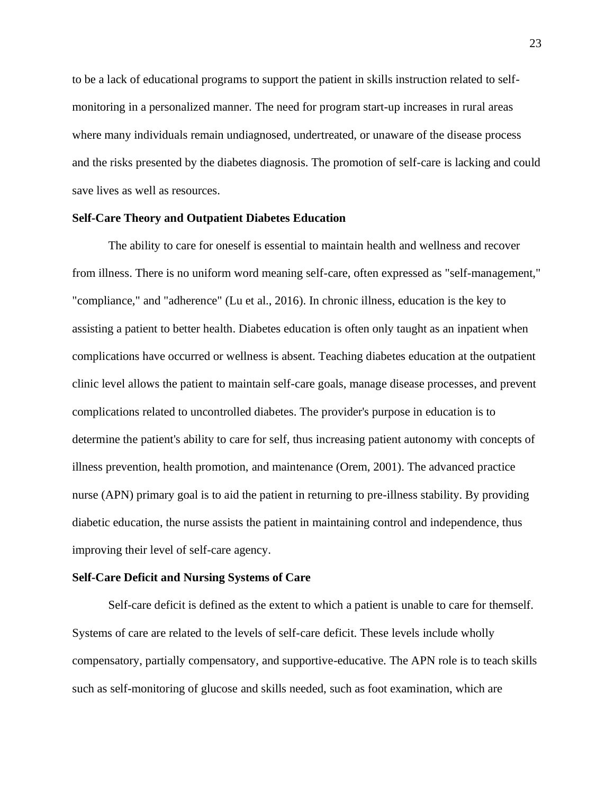to be a lack of educational programs to support the patient in skills instruction related to selfmonitoring in a personalized manner. The need for program start-up increases in rural areas where many individuals remain undiagnosed, undertreated, or unaware of the disease process and the risks presented by the diabetes diagnosis. The promotion of self-care is lacking and could save lives as well as resources.

## **Self-Care Theory and Outpatient Diabetes Education**

The ability to care for oneself is essential to maintain health and wellness and recover from illness. There is no uniform word meaning self-care, often expressed as "self-management," "compliance," and "adherence" (Lu et al., 2016). In chronic illness, education is the key to assisting a patient to better health. Diabetes education is often only taught as an inpatient when complications have occurred or wellness is absent. Teaching diabetes education at the outpatient clinic level allows the patient to maintain self-care goals, manage disease processes, and prevent complications related to uncontrolled diabetes. The provider's purpose in education is to determine the patient's ability to care for self, thus increasing patient autonomy with concepts of illness prevention, health promotion, and maintenance (Orem, 2001). The advanced practice nurse (APN) primary goal is to aid the patient in returning to pre-illness stability. By providing diabetic education, the nurse assists the patient in maintaining control and independence, thus improving their level of self-care agency.

## **Self-Care Deficit and Nursing Systems of Care**

Self-care deficit is defined as the extent to which a patient is unable to care for themself. Systems of care are related to the levels of self-care deficit. These levels include wholly compensatory, partially compensatory, and supportive-educative. The APN role is to teach skills such as self-monitoring of glucose and skills needed, such as foot examination, which are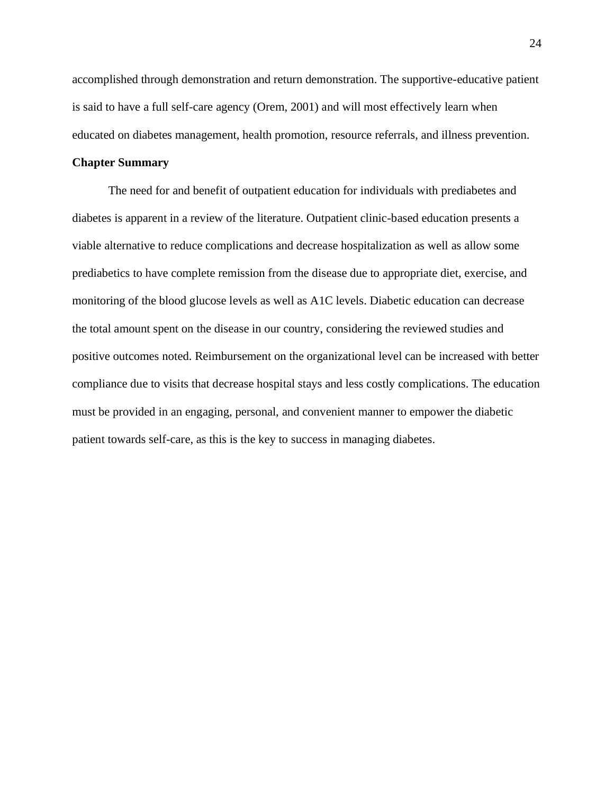accomplished through demonstration and return demonstration. The supportive-educative patient is said to have a full self-care agency (Orem, 2001) and will most effectively learn when educated on diabetes management, health promotion, resource referrals, and illness prevention.

# **Chapter Summary**

The need for and benefit of outpatient education for individuals with prediabetes and diabetes is apparent in a review of the literature. Outpatient clinic-based education presents a viable alternative to reduce complications and decrease hospitalization as well as allow some prediabetics to have complete remission from the disease due to appropriate diet, exercise, and monitoring of the blood glucose levels as well as A1C levels. Diabetic education can decrease the total amount spent on the disease in our country, considering the reviewed studies and positive outcomes noted. Reimbursement on the organizational level can be increased with better compliance due to visits that decrease hospital stays and less costly complications. The education must be provided in an engaging, personal, and convenient manner to empower the diabetic patient towards self-care, as this is the key to success in managing diabetes.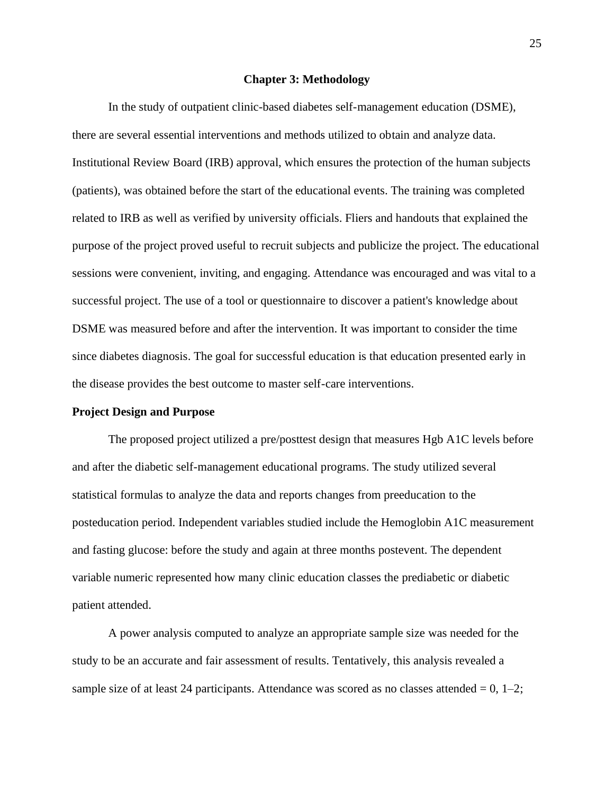#### **Chapter 3: Methodology**

In the study of outpatient clinic-based diabetes self-management education (DSME), there are several essential interventions and methods utilized to obtain and analyze data. Institutional Review Board (IRB) approval, which ensures the protection of the human subjects (patients), was obtained before the start of the educational events. The training was completed related to IRB as well as verified by university officials. Fliers and handouts that explained the purpose of the project proved useful to recruit subjects and publicize the project. The educational sessions were convenient, inviting, and engaging. Attendance was encouraged and was vital to a successful project. The use of a tool or questionnaire to discover a patient's knowledge about DSME was measured before and after the intervention. It was important to consider the time since diabetes diagnosis. The goal for successful education is that education presented early in the disease provides the best outcome to master self-care interventions.

#### **Project Design and Purpose**

The proposed project utilized a pre/posttest design that measures Hgb A1C levels before and after the diabetic self-management educational programs. The study utilized several statistical formulas to analyze the data and reports changes from preeducation to the posteducation period. Independent variables studied include the Hemoglobin A1C measurement and fasting glucose: before the study and again at three months postevent. The dependent variable numeric represented how many clinic education classes the prediabetic or diabetic patient attended.

A power analysis computed to analyze an appropriate sample size was needed for the study to be an accurate and fair assessment of results. Tentatively, this analysis revealed a sample size of at least 24 participants. Attendance was scored as no classes attended  $= 0, 1-2;$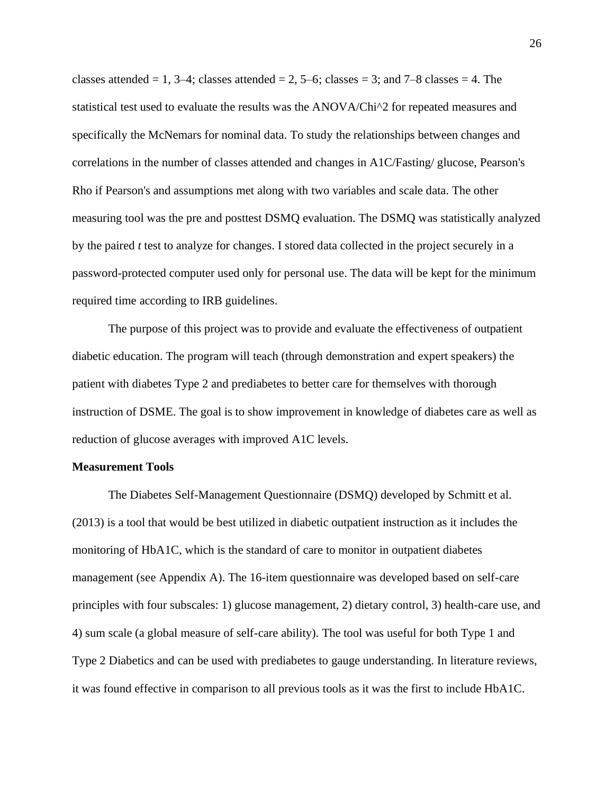classes attended  $= 1, 3-4$ ; classes attended  $= 2, 5-6$ ; classes  $= 3$ ; and  $7-8$  classes  $= 4$ . The statistical test used to evaluate the results was the ANOVA/Chi^2 for repeated measures and specifically the McNemars for nominal data. To study the relationships between changes and correlations in the number of classes attended and changes in A1C/Fasting/ glucose, Pearson's Rho if Pearson's and assumptions met along with two variables and scale data. The other measuring tool was the pre and posttest DSMQ evaluation. The DSMQ was statistically analyzed by the paired *t* test to analyze for changes. I stored data collected in the project securely in a password-protected computer used only for personal use. The data will be kept for the minimum required time according to IRB guidelines.

The purpose of this project was to provide and evaluate the effectiveness of outpatient diabetic education. The program will teach (through demonstration and expert speakers) the patient with diabetes Type 2 and prediabetes to better care for themselves with thorough instruction of DSME. The goal is to show improvement in knowledge of diabetes care as well as reduction of glucose averages with improved A1C levels.

# **Measurement Tools**

The Diabetes Self-Management Questionnaire (DSMQ) developed by Schmitt et al. (2013) is a tool that would be best utilized in diabetic outpatient instruction as it includes the monitoring of HbA1C, which is the standard of care to monitor in outpatient diabetes management (see Appendix A). The 16-item questionnaire was developed based on self-care principles with four subscales: 1) glucose management, 2) dietary control, 3) health-care use, and 4) sum scale (a global measure of self-care ability). The tool was useful for both Type 1 and Type 2 Diabetics and can be used with prediabetes to gauge understanding. In literature reviews, it was found effective in comparison to all previous tools as it was the first to include HbA1C.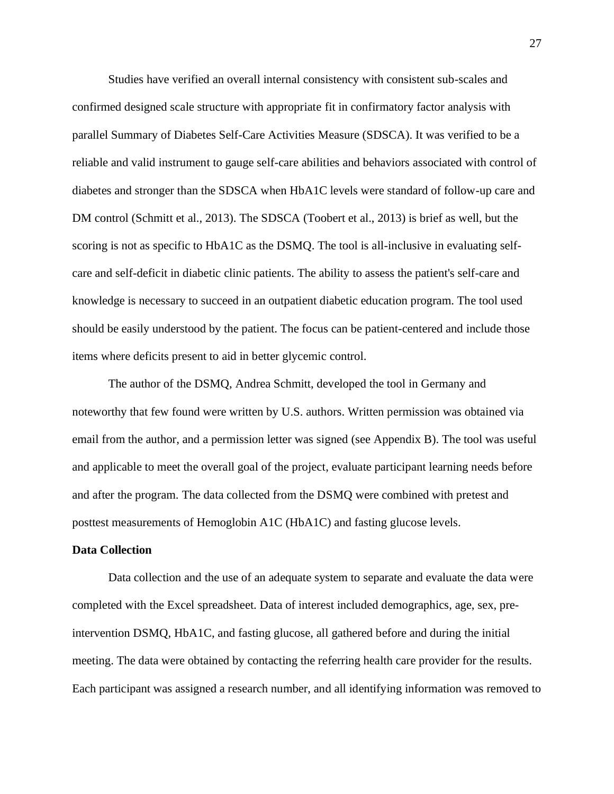Studies have verified an overall internal consistency with consistent sub-scales and confirmed designed scale structure with appropriate fit in confirmatory factor analysis with parallel Summary of Diabetes Self-Care Activities Measure (SDSCA). It was verified to be a reliable and valid instrument to gauge self-care abilities and behaviors associated with control of diabetes and stronger than the SDSCA when HbA1C levels were standard of follow-up care and DM control (Schmitt et al., 2013). The SDSCA (Toobert et al., 2013) is brief as well, but the scoring is not as specific to HbA1C as the DSMQ. The tool is all-inclusive in evaluating selfcare and self-deficit in diabetic clinic patients. The ability to assess the patient's self-care and knowledge is necessary to succeed in an outpatient diabetic education program. The tool used should be easily understood by the patient. The focus can be patient-centered and include those items where deficits present to aid in better glycemic control.

The author of the DSMQ, Andrea Schmitt, developed the tool in Germany and noteworthy that few found were written by U.S. authors. Written permission was obtained via email from the author, and a permission letter was signed (see Appendix B). The tool was useful and applicable to meet the overall goal of the project, evaluate participant learning needs before and after the program. The data collected from the DSMQ were combined with pretest and posttest measurements of Hemoglobin A1C (HbA1C) and fasting glucose levels.

## **Data Collection**

Data collection and the use of an adequate system to separate and evaluate the data were completed with the Excel spreadsheet. Data of interest included demographics, age, sex, preintervention DSMQ, HbA1C, and fasting glucose, all gathered before and during the initial meeting. The data were obtained by contacting the referring health care provider for the results. Each participant was assigned a research number, and all identifying information was removed to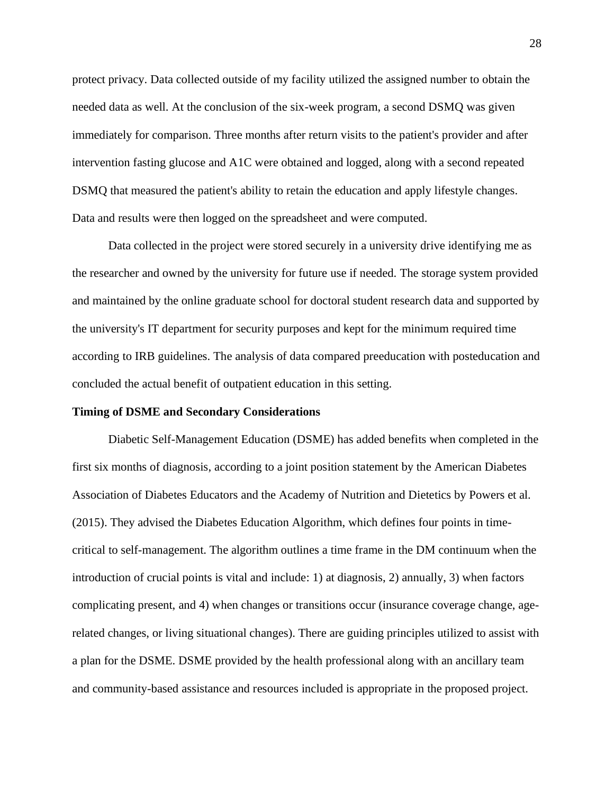protect privacy. Data collected outside of my facility utilized the assigned number to obtain the needed data as well. At the conclusion of the six-week program, a second DSMQ was given immediately for comparison. Three months after return visits to the patient's provider and after intervention fasting glucose and A1C were obtained and logged, along with a second repeated DSMQ that measured the patient's ability to retain the education and apply lifestyle changes. Data and results were then logged on the spreadsheet and were computed.

Data collected in the project were stored securely in a university drive identifying me as the researcher and owned by the university for future use if needed. The storage system provided and maintained by the online graduate school for doctoral student research data and supported by the university's IT department for security purposes and kept for the minimum required time according to IRB guidelines. The analysis of data compared preeducation with posteducation and concluded the actual benefit of outpatient education in this setting.

## **Timing of DSME and Secondary Considerations**

Diabetic Self-Management Education (DSME) has added benefits when completed in the first six months of diagnosis, according to a joint position statement by the American Diabetes Association of Diabetes Educators and the Academy of Nutrition and Dietetics by Powers et al. (2015). They advised the Diabetes Education Algorithm, which defines four points in timecritical to self-management. The algorithm outlines a time frame in the DM continuum when the introduction of crucial points is vital and include: 1) at diagnosis, 2) annually, 3) when factors complicating present, and 4) when changes or transitions occur (insurance coverage change, agerelated changes, or living situational changes). There are guiding principles utilized to assist with a plan for the DSME. DSME provided by the health professional along with an ancillary team and community-based assistance and resources included is appropriate in the proposed project.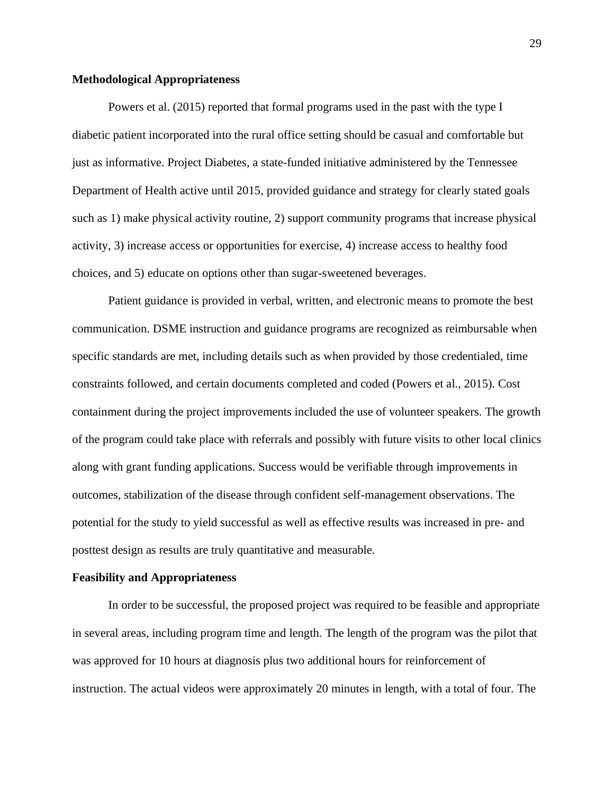## **Methodological Appropriateness**

Powers et al. (2015) reported that formal programs used in the past with the type I diabetic patient incorporated into the rural office setting should be casual and comfortable but just as informative. Project Diabetes, a state-funded initiative administered by the Tennessee Department of Health active until 2015, provided guidance and strategy for clearly stated goals such as 1) make physical activity routine, 2) support community programs that increase physical activity, 3) increase access or opportunities for exercise, 4) increase access to healthy food choices, and 5) educate on options other than sugar-sweetened beverages.

Patient guidance is provided in verbal, written, and electronic means to promote the best communication. DSME instruction and guidance programs are recognized as reimbursable when specific standards are met, including details such as when provided by those credentialed, time constraints followed, and certain documents completed and coded (Powers et al., 2015). Cost containment during the project improvements included the use of volunteer speakers. The growth of the program could take place with referrals and possibly with future visits to other local clinics along with grant funding applications. Success would be verifiable through improvements in outcomes, stabilization of the disease through confident self-management observations. The potential for the study to yield successful as well as effective results was increased in pre- and posttest design as results are truly quantitative and measurable.

# **Feasibility and Appropriateness**

In order to be successful, the proposed project was required to be feasible and appropriate in several areas, including program time and length. The length of the program was the pilot that was approved for 10 hours at diagnosis plus two additional hours for reinforcement of instruction. The actual videos were approximately 20 minutes in length, with a total of four. The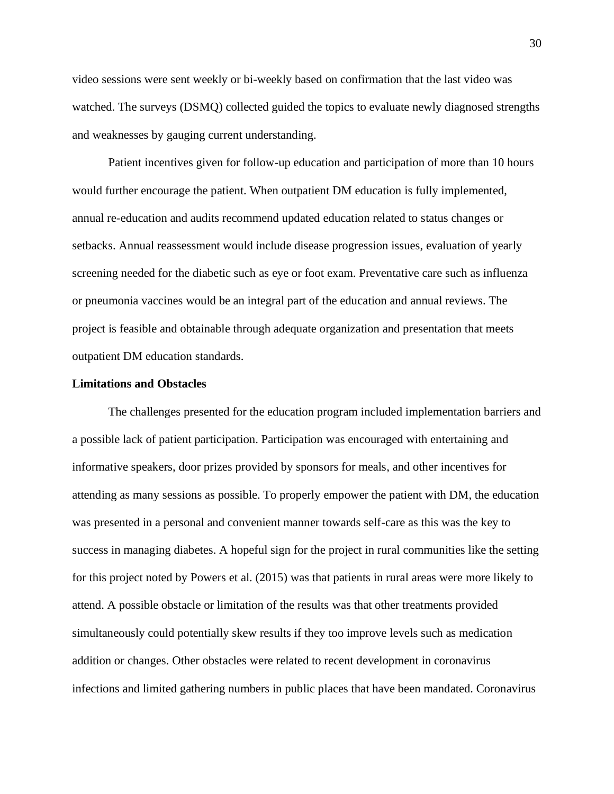video sessions were sent weekly or bi-weekly based on confirmation that the last video was watched. The surveys (DSMQ) collected guided the topics to evaluate newly diagnosed strengths and weaknesses by gauging current understanding.

Patient incentives given for follow-up education and participation of more than 10 hours would further encourage the patient. When outpatient DM education is fully implemented, annual re-education and audits recommend updated education related to status changes or setbacks. Annual reassessment would include disease progression issues, evaluation of yearly screening needed for the diabetic such as eye or foot exam. Preventative care such as influenza or pneumonia vaccines would be an integral part of the education and annual reviews. The project is feasible and obtainable through adequate organization and presentation that meets outpatient DM education standards.

## **Limitations and Obstacles**

The challenges presented for the education program included implementation barriers and a possible lack of patient participation. Participation was encouraged with entertaining and informative speakers, door prizes provided by sponsors for meals, and other incentives for attending as many sessions as possible. To properly empower the patient with DM, the education was presented in a personal and convenient manner towards self-care as this was the key to success in managing diabetes. A hopeful sign for the project in rural communities like the setting for this project noted by Powers et al. (2015) was that patients in rural areas were more likely to attend. A possible obstacle or limitation of the results was that other treatments provided simultaneously could potentially skew results if they too improve levels such as medication addition or changes. Other obstacles were related to recent development in coronavirus infections and limited gathering numbers in public places that have been mandated. Coronavirus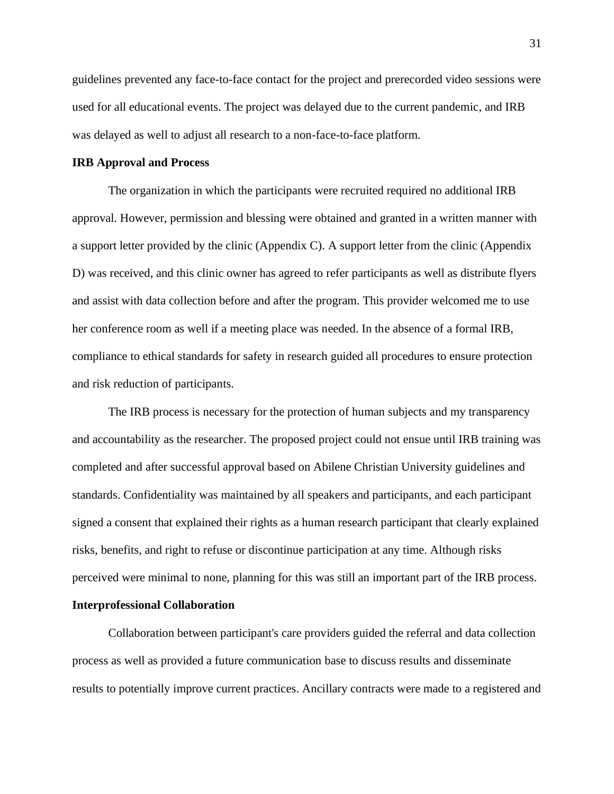guidelines prevented any face-to-face contact for the project and prerecorded video sessions were used for all educational events. The project was delayed due to the current pandemic, and IRB was delayed as well to adjust all research to a non-face-to-face platform.

# **IRB Approval and Process**

The organization in which the participants were recruited required no additional IRB approval. However, permission and blessing were obtained and granted in a written manner with a support letter provided by the clinic (Appendix C). A support letter from the clinic (Appendix D) was received, and this clinic owner has agreed to refer participants as well as distribute flyers and assist with data collection before and after the program. This provider welcomed me to use her conference room as well if a meeting place was needed. In the absence of a formal IRB, compliance to ethical standards for safety in research guided all procedures to ensure protection and risk reduction of participants.

The IRB process is necessary for the protection of human subjects and my transparency and accountability as the researcher. The proposed project could not ensue until IRB training was completed and after successful approval based on Abilene Christian University guidelines and standards. Confidentiality was maintained by all speakers and participants, and each participant signed a consent that explained their rights as a human research participant that clearly explained risks, benefits, and right to refuse or discontinue participation at any time. Although risks perceived were minimal to none, planning for this was still an important part of the IRB process. **Interprofessional Collaboration**

Collaboration between participant's care providers guided the referral and data collection process as well as provided a future communication base to discuss results and disseminate results to potentially improve current practices. Ancillary contracts were made to a registered and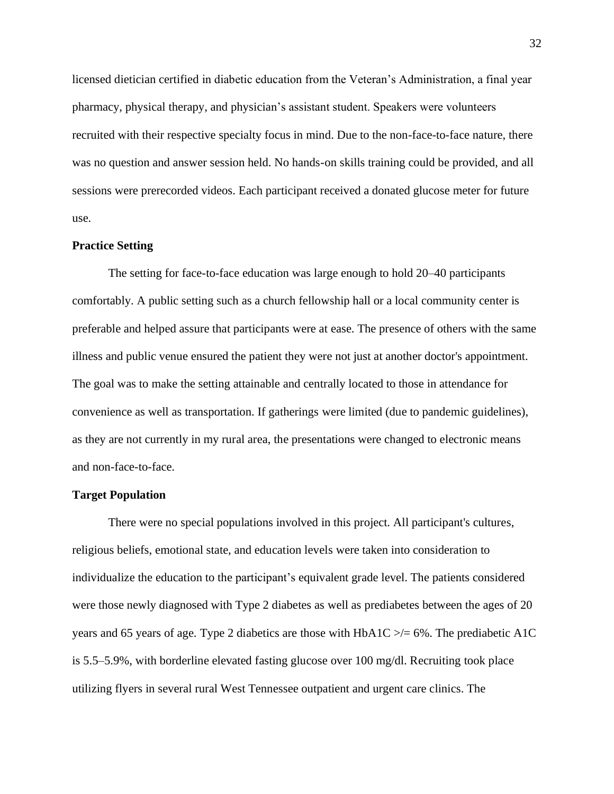licensed dietician certified in diabetic education from the Veteran's Administration, a final year pharmacy, physical therapy, and physician's assistant student. Speakers were volunteers recruited with their respective specialty focus in mind. Due to the non-face-to-face nature, there was no question and answer session held. No hands-on skills training could be provided, and all sessions were prerecorded videos. Each participant received a donated glucose meter for future use.

#### **Practice Setting**

The setting for face-to-face education was large enough to hold 20–40 participants comfortably. A public setting such as a church fellowship hall or a local community center is preferable and helped assure that participants were at ease. The presence of others with the same illness and public venue ensured the patient they were not just at another doctor's appointment. The goal was to make the setting attainable and centrally located to those in attendance for convenience as well as transportation. If gatherings were limited (due to pandemic guidelines), as they are not currently in my rural area, the presentations were changed to electronic means and non-face-to-face.

#### **Target Population**

There were no special populations involved in this project. All participant's cultures, religious beliefs, emotional state, and education levels were taken into consideration to individualize the education to the participant's equivalent grade level. The patients considered were those newly diagnosed with Type 2 diabetes as well as prediabetes between the ages of 20 years and 65 years of age. Type 2 diabetics are those with  $HbA1C \geq 6\%$ . The prediabetic A1C is 5.5–5.9%, with borderline elevated fasting glucose over 100 mg/dl. Recruiting took place utilizing flyers in several rural West Tennessee outpatient and urgent care clinics. The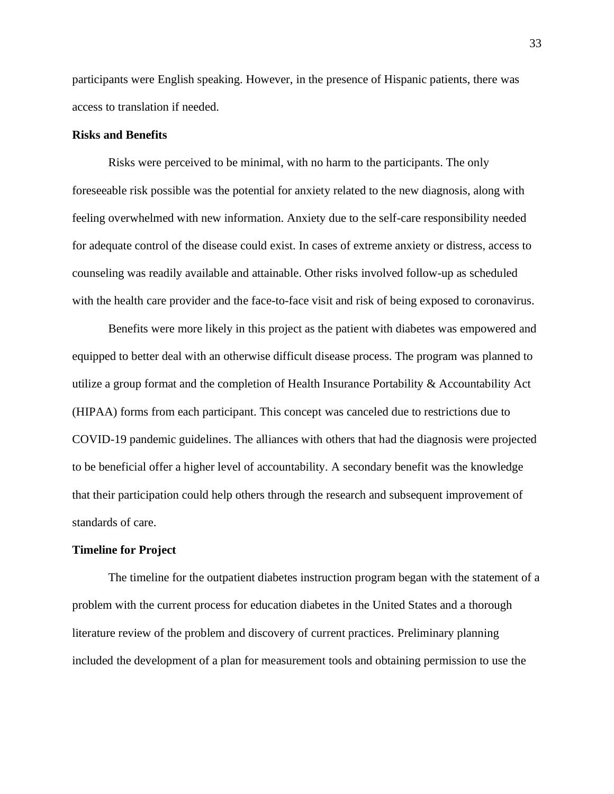participants were English speaking. However, in the presence of Hispanic patients, there was access to translation if needed.

# **Risks and Benefits**

Risks were perceived to be minimal, with no harm to the participants. The only foreseeable risk possible was the potential for anxiety related to the new diagnosis, along with feeling overwhelmed with new information. Anxiety due to the self-care responsibility needed for adequate control of the disease could exist. In cases of extreme anxiety or distress, access to counseling was readily available and attainable. Other risks involved follow-up as scheduled with the health care provider and the face-to-face visit and risk of being exposed to coronavirus.

Benefits were more likely in this project as the patient with diabetes was empowered and equipped to better deal with an otherwise difficult disease process. The program was planned to utilize a group format and the completion of Health Insurance Portability & Accountability Act (HIPAA) forms from each participant. This concept was canceled due to restrictions due to COVID-19 pandemic guidelines. The alliances with others that had the diagnosis were projected to be beneficial offer a higher level of accountability. A secondary benefit was the knowledge that their participation could help others through the research and subsequent improvement of standards of care.

## **Timeline for Project**

The timeline for the outpatient diabetes instruction program began with the statement of a problem with the current process for education diabetes in the United States and a thorough literature review of the problem and discovery of current practices. Preliminary planning included the development of a plan for measurement tools and obtaining permission to use the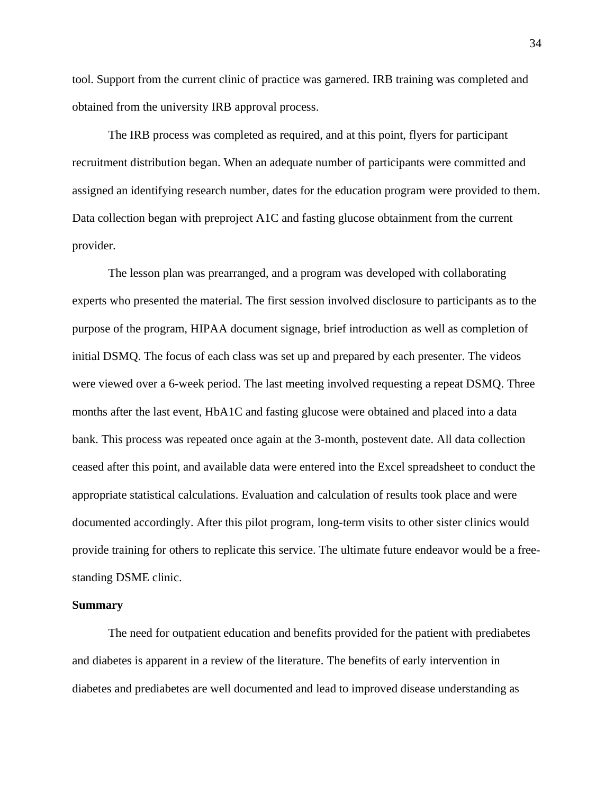tool. Support from the current clinic of practice was garnered. IRB training was completed and obtained from the university IRB approval process.

The IRB process was completed as required, and at this point, flyers for participant recruitment distribution began. When an adequate number of participants were committed and assigned an identifying research number, dates for the education program were provided to them. Data collection began with preproject A1C and fasting glucose obtainment from the current provider.

The lesson plan was prearranged, and a program was developed with collaborating experts who presented the material. The first session involved disclosure to participants as to the purpose of the program, HIPAA document signage, brief introduction as well as completion of initial DSMQ. The focus of each class was set up and prepared by each presenter. The videos were viewed over a 6-week period. The last meeting involved requesting a repeat DSMQ. Three months after the last event, HbA1C and fasting glucose were obtained and placed into a data bank. This process was repeated once again at the 3-month, postevent date. All data collection ceased after this point, and available data were entered into the Excel spreadsheet to conduct the appropriate statistical calculations. Evaluation and calculation of results took place and were documented accordingly. After this pilot program, long-term visits to other sister clinics would provide training for others to replicate this service. The ultimate future endeavor would be a freestanding DSME clinic.

#### **Summary**

The need for outpatient education and benefits provided for the patient with prediabetes and diabetes is apparent in a review of the literature. The benefits of early intervention in diabetes and prediabetes are well documented and lead to improved disease understanding as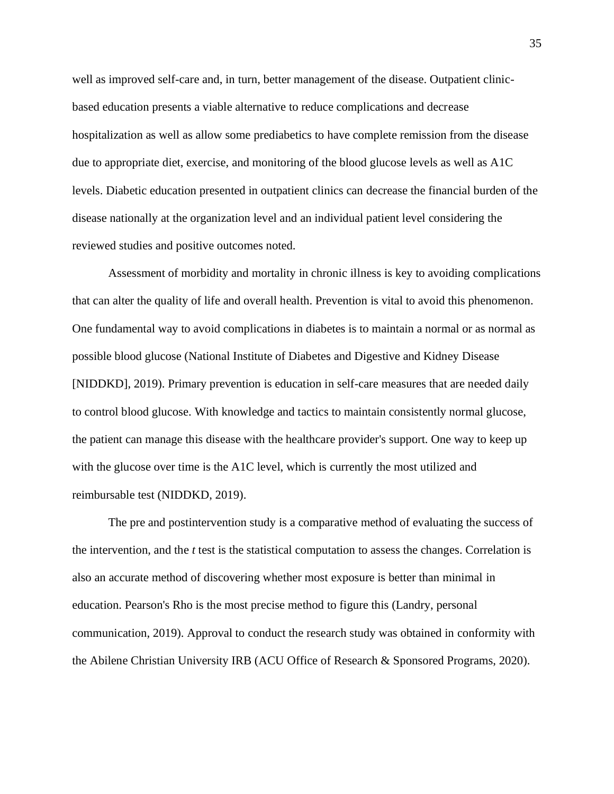well as improved self-care and, in turn, better management of the disease. Outpatient clinicbased education presents a viable alternative to reduce complications and decrease hospitalization as well as allow some prediabetics to have complete remission from the disease due to appropriate diet, exercise, and monitoring of the blood glucose levels as well as A1C levels. Diabetic education presented in outpatient clinics can decrease the financial burden of the disease nationally at the organization level and an individual patient level considering the reviewed studies and positive outcomes noted.

Assessment of morbidity and mortality in chronic illness is key to avoiding complications that can alter the quality of life and overall health. Prevention is vital to avoid this phenomenon. One fundamental way to avoid complications in diabetes is to maintain a normal or as normal as possible blood glucose (National Institute of Diabetes and Digestive and Kidney Disease [NIDDKD], 2019). Primary prevention is education in self-care measures that are needed daily to control blood glucose. With knowledge and tactics to maintain consistently normal glucose, the patient can manage this disease with the healthcare provider's support. One way to keep up with the glucose over time is the A1C level, which is currently the most utilized and reimbursable test (NIDDKD, 2019).

The pre and postintervention study is a comparative method of evaluating the success of the intervention, and the *t* test is the statistical computation to assess the changes. Correlation is also an accurate method of discovering whether most exposure is better than minimal in education. Pearson's Rho is the most precise method to figure this (Landry, personal communication, 2019). Approval to conduct the research study was obtained in conformity with the Abilene Christian University IRB (ACU Office of Research & Sponsored Programs, 2020).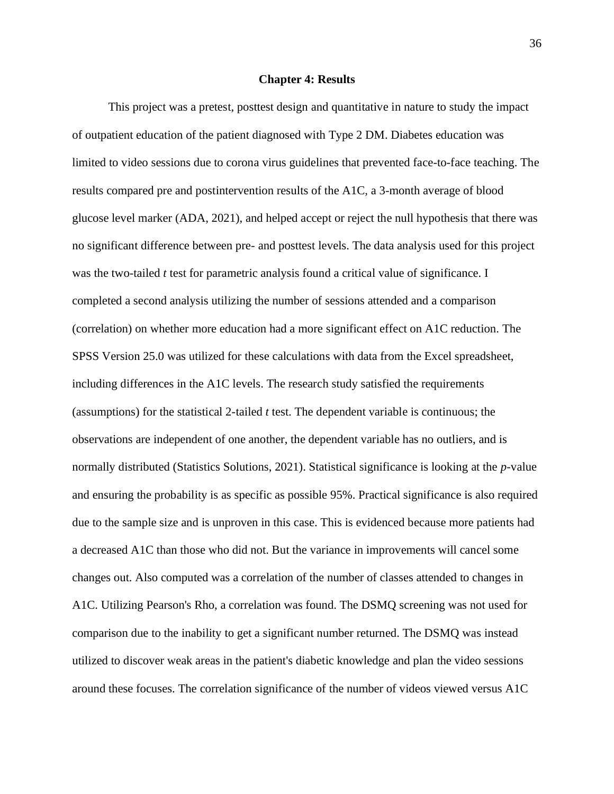#### **Chapter 4: Results**

This project was a pretest, posttest design and quantitative in nature to study the impact of outpatient education of the patient diagnosed with Type 2 DM. Diabetes education was limited to video sessions due to corona virus guidelines that prevented face-to-face teaching. The results compared pre and postintervention results of the A1C, a 3-month average of blood glucose level marker (ADA, 2021), and helped accept or reject the null hypothesis that there was no significant difference between pre- and posttest levels. The data analysis used for this project was the two-tailed *t* test for parametric analysis found a critical value of significance. I completed a second analysis utilizing the number of sessions attended and a comparison (correlation) on whether more education had a more significant effect on A1C reduction. The SPSS Version 25.0 was utilized for these calculations with data from the Excel spreadsheet, including differences in the A1C levels. The research study satisfied the requirements (assumptions) for the statistical 2-tailed *t* test. The dependent variable is continuous; the observations are independent of one another, the dependent variable has no outliers, and is normally distributed (Statistics Solutions, 2021). Statistical significance is looking at the *p*-value and ensuring the probability is as specific as possible 95%. Practical significance is also required due to the sample size and is unproven in this case. This is evidenced because more patients had a decreased A1C than those who did not. But the variance in improvements will cancel some changes out. Also computed was a correlation of the number of classes attended to changes in A1C. Utilizing Pearson's Rho, a correlation was found. The DSMQ screening was not used for comparison due to the inability to get a significant number returned. The DSMQ was instead utilized to discover weak areas in the patient's diabetic knowledge and plan the video sessions around these focuses. The correlation significance of the number of videos viewed versus A1C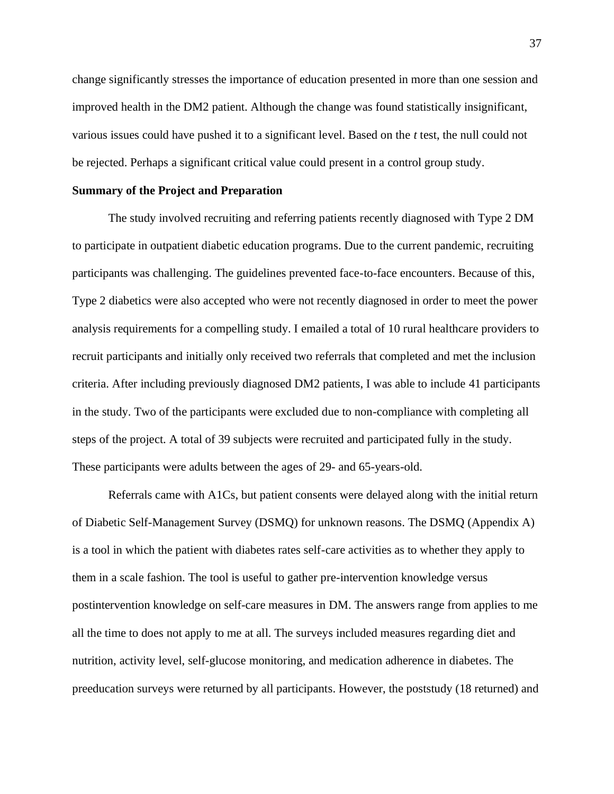change significantly stresses the importance of education presented in more than one session and improved health in the DM2 patient. Although the change was found statistically insignificant, various issues could have pushed it to a significant level. Based on the *t* test, the null could not be rejected. Perhaps a significant critical value could present in a control group study.

#### **Summary of the Project and Preparation**

The study involved recruiting and referring patients recently diagnosed with Type 2 DM to participate in outpatient diabetic education programs. Due to the current pandemic, recruiting participants was challenging. The guidelines prevented face-to-face encounters. Because of this, Type 2 diabetics were also accepted who were not recently diagnosed in order to meet the power analysis requirements for a compelling study. I emailed a total of 10 rural healthcare providers to recruit participants and initially only received two referrals that completed and met the inclusion criteria. After including previously diagnosed DM2 patients, I was able to include 41 participants in the study. Two of the participants were excluded due to non-compliance with completing all steps of the project. A total of 39 subjects were recruited and participated fully in the study. These participants were adults between the ages of 29- and 65-years-old.

Referrals came with A1Cs, but patient consents were delayed along with the initial return of Diabetic Self-Management Survey (DSMQ) for unknown reasons. The DSMQ (Appendix A) is a tool in which the patient with diabetes rates self-care activities as to whether they apply to them in a scale fashion. The tool is useful to gather pre-intervention knowledge versus postintervention knowledge on self-care measures in DM. The answers range from applies to me all the time to does not apply to me at all. The surveys included measures regarding diet and nutrition, activity level, self-glucose monitoring, and medication adherence in diabetes. The preeducation surveys were returned by all participants. However, the poststudy (18 returned) and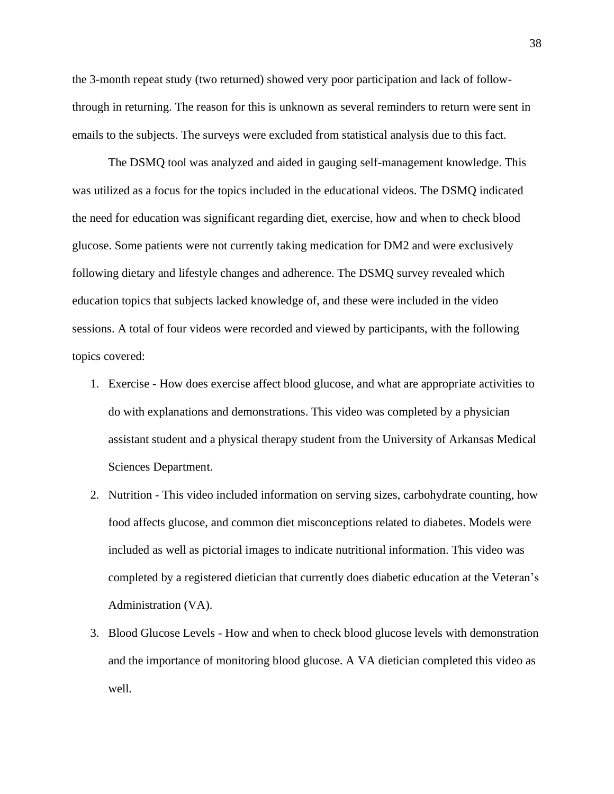the 3-month repeat study (two returned) showed very poor participation and lack of followthrough in returning. The reason for this is unknown as several reminders to return were sent in emails to the subjects. The surveys were excluded from statistical analysis due to this fact.

The DSMQ tool was analyzed and aided in gauging self-management knowledge. This was utilized as a focus for the topics included in the educational videos. The DSMQ indicated the need for education was significant regarding diet, exercise, how and when to check blood glucose. Some patients were not currently taking medication for DM2 and were exclusively following dietary and lifestyle changes and adherence. The DSMQ survey revealed which education topics that subjects lacked knowledge of, and these were included in the video sessions. A total of four videos were recorded and viewed by participants, with the following topics covered:

- 1. Exercise How does exercise affect blood glucose, and what are appropriate activities to do with explanations and demonstrations. This video was completed by a physician assistant student and a physical therapy student from the University of Arkansas Medical Sciences Department.
- 2. Nutrition This video included information on serving sizes, carbohydrate counting, how food affects glucose, and common diet misconceptions related to diabetes. Models were included as well as pictorial images to indicate nutritional information. This video was completed by a registered dietician that currently does diabetic education at the Veteran's Administration (VA).
- 3. Blood Glucose Levels How and when to check blood glucose levels with demonstration and the importance of monitoring blood glucose. A VA dietician completed this video as well.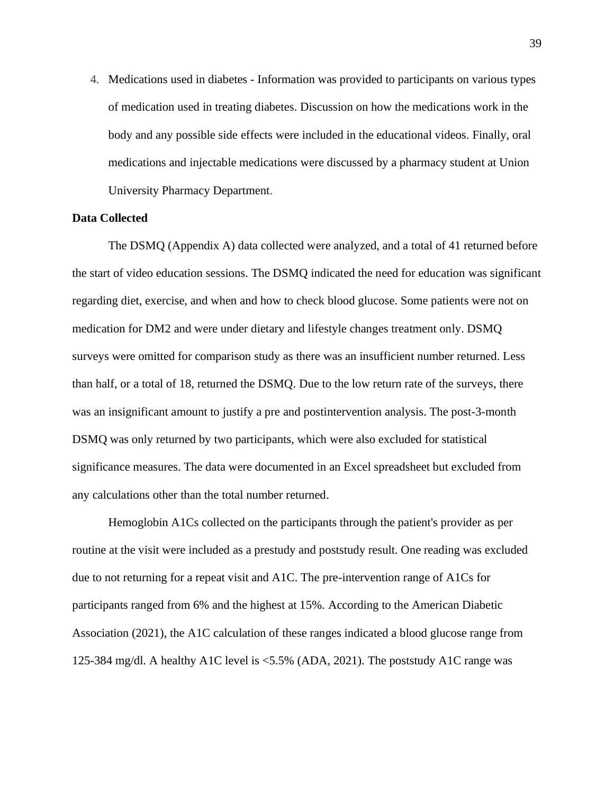4. Medications used in diabetes - Information was provided to participants on various types of medication used in treating diabetes. Discussion on how the medications work in the body and any possible side effects were included in the educational videos. Finally, oral medications and injectable medications were discussed by a pharmacy student at Union University Pharmacy Department.

# **Data Collected**

The DSMQ (Appendix A) data collected were analyzed, and a total of 41 returned before the start of video education sessions. The DSMQ indicated the need for education was significant regarding diet, exercise, and when and how to check blood glucose. Some patients were not on medication for DM2 and were under dietary and lifestyle changes treatment only. DSMQ surveys were omitted for comparison study as there was an insufficient number returned. Less than half, or a total of 18, returned the DSMQ. Due to the low return rate of the surveys, there was an insignificant amount to justify a pre and postintervention analysis. The post-3-month DSMQ was only returned by two participants, which were also excluded for statistical significance measures. The data were documented in an Excel spreadsheet but excluded from any calculations other than the total number returned.

Hemoglobin A1Cs collected on the participants through the patient's provider as per routine at the visit were included as a prestudy and poststudy result. One reading was excluded due to not returning for a repeat visit and A1C. The pre-intervention range of A1Cs for participants ranged from 6% and the highest at 15%. According to the American Diabetic Association (2021), the A1C calculation of these ranges indicated a blood glucose range from 125-384 mg/dl. A healthy A1C level is <5.5% (ADA, 2021). The poststudy A1C range was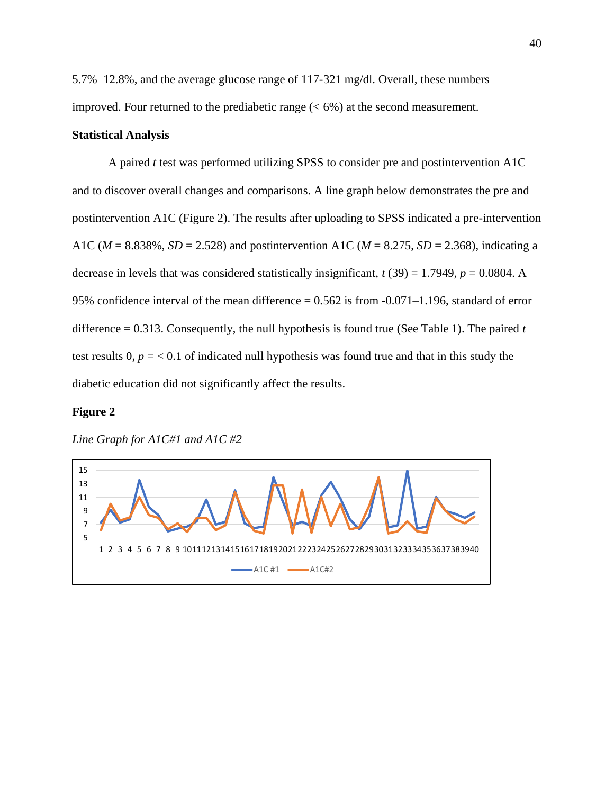5.7%–12.8%, and the average glucose range of 117-321 mg/dl. Overall, these numbers improved. Four returned to the prediabetic range  $(< 6\%)$  at the second measurement.

# **Statistical Analysis**

A paired *t* test was performed utilizing SPSS to consider pre and postintervention A1C and to discover overall changes and comparisons. A line graph below demonstrates the pre and postintervention A1C (Figure 2). The results after uploading to SPSS indicated a pre-intervention A1C (*M* = 8.838%, *SD* = 2.528) and postintervention A1C (*M* = 8.275, *SD* = 2.368), indicating a decrease in levels that was considered statistically insignificant,  $t(39) = 1.7949$ ,  $p = 0.0804$ . A 95% confidence interval of the mean difference  $= 0.562$  is from  $-0.071 - 1.196$ , standard of error difference = 0.313. Consequently, the null hypothesis is found true (See Table 1). The paired *t* test results  $0, p = 0.1$  of indicated null hypothesis was found true and that in this study the diabetic education did not significantly affect the results.

## **Figure 2**



*Line Graph for A1C#1 and A1C #2*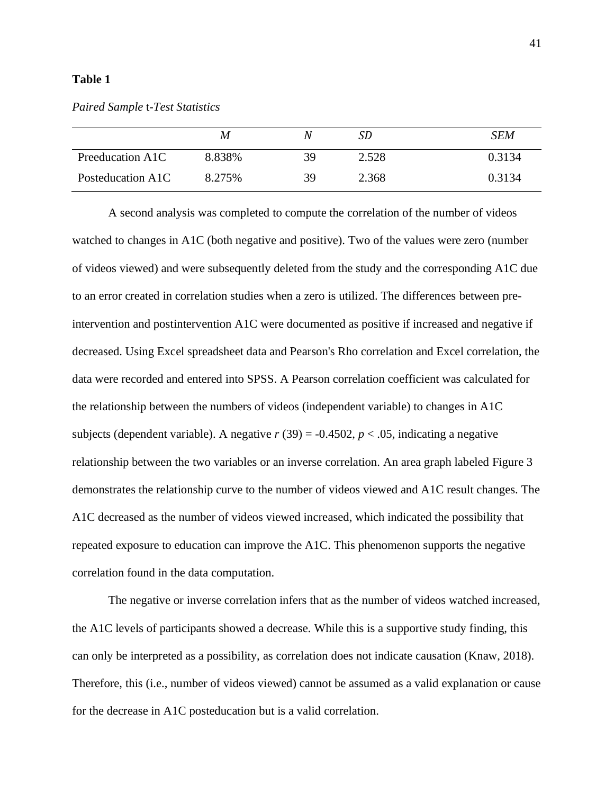# **Table 1**

|                   | M      | N  | SD    | SEM    |
|-------------------|--------|----|-------|--------|
| Preeducation A1C  | 8.838% | 39 | 2.528 | 0.3134 |
| Posteducation A1C | 8.275% | 39 | 2.368 | 0.3134 |

A second analysis was completed to compute the correlation of the number of videos watched to changes in A1C (both negative and positive). Two of the values were zero (number of videos viewed) and were subsequently deleted from the study and the corresponding A1C due to an error created in correlation studies when a zero is utilized. The differences between preintervention and postintervention A1C were documented as positive if increased and negative if decreased. Using Excel spreadsheet data and Pearson's Rho correlation and Excel correlation, the data were recorded and entered into SPSS. A Pearson correlation coefficient was calculated for the relationship between the numbers of videos (independent variable) to changes in A1C subjects (dependent variable). A negative  $r(39) = -0.4502$ ,  $p < .05$ , indicating a negative relationship between the two variables or an inverse correlation. An area graph labeled Figure 3 demonstrates the relationship curve to the number of videos viewed and A1C result changes. The A1C decreased as the number of videos viewed increased, which indicated the possibility that repeated exposure to education can improve the A1C. This phenomenon supports the negative correlation found in the data computation.

The negative or inverse correlation infers that as the number of videos watched increased, the A1C levels of participants showed a decrease. While this is a supportive study finding, this can only be interpreted as a possibility, as correlation does not indicate causation (Knaw, 2018). Therefore, this (i.e., number of videos viewed) cannot be assumed as a valid explanation or cause for the decrease in A1C posteducation but is a valid correlation.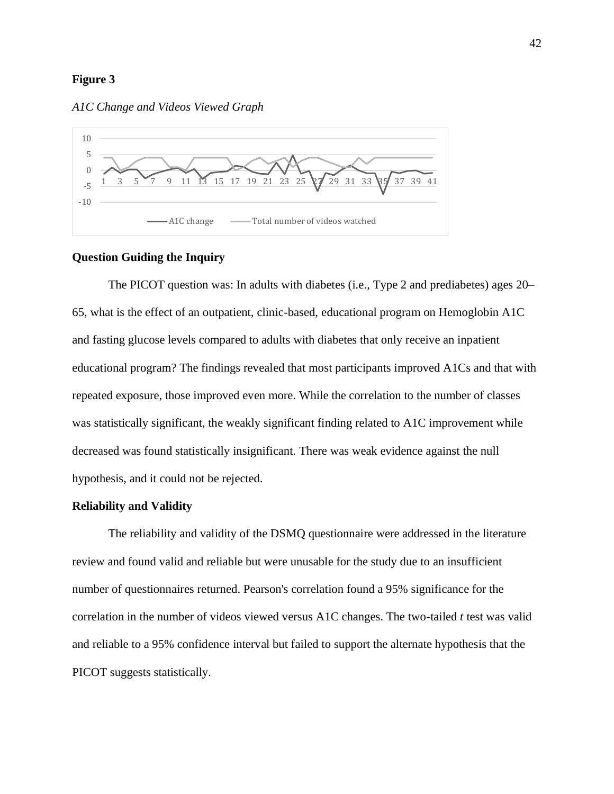## **Figure 3**





# **Question Guiding the Inquiry**

The PICOT question was: In adults with diabetes (i.e., Type 2 and prediabetes) ages 20– 65, what is the effect of an outpatient, clinic-based, educational program on Hemoglobin A1C and fasting glucose levels compared to adults with diabetes that only receive an inpatient educational program? The findings revealed that most participants improved A1Cs and that with repeated exposure, those improved even more. While the correlation to the number of classes was statistically significant, the weakly significant finding related to A1C improvement while decreased was found statistically insignificant. There was weak evidence against the null hypothesis, and it could not be rejected.

#### **Reliability and Validity**

The reliability and validity of the DSMQ questionnaire were addressed in the literature review and found valid and reliable but were unusable for the study due to an insufficient number of questionnaires returned. Pearson's correlation found a 95% significance for the correlation in the number of videos viewed versus A1C changes. The two-tailed *t* test was valid and reliable to a 95% confidence interval but failed to support the alternate hypothesis that the PICOT suggests statistically.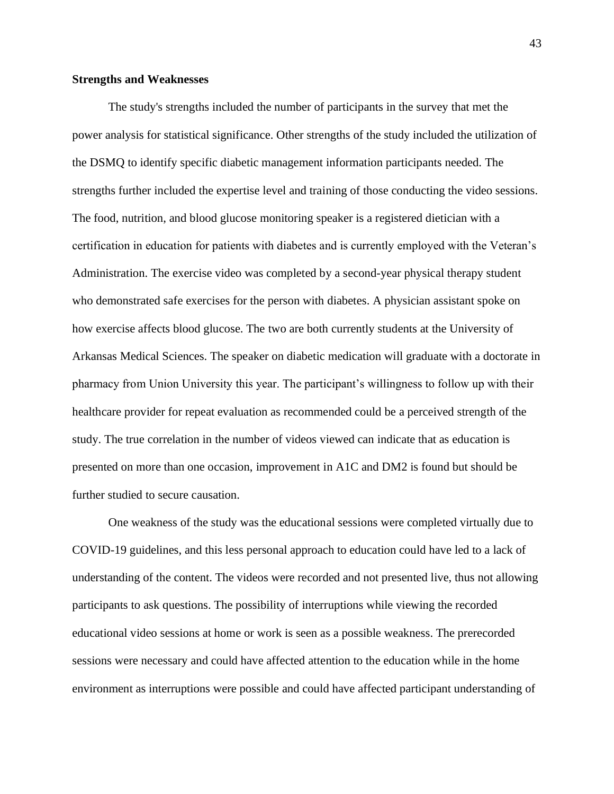## **Strengths and Weaknesses**

The study's strengths included the number of participants in the survey that met the power analysis for statistical significance. Other strengths of the study included the utilization of the DSMQ to identify specific diabetic management information participants needed. The strengths further included the expertise level and training of those conducting the video sessions. The food, nutrition, and blood glucose monitoring speaker is a registered dietician with a certification in education for patients with diabetes and is currently employed with the Veteran's Administration. The exercise video was completed by a second-year physical therapy student who demonstrated safe exercises for the person with diabetes. A physician assistant spoke on how exercise affects blood glucose. The two are both currently students at the University of Arkansas Medical Sciences. The speaker on diabetic medication will graduate with a doctorate in pharmacy from Union University this year. The participant's willingness to follow up with their healthcare provider for repeat evaluation as recommended could be a perceived strength of the study. The true correlation in the number of videos viewed can indicate that as education is presented on more than one occasion, improvement in A1C and DM2 is found but should be further studied to secure causation.

One weakness of the study was the educational sessions were completed virtually due to COVID-19 guidelines, and this less personal approach to education could have led to a lack of understanding of the content. The videos were recorded and not presented live, thus not allowing participants to ask questions. The possibility of interruptions while viewing the recorded educational video sessions at home or work is seen as a possible weakness. The prerecorded sessions were necessary and could have affected attention to the education while in the home environment as interruptions were possible and could have affected participant understanding of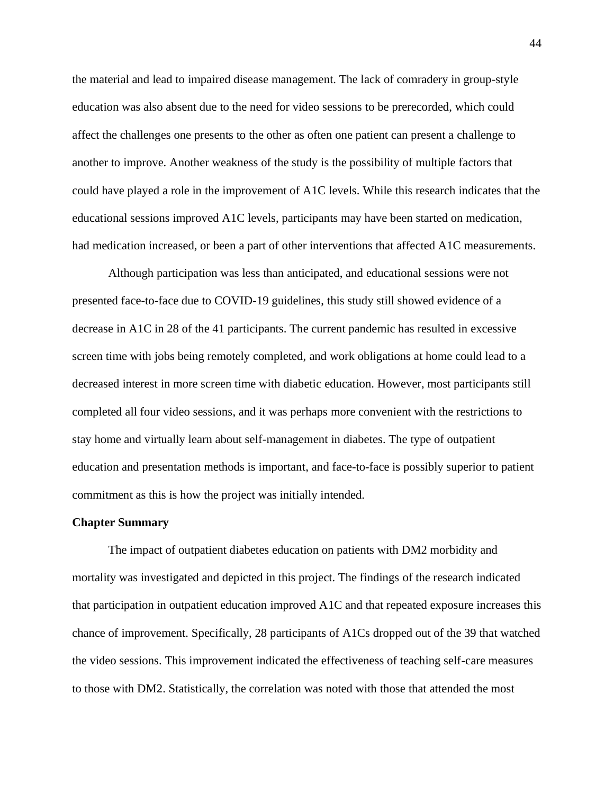the material and lead to impaired disease management. The lack of comradery in group-style education was also absent due to the need for video sessions to be prerecorded, which could affect the challenges one presents to the other as often one patient can present a challenge to another to improve. Another weakness of the study is the possibility of multiple factors that could have played a role in the improvement of A1C levels. While this research indicates that the educational sessions improved A1C levels, participants may have been started on medication, had medication increased, or been a part of other interventions that affected A1C measurements.

Although participation was less than anticipated, and educational sessions were not presented face-to-face due to COVID-19 guidelines, this study still showed evidence of a decrease in A1C in 28 of the 41 participants. The current pandemic has resulted in excessive screen time with jobs being remotely completed, and work obligations at home could lead to a decreased interest in more screen time with diabetic education. However, most participants still completed all four video sessions, and it was perhaps more convenient with the restrictions to stay home and virtually learn about self-management in diabetes. The type of outpatient education and presentation methods is important, and face-to-face is possibly superior to patient commitment as this is how the project was initially intended.

#### **Chapter Summary**

The impact of outpatient diabetes education on patients with DM2 morbidity and mortality was investigated and depicted in this project. The findings of the research indicated that participation in outpatient education improved A1C and that repeated exposure increases this chance of improvement. Specifically, 28 participants of A1Cs dropped out of the 39 that watched the video sessions. This improvement indicated the effectiveness of teaching self-care measures to those with DM2. Statistically, the correlation was noted with those that attended the most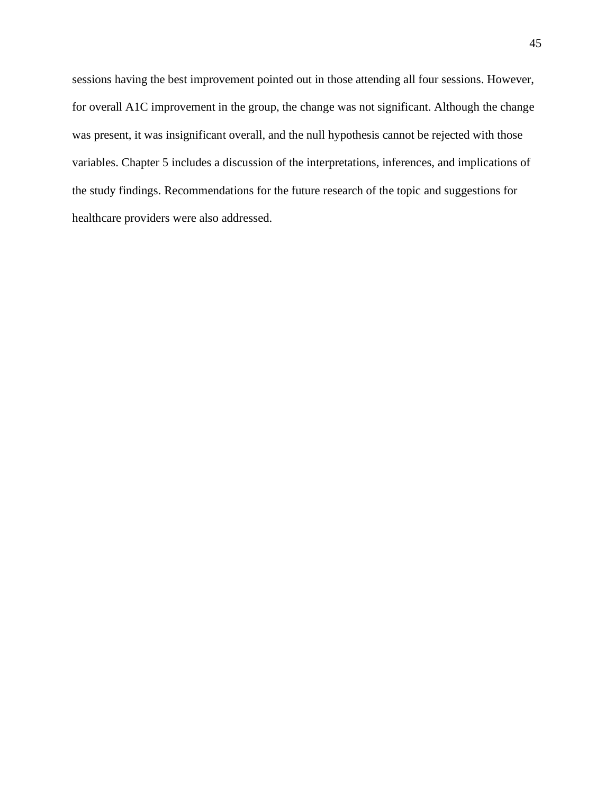sessions having the best improvement pointed out in those attending all four sessions. However, for overall A1C improvement in the group, the change was not significant. Although the change was present, it was insignificant overall, and the null hypothesis cannot be rejected with those variables. Chapter 5 includes a discussion of the interpretations, inferences, and implications of the study findings. Recommendations for the future research of the topic and suggestions for healthcare providers were also addressed.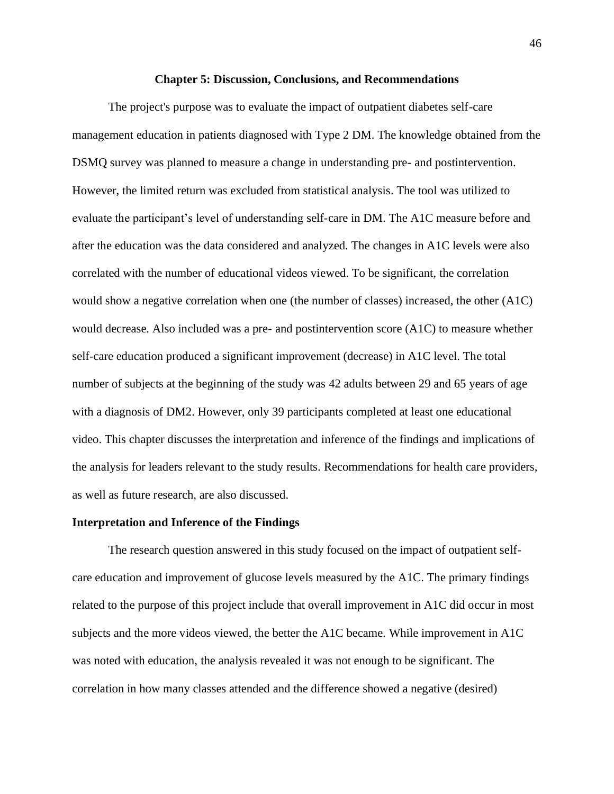#### **Chapter 5: Discussion, Conclusions, and Recommendations**

The project's purpose was to evaluate the impact of outpatient diabetes self-care management education in patients diagnosed with Type 2 DM. The knowledge obtained from the DSMQ survey was planned to measure a change in understanding pre- and postintervention. However, the limited return was excluded from statistical analysis. The tool was utilized to evaluate the participant's level of understanding self-care in DM. The A1C measure before and after the education was the data considered and analyzed. The changes in A1C levels were also correlated with the number of educational videos viewed. To be significant, the correlation would show a negative correlation when one (the number of classes) increased, the other (A1C) would decrease. Also included was a pre- and postintervention score (A1C) to measure whether self-care education produced a significant improvement (decrease) in A1C level. The total number of subjects at the beginning of the study was 42 adults between 29 and 65 years of age with a diagnosis of DM2. However, only 39 participants completed at least one educational video. This chapter discusses the interpretation and inference of the findings and implications of the analysis for leaders relevant to the study results. Recommendations for health care providers, as well as future research, are also discussed.

#### **Interpretation and Inference of the Findings**

The research question answered in this study focused on the impact of outpatient selfcare education and improvement of glucose levels measured by the A1C. The primary findings related to the purpose of this project include that overall improvement in A1C did occur in most subjects and the more videos viewed, the better the A1C became. While improvement in A1C was noted with education, the analysis revealed it was not enough to be significant. The correlation in how many classes attended and the difference showed a negative (desired)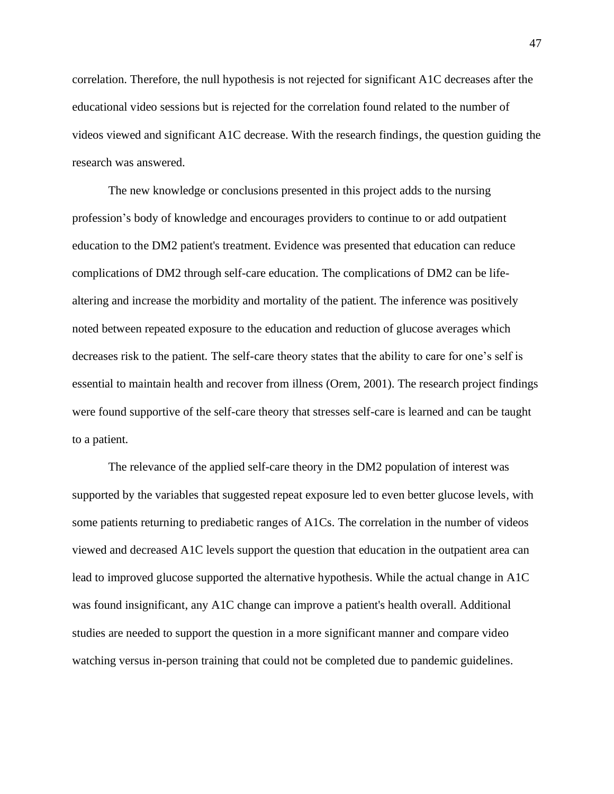correlation. Therefore, the null hypothesis is not rejected for significant A1C decreases after the educational video sessions but is rejected for the correlation found related to the number of videos viewed and significant A1C decrease. With the research findings, the question guiding the research was answered.

The new knowledge or conclusions presented in this project adds to the nursing profession's body of knowledge and encourages providers to continue to or add outpatient education to the DM2 patient's treatment. Evidence was presented that education can reduce complications of DM2 through self-care education. The complications of DM2 can be lifealtering and increase the morbidity and mortality of the patient. The inference was positively noted between repeated exposure to the education and reduction of glucose averages which decreases risk to the patient. The self-care theory states that the ability to care for one's self is essential to maintain health and recover from illness (Orem, 2001). The research project findings were found supportive of the self-care theory that stresses self-care is learned and can be taught to a patient.

The relevance of the applied self-care theory in the DM2 population of interest was supported by the variables that suggested repeat exposure led to even better glucose levels, with some patients returning to prediabetic ranges of A1Cs. The correlation in the number of videos viewed and decreased A1C levels support the question that education in the outpatient area can lead to improved glucose supported the alternative hypothesis. While the actual change in A1C was found insignificant, any A1C change can improve a patient's health overall. Additional studies are needed to support the question in a more significant manner and compare video watching versus in-person training that could not be completed due to pandemic guidelines.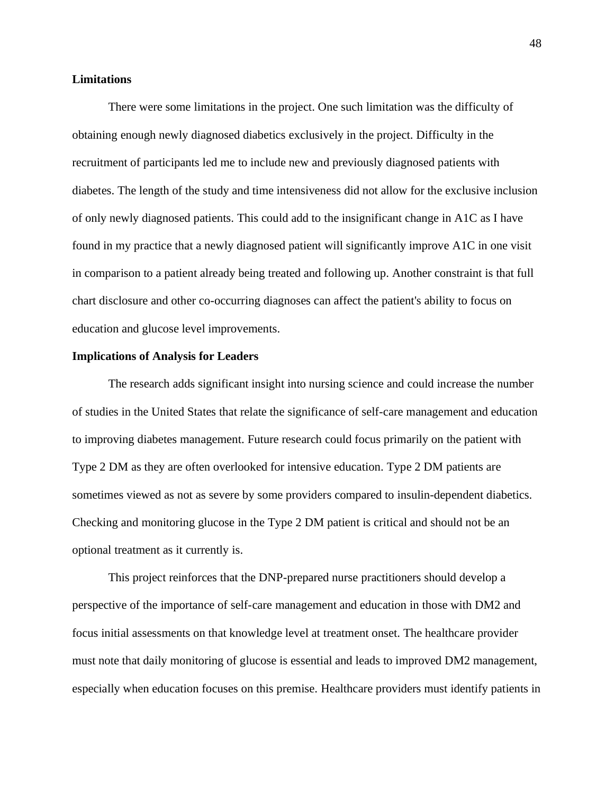# **Limitations**

There were some limitations in the project. One such limitation was the difficulty of obtaining enough newly diagnosed diabetics exclusively in the project. Difficulty in the recruitment of participants led me to include new and previously diagnosed patients with diabetes. The length of the study and time intensiveness did not allow for the exclusive inclusion of only newly diagnosed patients. This could add to the insignificant change in A1C as I have found in my practice that a newly diagnosed patient will significantly improve A1C in one visit in comparison to a patient already being treated and following up. Another constraint is that full chart disclosure and other co-occurring diagnoses can affect the patient's ability to focus on education and glucose level improvements.

## **Implications of Analysis for Leaders**

The research adds significant insight into nursing science and could increase the number of studies in the United States that relate the significance of self-care management and education to improving diabetes management. Future research could focus primarily on the patient with Type 2 DM as they are often overlooked for intensive education. Type 2 DM patients are sometimes viewed as not as severe by some providers compared to insulin-dependent diabetics. Checking and monitoring glucose in the Type 2 DM patient is critical and should not be an optional treatment as it currently is.

This project reinforces that the DNP-prepared nurse practitioners should develop a perspective of the importance of self-care management and education in those with DM2 and focus initial assessments on that knowledge level at treatment onset. The healthcare provider must note that daily monitoring of glucose is essential and leads to improved DM2 management, especially when education focuses on this premise. Healthcare providers must identify patients in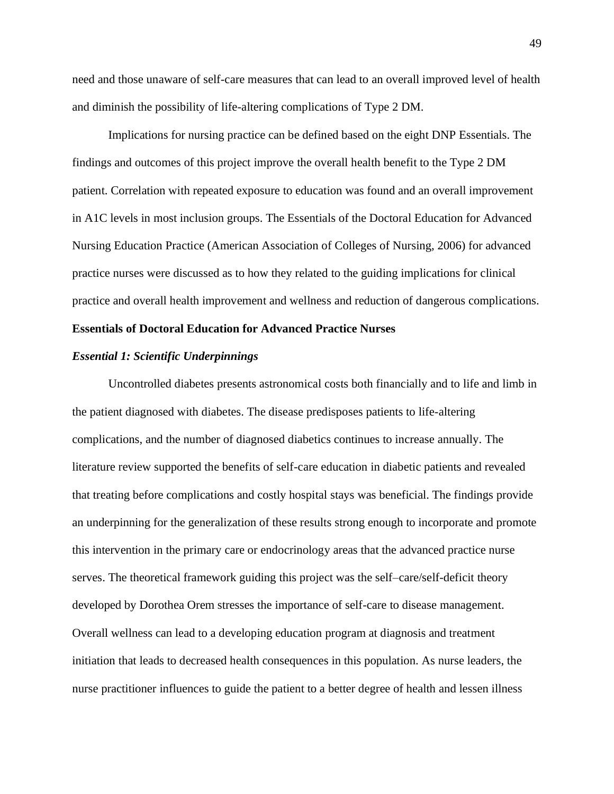need and those unaware of self-care measures that can lead to an overall improved level of health and diminish the possibility of life-altering complications of Type 2 DM.

Implications for nursing practice can be defined based on the eight DNP Essentials. The findings and outcomes of this project improve the overall health benefit to the Type 2 DM patient. Correlation with repeated exposure to education was found and an overall improvement in A1C levels in most inclusion groups. The Essentials of the Doctoral Education for Advanced Nursing Education Practice (American Association of Colleges of Nursing, 2006) for advanced practice nurses were discussed as to how they related to the guiding implications for clinical practice and overall health improvement and wellness and reduction of dangerous complications.

# **Essentials of Doctoral Education for Advanced Practice Nurses**

#### *Essential 1: Scientific Underpinnings*

Uncontrolled diabetes presents astronomical costs both financially and to life and limb in the patient diagnosed with diabetes. The disease predisposes patients to life-altering complications, and the number of diagnosed diabetics continues to increase annually. The literature review supported the benefits of self-care education in diabetic patients and revealed that treating before complications and costly hospital stays was beneficial. The findings provide an underpinning for the generalization of these results strong enough to incorporate and promote this intervention in the primary care or endocrinology areas that the advanced practice nurse serves. The theoretical framework guiding this project was the self–care/self-deficit theory developed by Dorothea Orem stresses the importance of self-care to disease management. Overall wellness can lead to a developing education program at diagnosis and treatment initiation that leads to decreased health consequences in this population. As nurse leaders, the nurse practitioner influences to guide the patient to a better degree of health and lessen illness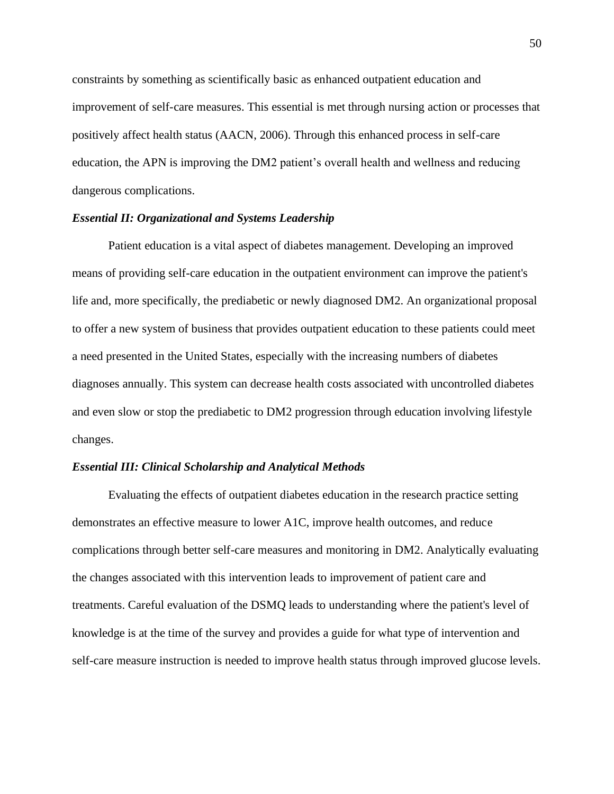constraints by something as scientifically basic as enhanced outpatient education and improvement of self-care measures. This essential is met through nursing action or processes that positively affect health status (AACN, 2006). Through this enhanced process in self-care education, the APN is improving the DM2 patient's overall health and wellness and reducing dangerous complications.

# *Essential II: Organizational and Systems Leadership*

Patient education is a vital aspect of diabetes management. Developing an improved means of providing self-care education in the outpatient environment can improve the patient's life and, more specifically, the prediabetic or newly diagnosed DM2. An organizational proposal to offer a new system of business that provides outpatient education to these patients could meet a need presented in the United States, especially with the increasing numbers of diabetes diagnoses annually. This system can decrease health costs associated with uncontrolled diabetes and even slow or stop the prediabetic to DM2 progression through education involving lifestyle changes.

## *Essential III: Clinical Scholarship and Analytical Methods*

Evaluating the effects of outpatient diabetes education in the research practice setting demonstrates an effective measure to lower A1C, improve health outcomes, and reduce complications through better self-care measures and monitoring in DM2. Analytically evaluating the changes associated with this intervention leads to improvement of patient care and treatments. Careful evaluation of the DSMQ leads to understanding where the patient's level of knowledge is at the time of the survey and provides a guide for what type of intervention and self-care measure instruction is needed to improve health status through improved glucose levels.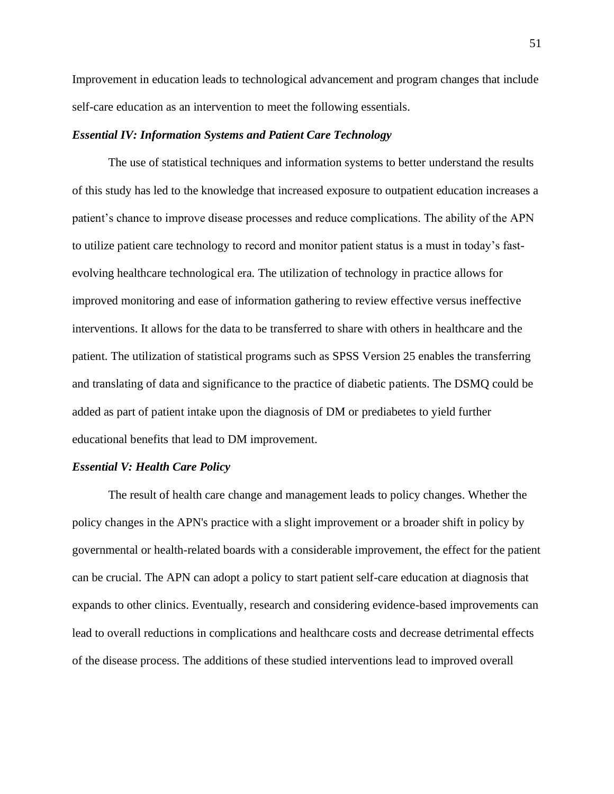Improvement in education leads to technological advancement and program changes that include self-care education as an intervention to meet the following essentials.

# *Essential IV: Information Systems and Patient Care Technology*

The use of statistical techniques and information systems to better understand the results of this study has led to the knowledge that increased exposure to outpatient education increases a patient's chance to improve disease processes and reduce complications. The ability of the APN to utilize patient care technology to record and monitor patient status is a must in today's fastevolving healthcare technological era. The utilization of technology in practice allows for improved monitoring and ease of information gathering to review effective versus ineffective interventions. It allows for the data to be transferred to share with others in healthcare and the patient. The utilization of statistical programs such as SPSS Version 25 enables the transferring and translating of data and significance to the practice of diabetic patients. The DSMQ could be added as part of patient intake upon the diagnosis of DM or prediabetes to yield further educational benefits that lead to DM improvement.

#### *Essential V: Health Care Policy*

The result of health care change and management leads to policy changes. Whether the policy changes in the APN's practice with a slight improvement or a broader shift in policy by governmental or health-related boards with a considerable improvement, the effect for the patient can be crucial. The APN can adopt a policy to start patient self-care education at diagnosis that expands to other clinics. Eventually, research and considering evidence-based improvements can lead to overall reductions in complications and healthcare costs and decrease detrimental effects of the disease process. The additions of these studied interventions lead to improved overall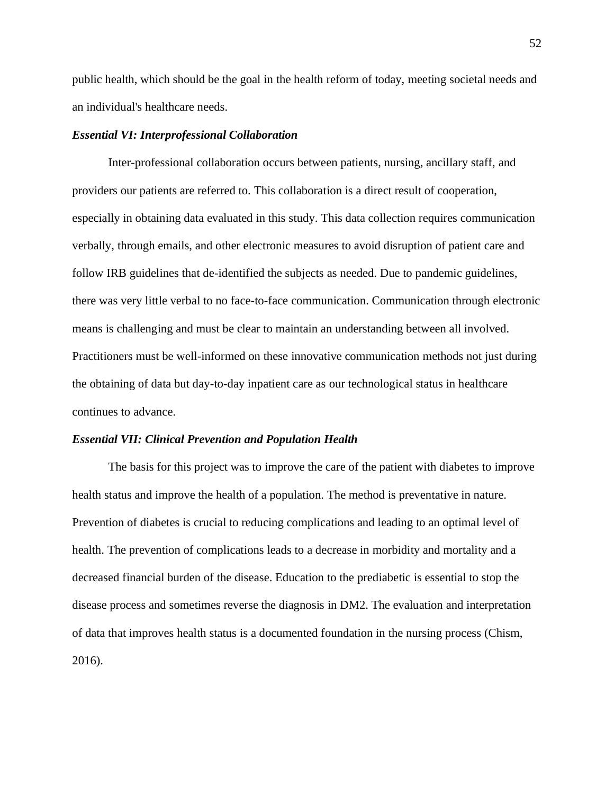public health, which should be the goal in the health reform of today, meeting societal needs and an individual's healthcare needs.

## *Essential VI: Interprofessional Collaboration*

Inter-professional collaboration occurs between patients, nursing, ancillary staff, and providers our patients are referred to. This collaboration is a direct result of cooperation, especially in obtaining data evaluated in this study. This data collection requires communication verbally, through emails, and other electronic measures to avoid disruption of patient care and follow IRB guidelines that de-identified the subjects as needed. Due to pandemic guidelines, there was very little verbal to no face-to-face communication. Communication through electronic means is challenging and must be clear to maintain an understanding between all involved. Practitioners must be well-informed on these innovative communication methods not just during the obtaining of data but day-to-day inpatient care as our technological status in healthcare continues to advance.

#### *Essential VII: Clinical Prevention and Population Health*

The basis for this project was to improve the care of the patient with diabetes to improve health status and improve the health of a population. The method is preventative in nature. Prevention of diabetes is crucial to reducing complications and leading to an optimal level of health. The prevention of complications leads to a decrease in morbidity and mortality and a decreased financial burden of the disease. Education to the prediabetic is essential to stop the disease process and sometimes reverse the diagnosis in DM2. The evaluation and interpretation of data that improves health status is a documented foundation in the nursing process (Chism, 2016).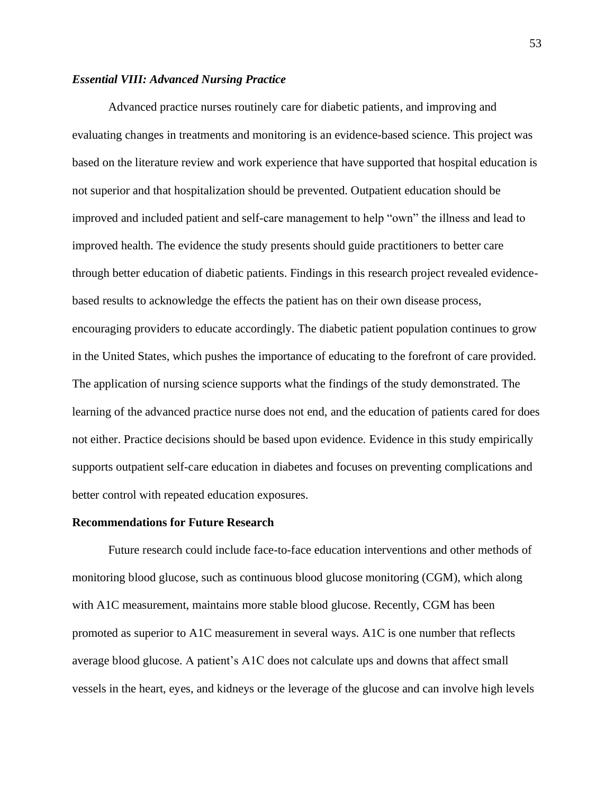## *Essential VIII: Advanced Nursing Practice*

Advanced practice nurses routinely care for diabetic patients, and improving and evaluating changes in treatments and monitoring is an evidence-based science. This project was based on the literature review and work experience that have supported that hospital education is not superior and that hospitalization should be prevented. Outpatient education should be improved and included patient and self-care management to help "own" the illness and lead to improved health. The evidence the study presents should guide practitioners to better care through better education of diabetic patients. Findings in this research project revealed evidencebased results to acknowledge the effects the patient has on their own disease process, encouraging providers to educate accordingly. The diabetic patient population continues to grow in the United States, which pushes the importance of educating to the forefront of care provided. The application of nursing science supports what the findings of the study demonstrated. The learning of the advanced practice nurse does not end, and the education of patients cared for does not either. Practice decisions should be based upon evidence. Evidence in this study empirically supports outpatient self-care education in diabetes and focuses on preventing complications and better control with repeated education exposures.

## **Recommendations for Future Research**

Future research could include face-to-face education interventions and other methods of monitoring blood glucose, such as continuous blood glucose monitoring (CGM), which along with A1C measurement, maintains more stable blood glucose. Recently, CGM has been promoted as superior to A1C measurement in several ways. A1C is one number that reflects average blood glucose. A patient's A1C does not calculate ups and downs that affect small vessels in the heart, eyes, and kidneys or the leverage of the glucose and can involve high levels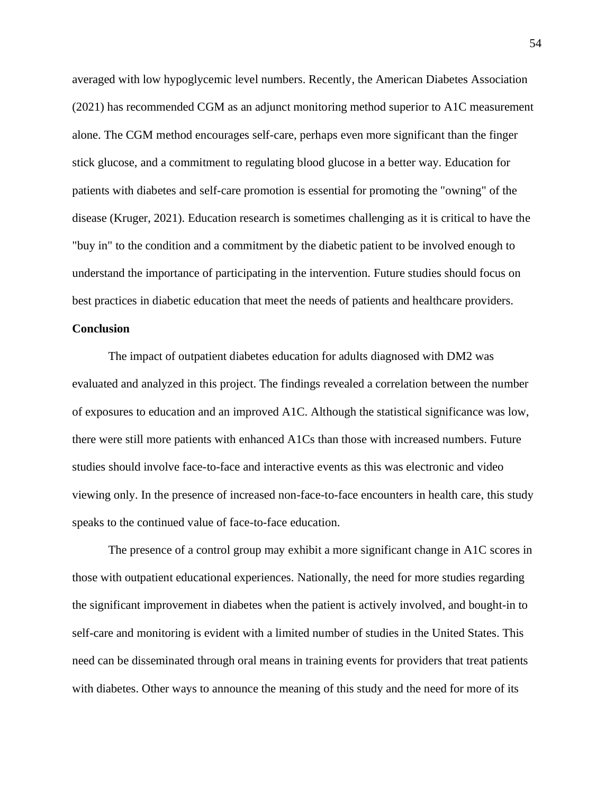averaged with low hypoglycemic level numbers. Recently, the American Diabetes Association (2021) has recommended CGM as an adjunct monitoring method superior to A1C measurement alone. The CGM method encourages self-care, perhaps even more significant than the finger stick glucose, and a commitment to regulating blood glucose in a better way. Education for patients with diabetes and self-care promotion is essential for promoting the "owning" of the disease (Kruger, 2021). Education research is sometimes challenging as it is critical to have the "buy in" to the condition and a commitment by the diabetic patient to be involved enough to understand the importance of participating in the intervention. Future studies should focus on best practices in diabetic education that meet the needs of patients and healthcare providers.

# **Conclusion**

The impact of outpatient diabetes education for adults diagnosed with DM2 was evaluated and analyzed in this project. The findings revealed a correlation between the number of exposures to education and an improved A1C. Although the statistical significance was low, there were still more patients with enhanced A1Cs than those with increased numbers. Future studies should involve face-to-face and interactive events as this was electronic and video viewing only. In the presence of increased non-face-to-face encounters in health care, this study speaks to the continued value of face-to-face education.

The presence of a control group may exhibit a more significant change in A1C scores in those with outpatient educational experiences. Nationally, the need for more studies regarding the significant improvement in diabetes when the patient is actively involved, and bought-in to self-care and monitoring is evident with a limited number of studies in the United States. This need can be disseminated through oral means in training events for providers that treat patients with diabetes. Other ways to announce the meaning of this study and the need for more of its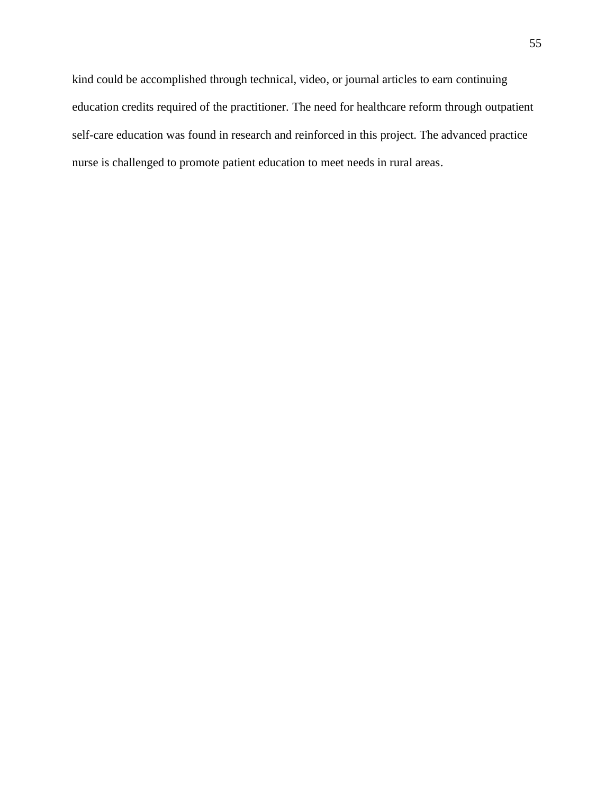kind could be accomplished through technical, video, or journal articles to earn continuing education credits required of the practitioner. The need for healthcare reform through outpatient self-care education was found in research and reinforced in this project. The advanced practice nurse is challenged to promote patient education to meet needs in rural areas.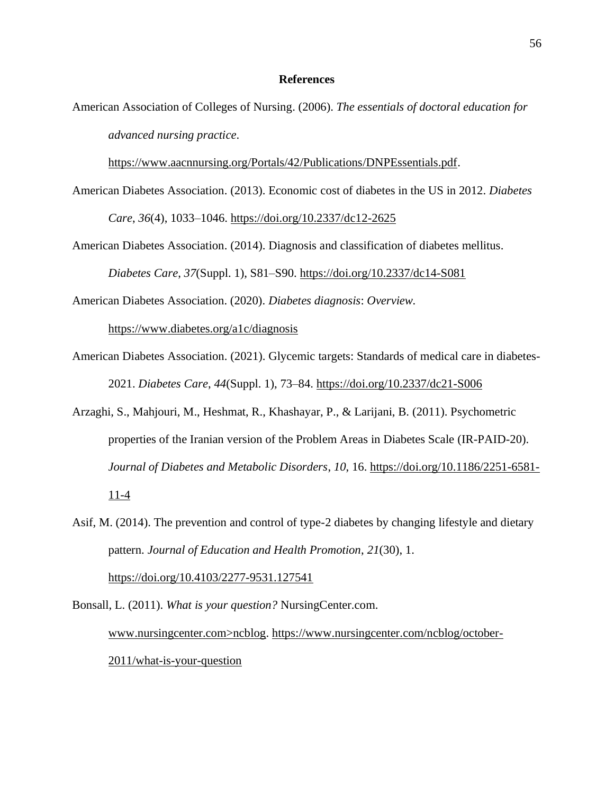## **References**

American Association of Colleges of Nursing. (2006). *The essentials of doctoral education for advanced nursing practice*.

[https://www.aacnnursing.org/Portals/42/Publications/DNPEssentials.pdf.](https://www.aacnnursing.org/Portals/42/Publications/DNPEssentials.pdf)

- American Diabetes Association. (2013). Economic cost of diabetes in the US in 2012. *Diabetes Care*, *36*(4), 1033–1046. <https://doi.org/10.2337/dc12-2625>
- American Diabetes Association. (2014). Diagnosis and classification of diabetes mellitus. *Diabetes Care*, *37*(Suppl. 1), S81–S90. <https://doi.org/10.2337/dc14-S081>

American Diabetes Association. (2020). *Diabetes diagnosis*: *Overview.* 

<https://www.diabetes.org/a1c/diagnosis>

- American Diabetes Association. (2021). Glycemic targets: Standards of medical care in diabetes-2021. *Diabetes Care*, *44*(Suppl. 1), 73–84. <https://doi.org/10.2337/dc21-S006>
- Arzaghi, S., Mahjouri, M., Heshmat, R., Khashayar, P., & Larijani, B. (2011). Psychometric properties of the Iranian version of the Problem Areas in Diabetes Scale (IR-PAID-20). *Journal of Diabetes and Metabolic Disorders*, *10*, 16. [https://doi.org/10.1186/2251-6581-](https://doi.org/10.1186/2251-6581-11-4)  $11-4$
- Asif, M. (2014). The prevention and control of type-2 diabetes by changing lifestyle and dietary pattern. *Journal of Education and Health Promotion*, *21*(30), 1. <https://doi.org/10.4103/2277-9531.127541>

Bonsall, L. (2011). *What is your question?* NursingCenter.com. www.nursingcenter.com>ncblog. [https://www.nursingcenter.com/ncblog/october-](https://www.nursingcenter.com/ncblog/october-2011/what-is-your-question)[2011/what-is-your-question](https://www.nursingcenter.com/ncblog/october-2011/what-is-your-question)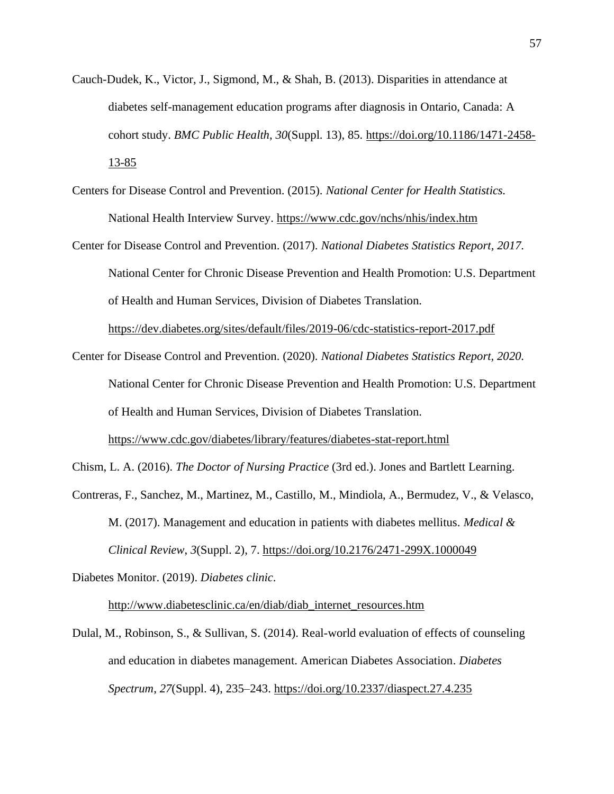- Cauch-Dudek, K., Victor, J., Sigmond, M., & Shah, B. (2013). Disparities in attendance at diabetes self-management education programs after diagnosis in Ontario, Canada: A cohort study. *[BMC Public Health](https://www.ncbi.nlm.nih.gov/pubmed/23360373)*[,](https://www.ncbi.nlm.nih.gov/pubmed/23360373) *30*(Suppl. 13), 85. [https://doi.org/10.1186/1471-2458-](https://doi.org/10.1186/1471-2458-13-85) [13-85](https://doi.org/10.1186/1471-2458-13-85)
- Centers for Disease Control and Prevention. (2015). *National Center for Health Statistics.*  National Health Interview Survey. <https://www.cdc.gov/nchs/nhis/index.htm>
- Center for Disease Control and Prevention. (2017). *National Diabetes Statistics Report, 2017.*  National Center for Chronic Disease Prevention and Health Promotion: U.S. Department of Health and Human Services, Division of Diabetes Translation.

<https://dev.diabetes.org/sites/default/files/2019-06/cdc-statistics-report-2017.pdf>

Center for Disease Control and Prevention. (2020). *National Diabetes Statistics Report, 2020.*  National Center for Chronic Disease Prevention and Health Promotion: U.S. Department of Health and Human Services, Division of Diabetes Translation.

<https://www.cdc.gov/diabetes/library/features/diabetes-stat-report.html>

Chism, L. A. (2016). *The Doctor of Nursing Practice* (3rd ed.). Jones and Bartlett Learning.

Contreras, F., Sanchez, M., Martinez, M., Castillo, M., Mindiola, A., Bermudez, V., & Velasco, M. (2017). Management and education in patients with diabetes mellitus. *Medical & Clinical Review*, *3*(Suppl. 2), 7.<https://doi.org/10.2176/2471-299X.1000049>

Diabetes Monitor. (2019). *Diabetes clinic*.

[http://www.diabetesclinic.ca/en/diab/diab\\_internet\\_resources.htm](http://www.diabetesclinic.ca/en/diab/diab_internet_resources.htm)

Dulal, M., Robinson, S., & Sullivan, S. (2014). Real-world evaluation of effects of counseling and education in diabetes management. American Diabetes Association. *Diabetes Spectrum*, *27*(Suppl. 4), 235–243.<https://doi.org/10.2337/diaspect.27.4.235>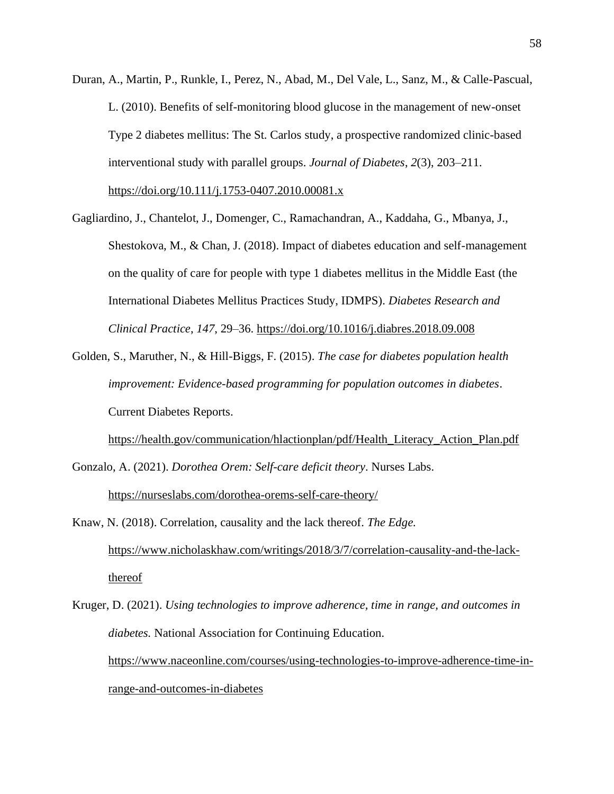Duran, A., Martin, P., Runkle, I., Perez, N., Abad, M., Del Vale, L., Sanz, M., & Calle-Pascual, L. (2010). Benefits of self-monitoring blood glucose in the management of new-onset Type 2 diabetes mellitus: The St. Carlos study, a prospective randomized clinic-based interventional study with parallel groups. *Journal of Diabetes*, *2*(3), 203–211.

<https://doi.org/10.111/j.1753-0407.2010.00081.x>

- Gagliardino, J., Chantelot, J., Domenger, C., Ramachandran, A., Kaddaha, G., Mbanya, J., Shestokova, M., & Chan, J. (2018). Impact of diabetes education and self-management on the quality of care for people with type 1 diabetes mellitus in the Middle East (the International Diabetes Mellitus Practices Study, IDMPS). *Diabetes Research and Clinical Practice*, *147*, 29–36. <https://doi.org/10.1016/j.diabres.2018.09.008>
- Golden, S., Maruther, N., & Hill-Biggs, F. (2015). *The case for diabetes population health improvement: Evidence-based programming for population outcomes in diabetes*. Current Diabetes Reports.

[https://health.gov/communication/hlactionplan/pdf/Health\\_Literacy\\_Action\\_Plan.pdf](https://health.gov/communication/hlactionplan/pdf/Health_Literacy_Action_Plan.pdf) Gonzalo, A. (2021). *Dorothea Orem: Self-care deficit theory*. Nurses Labs.

<https://nurseslabs.com/dorothea-orems-self-care-theory/>

- Knaw, N. (2018). Correlation, causality and the lack thereof. *The Edge.*  [https://www.nicholaskhaw.com/writings/2018/3/7/correlation-causality-and-the-lack](https://www.nicholaskhaw.com/writings/2018/3/7/correlation-causality-and-the-lack-thereof)[thereof](https://www.nicholaskhaw.com/writings/2018/3/7/correlation-causality-and-the-lack-thereof)
- Kruger, D. (2021). *Using technologies to improve adherence, time in range, and outcomes in diabetes.* National Association for Continuing Education. [https://www.naceonline.com/courses/using-technologies-to-improve-adherence-time-in](https://www.naceonline.com/courses/using-technologies-to-improve-adherence-time-in-range-and-outcomes-in-diabetes)[range-and-outcomes-in-diabetes](https://www.naceonline.com/courses/using-technologies-to-improve-adherence-time-in-range-and-outcomes-in-diabetes)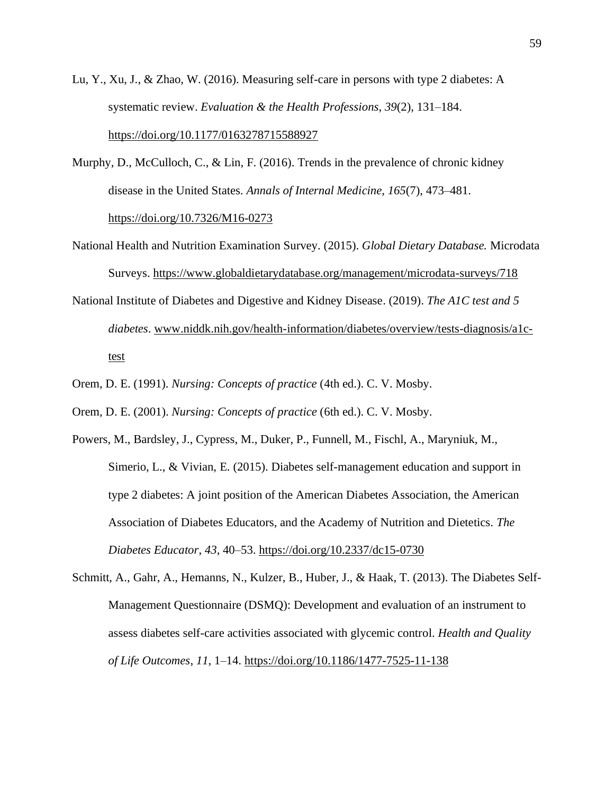- Lu, Y., Xu, J., & Zhao, W. (2016). Measuring self-care in persons with type 2 diabetes: A systematic review. *Evaluation & the Health Professions*, *39*(2), 131–184. <https://doi.org/10.1177/0163278715588927>
- Murphy, D., McCulloch, C., & Lin, F. (2016). Trends in the prevalence of chronic kidney disease in the United States. *Annals of Internal Medicine*, *165*(7), 473–481. <https://doi.org/10.7326/M16-0273>
- National Health and Nutrition Examination Survey. (2015). *Global Dietary Database.* Microdata Surveys.<https://www.globaldietarydatabase.org/management/microdata-surveys/718>
- National Institute of Diabetes and Digestive and Kidney Disease. (2019). *The A1C test and 5 diabetes*. [www.niddk.nih.gov/health-information/diabetes/overview/tests-diagnosis/a1c](file:///C:/Users/Patti/Documents/ACTIVE%20CUSTOMERS/Ruth%20Ann%20Slayton%20(ACU,%20DNP)/www.niddk.nih.gov/health-information/diabetes/overview/tests-diagnosis/a1c-test)[test](file:///C:/Users/Patti/Documents/ACTIVE%20CUSTOMERS/Ruth%20Ann%20Slayton%20(ACU,%20DNP)/www.niddk.nih.gov/health-information/diabetes/overview/tests-diagnosis/a1c-test)
- Orem, D. E. (1991). *Nursing: Concepts of practice* (4th ed.). C. V. Mosby.
- Orem, D. E. (2001). *Nursing: Concepts of practice* (6th ed.). C. V. Mosby.
- Powers, M., Bardsley, J., Cypress, M., Duker, P., Funnell, M., Fischl, A., Maryniuk, M., Simerio, L., & Vivian, E. (2015). Diabetes self-management education and support in type 2 diabetes: A joint position of the American Diabetes Association, the American Association of Diabetes Educators, and the Academy of Nutrition and Dietetics*. The Diabetes Educator*, *43*, 40–53. <https://doi.org/10.2337/dc15-0730>
- Schmitt, A., Gahr, A., Hemanns, N., Kulzer, B., Huber, J., & Haak, T. (2013). The Diabetes Self-Management Questionnaire (DSMQ): Development and evaluation of an instrument to assess diabetes self-care activities associated with glycemic control. *Health and Quality of Life Outcomes*, *11*, 1–14. <https://doi.org/10.1186/1477-7525-11-138>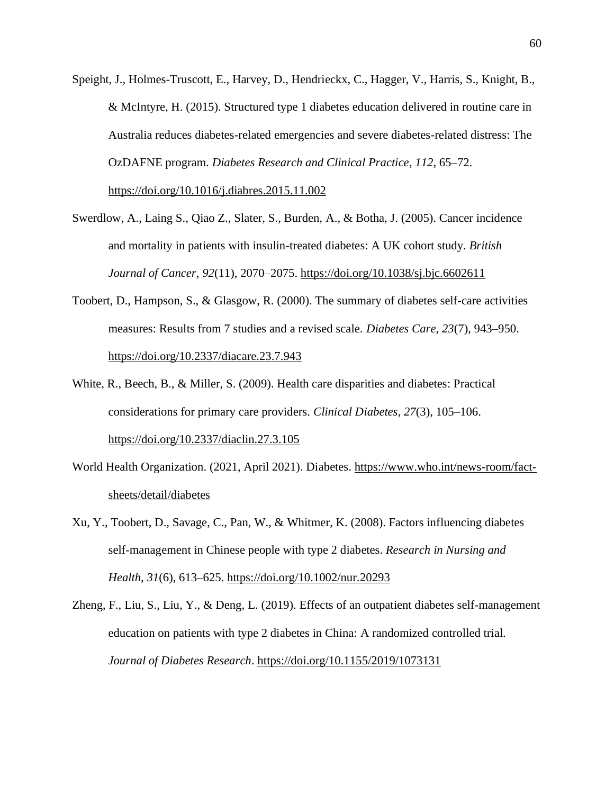Speight, J., Holmes-Truscott, E., Harvey, D., Hendrieckx, C., Hagger, V., Harris, S., Knight, B., & McIntyre, H. (2015). Structured type 1 diabetes education delivered in routine care in Australia reduces diabetes-related emergencies and severe diabetes-related distress: The OzDAFNE program. *Diabetes Research and Clinical Practice*, *112*, 65–72.

<https://doi.org/10.1016/j.diabres.2015.11.002>

- Swerdlow, A., Laing S., Qiao Z., Slater, S., Burden, A., & Botha, J. (2005). Cancer incidence and mortality in patients with insulin-treated diabetes: A UK cohort study. *British Journal of Cancer*, *92*(11), 2070–2075. <https://doi.org/10.1038/sj.bjc.6602611>
- Toobert, D., Hampson, S., & Glasgow, R. (2000). The summary of diabetes self-care activities measures: Results from 7 studies and a revised scale. *Diabetes Care*, *23*(7), 943–950. <https://doi.org/10.2337/diacare.23.7.943>
- White, R., Beech, B., & Miller, S. (2009). Health care disparities and diabetes: Practical considerations for primary care providers. *Clinical Diabetes*, *27*(3), 105–106. <https://doi.org/10.2337/diaclin.27.3.105>
- World Health Organization. (2021, April 2021). Diabetes. [https://www.who.int/news-room/fact](https://www.who.int/news-room/fact-sheets/detail/diabetes)[sheets/detail/diabetes](https://www.who.int/news-room/fact-sheets/detail/diabetes)
- Xu, Y., Toobert, D., Savag[e,](https://www.researchgate.net/publication/5239852_Factors_influencing_diabetes_self-management_in_Chinese_people_with_type_2_diabetes) C., Pan, W., & Whitmer, K. (2008). Factors influencing diabetes self-management in Chinese people with type 2 diabetes. *Research in Nursing and Health*, *31*(6), 613–625.<https://doi.org/10.1002/nur.20293>
- Zheng, F., Liu, S., Liu, Y., & Deng, L. (2019). Effects of an outpatient diabetes self-management education on patients with type 2 diabetes in China: A randomized controlled trial. *Journal of Diabetes Research*. <https://doi.org/10.1155/2019/1073131>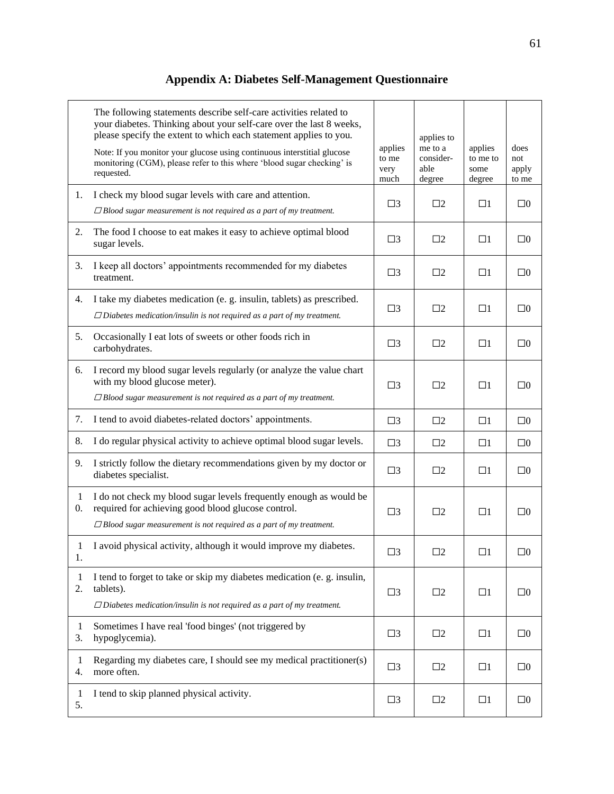# **Appendix A: Diabetes Self-Management Questionnaire**

|                    | The following statements describe self-care activities related to<br>your diabetes. Thinking about your self-care over the last 8 weeks,<br>please specify the extent to which each statement applies to you.<br>Note: If you monitor your glucose using continuous interstitial glucose<br>monitoring (CGM), please refer to this where 'blood sugar checking' is<br>requested. | applies<br>to me<br>very<br>much | applies to<br>me to a<br>consider-<br>able<br>degree | applies<br>to me to<br>some<br>degree | does<br>not<br>apply<br>to me |
|--------------------|----------------------------------------------------------------------------------------------------------------------------------------------------------------------------------------------------------------------------------------------------------------------------------------------------------------------------------------------------------------------------------|----------------------------------|------------------------------------------------------|---------------------------------------|-------------------------------|
| 1.                 | I check my blood sugar levels with care and attention.<br>$\Box$ Blood sugar measurement is not required as a part of my treatment.                                                                                                                                                                                                                                              | $\square$ 3                      | $\square$                                            | $\Box$ 1                              | $\square 0$                   |
| 2.                 | The food I choose to eat makes it easy to achieve optimal blood<br>sugar levels.                                                                                                                                                                                                                                                                                                 |                                  | $\square$                                            | $\Box$ 1                              | $\square 0$                   |
| 3.                 | I keep all doctors' appointments recommended for my diabetes<br>treatment.                                                                                                                                                                                                                                                                                                       |                                  | $\square$                                            | $\Box$ 1                              | $\square 0$                   |
| 4.                 | I take my diabetes medication (e. g. insulin, tablets) as prescribed.<br>$\Box$ Diabetes medication/insulin is not required as a part of my treatment.                                                                                                                                                                                                                           |                                  | $\square$                                            | $\Box$ 1                              | $\square 0$                   |
| 5.                 | Occasionally I eat lots of sweets or other foods rich in<br>carbohydrates.                                                                                                                                                                                                                                                                                                       |                                  | $\square$ 2                                          | $\square$                             | $\square 0$                   |
| 6.                 | I record my blood sugar levels regularly (or analyze the value chart<br>with my blood glucose meter).<br>$\Box$ Blood sugar measurement is not required as a part of my treatment.                                                                                                                                                                                               | $\square$ 3                      | $\square$                                            | $\Box$ 1                              | $\square 0$                   |
| 7.                 | I tend to avoid diabetes-related doctors' appointments.                                                                                                                                                                                                                                                                                                                          | $\square$ 3                      | $\Box$ 2                                             | $\Box$ 1                              | $\square 0$                   |
| 8.                 | I do regular physical activity to achieve optimal blood sugar levels.                                                                                                                                                                                                                                                                                                            | $\square$ 3                      | $\square$                                            | $\Box$ 1                              | $\square 0$                   |
| 9.                 | I strictly follow the dietary recommendations given by my doctor or<br>diabetes specialist.                                                                                                                                                                                                                                                                                      | $\square$ 3                      | $\square$                                            | $\Box$ 1                              | $\square 0$                   |
| 1<br>0.            | I do not check my blood sugar levels frequently enough as would be<br>required for achieving good blood glucose control.<br>$\Box$ Blood sugar measurement is not required as a part of my treatment.                                                                                                                                                                            | $\square$ 3                      | $\square$                                            | $\Box$ 1                              | $\square 0$                   |
| 1<br>1.            | I avoid physical activity, although it would improve my diabetes.                                                                                                                                                                                                                                                                                                                | $\square$ 3                      | $\square$ 2                                          | $\Box$                                | $\Box 0$                      |
| $\mathbf{1}$<br>2. | I tend to forget to take or skip my diabetes medication (e. g. insulin,<br>tablets).<br>$\Box$ Diabetes medication/insulin is not required as a part of my treatment.                                                                                                                                                                                                            | $\square$ 3                      | $\square$ 2                                          | $\square$                             | $\square 0$                   |
| $\mathbf{1}$<br>3. | Sometimes I have real 'food binges' (not triggered by<br>hypoglycemia).                                                                                                                                                                                                                                                                                                          | $\square$ 3                      | $\square$ 2                                          | $\square$                             | $\square 0$                   |
| $\mathbf{1}$<br>4. | Regarding my diabetes care, I should see my medical practitioner(s)<br>more often.                                                                                                                                                                                                                                                                                               |                                  | $\square$ 2                                          | $\Box$                                | $\square 0$                   |
| 1<br>5.            | I tend to skip planned physical activity.                                                                                                                                                                                                                                                                                                                                        | $\square$ 3                      | $\square$ 2                                          | $\square$                             | $\square 0$                   |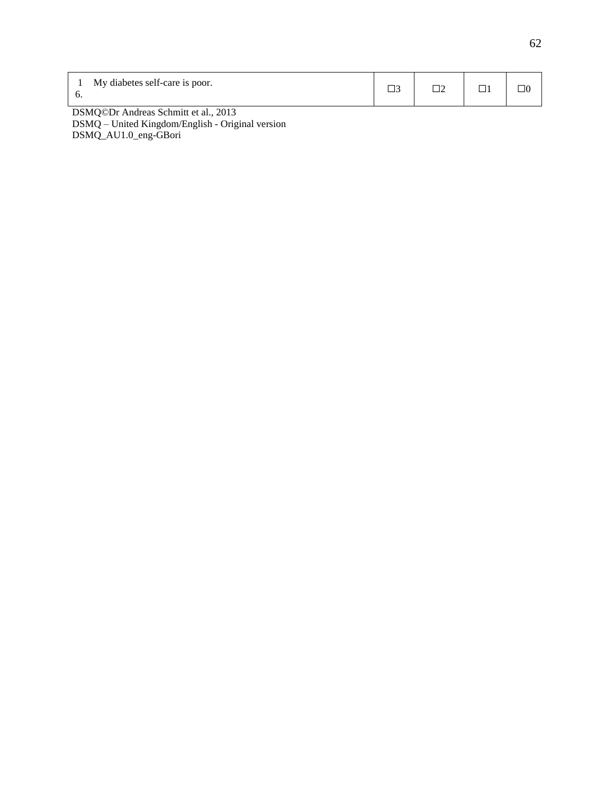| My diabetes self-care is poor.          |  | 76 |
|-----------------------------------------|--|----|
| $DCMO@Dr$ Andreas Schmitt at al. $2012$ |  |    |

DSMQ©Dr Andreas Schmitt et al., 2013  $\overline{\text{DSMQ}}$  – United Kingdom/English - Original version DSMQ\_AU1.0\_eng-GBori

L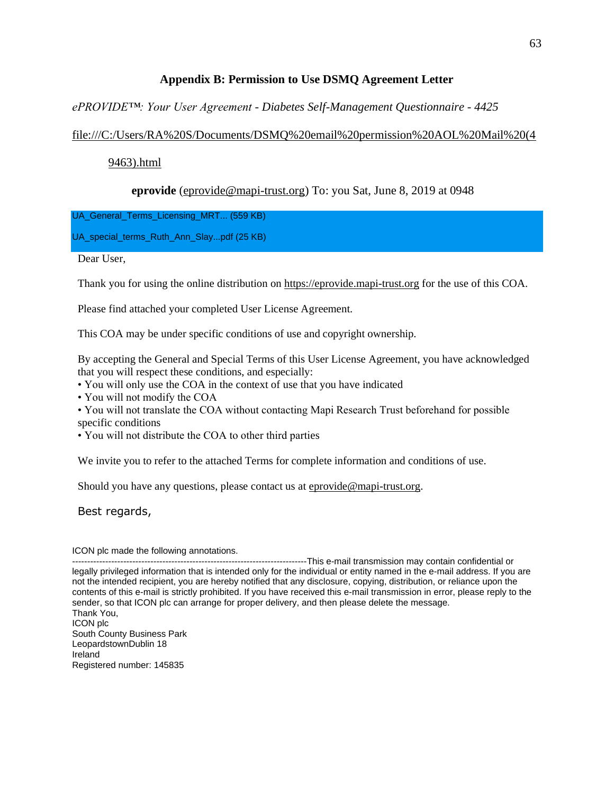## **Appendix B: Permission to Use DSMQ Agreement Letter**

*ePROVIDE™: Your User Agreement - Diabetes Self-Management Questionnaire - 4425*

# [file:///C:/Users/RA%20S/Documents/DSMQ%20email%20permission%20AOL%20Mail%20\(4](about:blank)

## [9463\).html](about:blank)

# **eprovide** [\(eprovide@mapi-trust.org\)](mailto:eprovide@mapi-trust.org) To: you Sat, June 8, 2019 at 0948

UA\_General\_Terms\_Licensing\_MRT... (559 KB)

UA\_special\_terms\_Ruth\_Ann\_Slay...pdf (25 KB)

Dear User,

Thank you for using the online distribution on [https://eprovide.mapi-trust.org](https://eprovide.mapi-trust.org/) for the use of this COA.

Please find attached your completed User License Agreement.

This COA may be under specific conditions of use and copyright ownership.

By accepting the General and Special Terms of this User License Agreement, you have acknowledged that you will respect these conditions, and especially:

• You will only use the COA in the context of use that you have indicated

• You will not modify the COA

• You will not translate the COA without contacting Mapi Research Trust beforehand for possible specific conditions

• You will not distribute the COA to other third parties

We invite you to refer to the attached Terms for complete information and conditions of use.

Should you have any questions, please contact us a[t eprovide@mapi-trust.org.](mailto:eprovide@mapi-trust.org)

Best regards,

ICON plc made the following annotations.

---------------This e-mail transmission may contain confidential or legally privileged information that is intended only for the individual or entity named in the e-mail address. If you are not the intended recipient, you are hereby notified that any disclosure, copying, distribution, or reliance upon the contents of this e-mail is strictly prohibited. If you have received this e-mail transmission in error, please reply to the sender, so that ICON plc can arrange for proper delivery, and then please delete the message. Thank You, ICON plc South County Business Park LeopardstownDublin 18 Ireland Registered number: 145835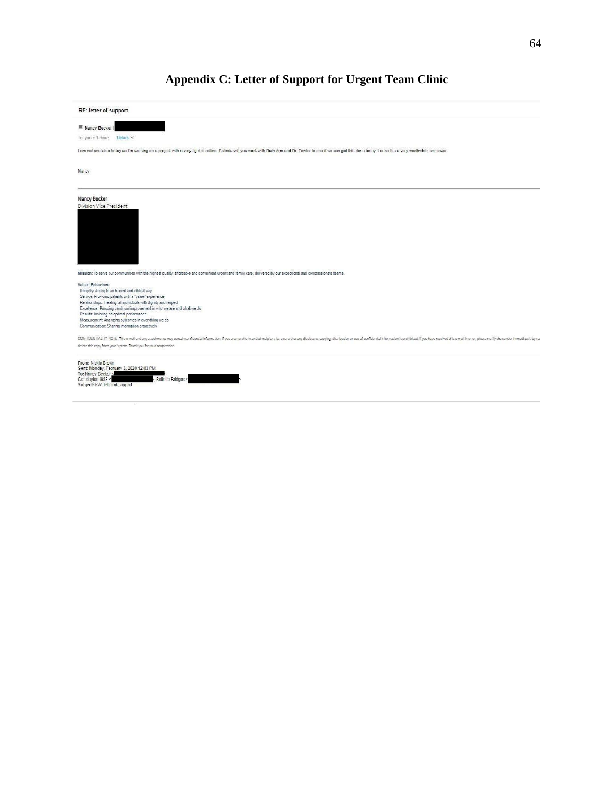# **Appendix C: Letter of Support for Urgent Team Clinic**

| Nancy Becker (<br>Details $\vee$<br>Nancy<br>Nancy Becker<br>Mission: To serve our communities with the highest quality, affordable and convenient urgent and family care, delivered by our exceptional and compassionale teams.<br><b>Valued Behaviors:</b><br>Integrity: Acting in an honest and ethical way<br>Service: Providing patients with a "value" experience<br>Relationships: Treating all individuals with dignity and respect<br>Excellence: Pursuing continual improvement in who we are and what we do<br>Results: Insisting on optimal performance<br>Measurement: Analyzing outcomes in everything we do<br>Communication: Sharing information proactively<br>CONFIDENTIALITY NOTE: This e-mail and any attachments may contain confidential information. If you are not the intended recipient, be aware that any disclosure, copying, distribution or use of confidential information is p<br>delete this copy from your system. Thank you for your cooperation.<br>From: Nickie Brown<br>To: Nancy Becker<br>Belinda Bridges<br>Cc: slayton1988 <<br>Subject: FW: letter of support | RE: letter of support                                                                                                                                                                                            |  |
|----------------------------------------------------------------------------------------------------------------------------------------------------------------------------------------------------------------------------------------------------------------------------------------------------------------------------------------------------------------------------------------------------------------------------------------------------------------------------------------------------------------------------------------------------------------------------------------------------------------------------------------------------------------------------------------------------------------------------------------------------------------------------------------------------------------------------------------------------------------------------------------------------------------------------------------------------------------------------------------------------------------------------------------------------------------------------------------------------------|------------------------------------------------------------------------------------------------------------------------------------------------------------------------------------------------------------------|--|
|                                                                                                                                                                                                                                                                                                                                                                                                                                                                                                                                                                                                                                                                                                                                                                                                                                                                                                                                                                                                                                                                                                          |                                                                                                                                                                                                                  |  |
|                                                                                                                                                                                                                                                                                                                                                                                                                                                                                                                                                                                                                                                                                                                                                                                                                                                                                                                                                                                                                                                                                                          | To: $you + 3$ more                                                                                                                                                                                               |  |
|                                                                                                                                                                                                                                                                                                                                                                                                                                                                                                                                                                                                                                                                                                                                                                                                                                                                                                                                                                                                                                                                                                          | I am not available today as I'm working on a project with a very tight deadline. Belinda will you work with Ruth Ann and Dr. Fowler to see if we can get this done today. Looks like a very worthwhile endeavor. |  |
|                                                                                                                                                                                                                                                                                                                                                                                                                                                                                                                                                                                                                                                                                                                                                                                                                                                                                                                                                                                                                                                                                                          |                                                                                                                                                                                                                  |  |
|                                                                                                                                                                                                                                                                                                                                                                                                                                                                                                                                                                                                                                                                                                                                                                                                                                                                                                                                                                                                                                                                                                          |                                                                                                                                                                                                                  |  |
|                                                                                                                                                                                                                                                                                                                                                                                                                                                                                                                                                                                                                                                                                                                                                                                                                                                                                                                                                                                                                                                                                                          | Division Vice President                                                                                                                                                                                          |  |
|                                                                                                                                                                                                                                                                                                                                                                                                                                                                                                                                                                                                                                                                                                                                                                                                                                                                                                                                                                                                                                                                                                          |                                                                                                                                                                                                                  |  |
|                                                                                                                                                                                                                                                                                                                                                                                                                                                                                                                                                                                                                                                                                                                                                                                                                                                                                                                                                                                                                                                                                                          |                                                                                                                                                                                                                  |  |
|                                                                                                                                                                                                                                                                                                                                                                                                                                                                                                                                                                                                                                                                                                                                                                                                                                                                                                                                                                                                                                                                                                          |                                                                                                                                                                                                                  |  |
|                                                                                                                                                                                                                                                                                                                                                                                                                                                                                                                                                                                                                                                                                                                                                                                                                                                                                                                                                                                                                                                                                                          |                                                                                                                                                                                                                  |  |
|                                                                                                                                                                                                                                                                                                                                                                                                                                                                                                                                                                                                                                                                                                                                                                                                                                                                                                                                                                                                                                                                                                          |                                                                                                                                                                                                                  |  |
|                                                                                                                                                                                                                                                                                                                                                                                                                                                                                                                                                                                                                                                                                                                                                                                                                                                                                                                                                                                                                                                                                                          |                                                                                                                                                                                                                  |  |
|                                                                                                                                                                                                                                                                                                                                                                                                                                                                                                                                                                                                                                                                                                                                                                                                                                                                                                                                                                                                                                                                                                          |                                                                                                                                                                                                                  |  |
|                                                                                                                                                                                                                                                                                                                                                                                                                                                                                                                                                                                                                                                                                                                                                                                                                                                                                                                                                                                                                                                                                                          |                                                                                                                                                                                                                  |  |
|                                                                                                                                                                                                                                                                                                                                                                                                                                                                                                                                                                                                                                                                                                                                                                                                                                                                                                                                                                                                                                                                                                          |                                                                                                                                                                                                                  |  |
|                                                                                                                                                                                                                                                                                                                                                                                                                                                                                                                                                                                                                                                                                                                                                                                                                                                                                                                                                                                                                                                                                                          |                                                                                                                                                                                                                  |  |
|                                                                                                                                                                                                                                                                                                                                                                                                                                                                                                                                                                                                                                                                                                                                                                                                                                                                                                                                                                                                                                                                                                          |                                                                                                                                                                                                                  |  |
|                                                                                                                                                                                                                                                                                                                                                                                                                                                                                                                                                                                                                                                                                                                                                                                                                                                                                                                                                                                                                                                                                                          |                                                                                                                                                                                                                  |  |
|                                                                                                                                                                                                                                                                                                                                                                                                                                                                                                                                                                                                                                                                                                                                                                                                                                                                                                                                                                                                                                                                                                          |                                                                                                                                                                                                                  |  |
|                                                                                                                                                                                                                                                                                                                                                                                                                                                                                                                                                                                                                                                                                                                                                                                                                                                                                                                                                                                                                                                                                                          |                                                                                                                                                                                                                  |  |
|                                                                                                                                                                                                                                                                                                                                                                                                                                                                                                                                                                                                                                                                                                                                                                                                                                                                                                                                                                                                                                                                                                          |                                                                                                                                                                                                                  |  |
|                                                                                                                                                                                                                                                                                                                                                                                                                                                                                                                                                                                                                                                                                                                                                                                                                                                                                                                                                                                                                                                                                                          |                                                                                                                                                                                                                  |  |
|                                                                                                                                                                                                                                                                                                                                                                                                                                                                                                                                                                                                                                                                                                                                                                                                                                                                                                                                                                                                                                                                                                          |                                                                                                                                                                                                                  |  |
|                                                                                                                                                                                                                                                                                                                                                                                                                                                                                                                                                                                                                                                                                                                                                                                                                                                                                                                                                                                                                                                                                                          |                                                                                                                                                                                                                  |  |
|                                                                                                                                                                                                                                                                                                                                                                                                                                                                                                                                                                                                                                                                                                                                                                                                                                                                                                                                                                                                                                                                                                          |                                                                                                                                                                                                                  |  |
|                                                                                                                                                                                                                                                                                                                                                                                                                                                                                                                                                                                                                                                                                                                                                                                                                                                                                                                                                                                                                                                                                                          | Sent: Monday, February 3, 2020 12:03 PM                                                                                                                                                                          |  |
|                                                                                                                                                                                                                                                                                                                                                                                                                                                                                                                                                                                                                                                                                                                                                                                                                                                                                                                                                                                                                                                                                                          |                                                                                                                                                                                                                  |  |
|                                                                                                                                                                                                                                                                                                                                                                                                                                                                                                                                                                                                                                                                                                                                                                                                                                                                                                                                                                                                                                                                                                          |                                                                                                                                                                                                                  |  |
|                                                                                                                                                                                                                                                                                                                                                                                                                                                                                                                                                                                                                                                                                                                                                                                                                                                                                                                                                                                                                                                                                                          |                                                                                                                                                                                                                  |  |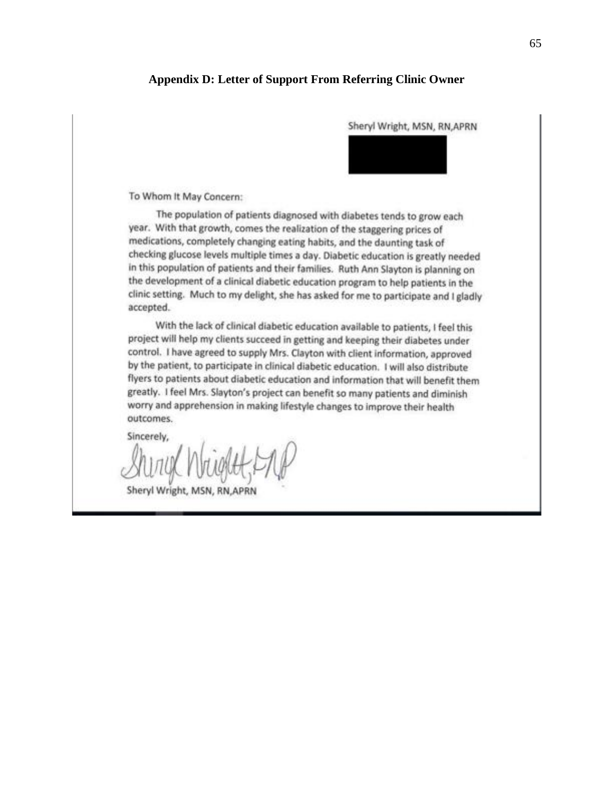#### **Appendix D: Letter of Support From Referring Clinic Owner**

Sheryl Wright, MSN, RN, APRN To Whom It May Concern: The population of patients diagnosed with diabetes tends to grow each year. With that growth, comes the realization of the staggering prices of medications, completely changing eating habits, and the daunting task of checking glucose levels multiple times a day. Diabetic education is greatly needed in this population of patients and their families. Ruth Ann Slayton is planning on the development of a clinical diabetic education program to help patients in the clinic setting. Much to my delight, she has asked for me to participate and I gladly accepted. With the lack of clinical diabetic education available to patients, I feel this project will help my clients succeed in getting and keeping their diabetes under control. I have agreed to supply Mrs. Clayton with client information, approved by the patient, to participate in clinical diabetic education. I will also distribute flyers to patients about diabetic education and information that will benefit them greatly. I feel Mrs. Slayton's project can benefit so many patients and diminish worry and apprehension in making lifestyle changes to improve their health outcomes. Sincerely, Sheryl Wright, MSN, RN, APRN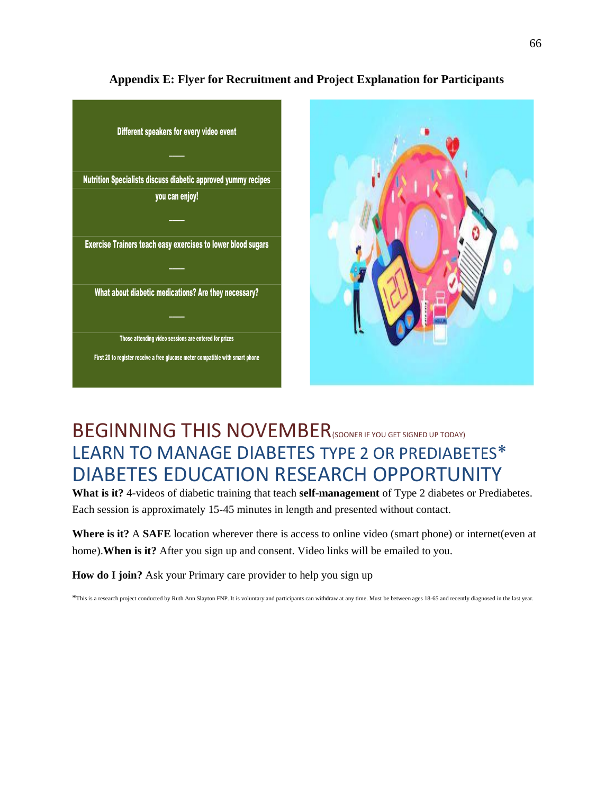

# **Appendix E: Flyer for Recruitment and Project Explanation for Participants**

# BEGINNING THIS NOVEMBER<sup>(SOONER IF YOU GET SIGNED UP TODAY)</sup> LEARN TO MANAGE DIABETES TYPE 2 OR PREDIABETES\* DIABETES EDUCATION RESEARCH OPPORTUNITY

**What is it?** 4-videos of diabetic training that teach **self-management** of Type 2 diabetes or Prediabetes. Each session is approximately 15-45 minutes in length and presented without contact.

**Where is it?** A **SAFE** location wherever there is access to online video (smart phone) or internet(even at home).**When is it?** After you sign up and consent. Video links will be emailed to you.

**How do I join?** Ask your Primary care provider to help you sign up

\*This is a research project conducted by Ruth Ann Slayton FNP. It is voluntary and participants can withdraw at any time. Must be between ages 18-65 and recently diagnosed in the last year.